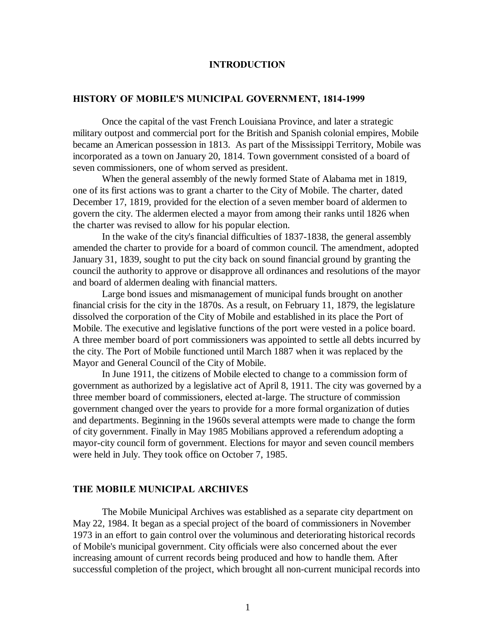#### **INTRODUCTION**

#### **HISTORY OF MOBILE'S MUNICIPAL GOVERNMENT, 1814-1999**

Once the capital of the vast French Louisiana Province, and later a strategic military outpost and commercial port for the British and Spanish colonial empires, Mobile became an American possession in 1813. As part of the Mississippi Territory, Mobile was incorporated as a town on January 20, 1814. Town government consisted of a board of seven commissioners, one of whom served as president.

When the general assembly of the newly formed State of Alabama met in 1819, one of its first actions was to grant a charter to the City of Mobile. The charter, dated December 17, 1819, provided for the election of a seven member board of aldermen to govern the city. The aldermen elected a mayor from among their ranks until 1826 when the charter was revised to allow for his popular election.

In the wake of the city's financial difficulties of 1837-1838, the general assembly amended the charter to provide for a board of common council. The amendment, adopted January 31, 1839, sought to put the city back on sound financial ground by granting the council the authority to approve or disapprove all ordinances and resolutions of the mayor and board of aldermen dealing with financial matters.

Large bond issues and mismanagement of municipal funds brought on another financial crisis for the city in the 1870s. As a result, on February 11, 1879, the legislature dissolved the corporation of the City of Mobile and established in its place the Port of Mobile. The executive and legislative functions of the port were vested in a police board. A three member board of port commissioners was appointed to settle all debts incurred by the city. The Port of Mobile functioned until March 1887 when it was replaced by the Mayor and General Council of the City of Mobile.

In June 1911, the citizens of Mobile elected to change to a commission form of government as authorized by a legislative act of April 8, 1911. The city was governed by a three member board of commissioners, elected at-large. The structure of commission government changed over the years to provide for a more formal organization of duties and departments. Beginning in the 1960s several attempts were made to change the form of city government. Finally in May 1985 Mobilians approved a referendum adopting a mayor-city council form of government. Elections for mayor and seven council members were held in July. They took office on October 7, 1985.

#### **THE MOBILE MUNICIPAL ARCHIVES**

The Mobile Municipal Archives was established as a separate city department on May 22, 1984. It began as a special project of the board of commissioners in November 1973 in an effort to gain control over the voluminous and deteriorating historical records of Mobile's municipal government. City officials were also concerned about the ever increasing amount of current records being produced and how to handle them. After successful completion of the project, which brought all non-current municipal records into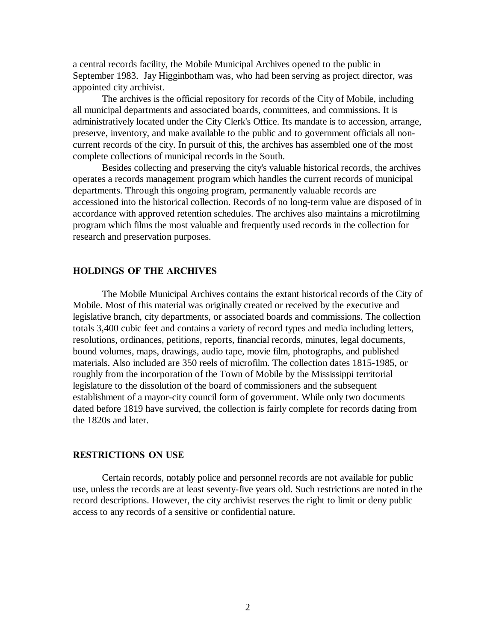a central records facility, the Mobile Municipal Archives opened to the public in September 1983. Jay Higginbotham was, who had been serving as project director, was appointed city archivist.

The archives is the official repository for records of the City of Mobile, including all municipal departments and associated boards, committees, and commissions. It is administratively located under the City Clerk's Office. Its mandate is to accession, arrange, preserve, inventory, and make available to the public and to government officials all noncurrent records of the city. In pursuit of this, the archives has assembled one of the most complete collections of municipal records in the South.

Besides collecting and preserving the city's valuable historical records, the archives operates a records management program which handles the current records of municipal departments. Through this ongoing program, permanently valuable records are accessioned into the historical collection. Records of no long-term value are disposed of in accordance with approved retention schedules. The archives also maintains a microfilming program which films the most valuable and frequently used records in the collection for research and preservation purposes.

#### **HOLDINGS OF THE ARCHIVES**

The Mobile Municipal Archives contains the extant historical records of the City of Mobile. Most of this material was originally created or received by the executive and legislative branch, city departments, or associated boards and commissions. The collection totals 3,400 cubic feet and contains a variety of record types and media including letters, resolutions, ordinances, petitions, reports, financial records, minutes, legal documents, bound volumes, maps, drawings, audio tape, movie film, photographs, and published materials. Also included are 350 reels of microfilm. The collection dates 1815-1985, or roughly from the incorporation of the Town of Mobile by the Mississippi territorial legislature to the dissolution of the board of commissioners and the subsequent establishment of a mayor-city council form of government. While only two documents dated before 1819 have survived, the collection is fairly complete for records dating from the 1820s and later.

#### **RESTRICTIONS ON USE**

Certain records, notably police and personnel records are not available for public use, unless the records are at least seventy-five years old. Such restrictions are noted in the record descriptions. However, the city archivist reserves the right to limit or deny public access to any records of a sensitive or confidential nature.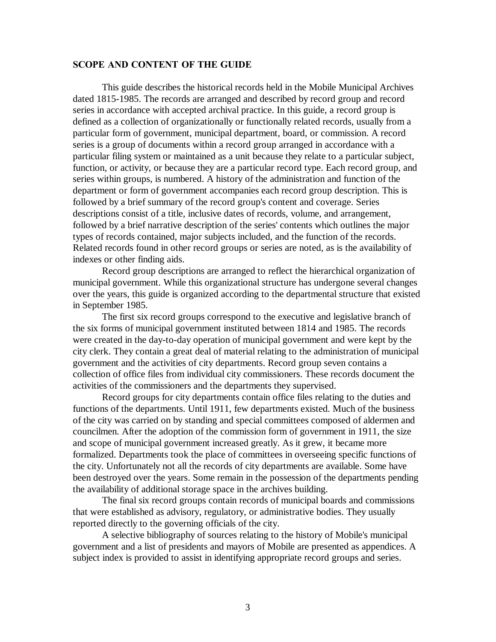#### **SCOPE AND CONTENT OF THE GUIDE**

This guide describes the historical records held in the Mobile Municipal Archives dated 1815-1985. The records are arranged and described by record group and record series in accordance with accepted archival practice. In this guide, a record group is defined as a collection of organizationally or functionally related records, usually from a particular form of government, municipal department, board, or commission. A record series is a group of documents within a record group arranged in accordance with a particular filing system or maintained as a unit because they relate to a particular subject, function, or activity, or because they are a particular record type. Each record group, and series within groups, is numbered. A history of the administration and function of the department or form of government accompanies each record group description. This is followed by a brief summary of the record group's content and coverage. Series descriptions consist of a title, inclusive dates of records, volume, and arrangement, followed by a brief narrative description of the series' contents which outlines the major types of records contained, major subjects included, and the function of the records. Related records found in other record groups or series are noted, as is the availability of indexes or other finding aids.

Record group descriptions are arranged to reflect the hierarchical organization of municipal government. While this organizational structure has undergone several changes over the years, this guide is organized according to the departmental structure that existed in September 1985.

The first six record groups correspond to the executive and legislative branch of the six forms of municipal government instituted between 1814 and 1985. The records were created in the day-to-day operation of municipal government and were kept by the city clerk. They contain a great deal of material relating to the administration of municipal government and the activities of city departments. Record group seven contains a collection of office files from individual city commissioners. These records document the activities of the commissioners and the departments they supervised.

Record groups for city departments contain office files relating to the duties and functions of the departments. Until 1911, few departments existed. Much of the business of the city was carried on by standing and special committees composed of aldermen and councilmen. After the adoption of the commission form of government in 1911, the size and scope of municipal government increased greatly. As it grew, it became more formalized. Departments took the place of committees in overseeing specific functions of the city. Unfortunately not all the records of city departments are available. Some have been destroyed over the years. Some remain in the possession of the departments pending the availability of additional storage space in the archives building.

The final six record groups contain records of municipal boards and commissions that were established as advisory, regulatory, or administrative bodies. They usually reported directly to the governing officials of the city.

A selective bibliography of sources relating to the history of Mobile's municipal government and a list of presidents and mayors of Mobile are presented as appendices. A subject index is provided to assist in identifying appropriate record groups and series.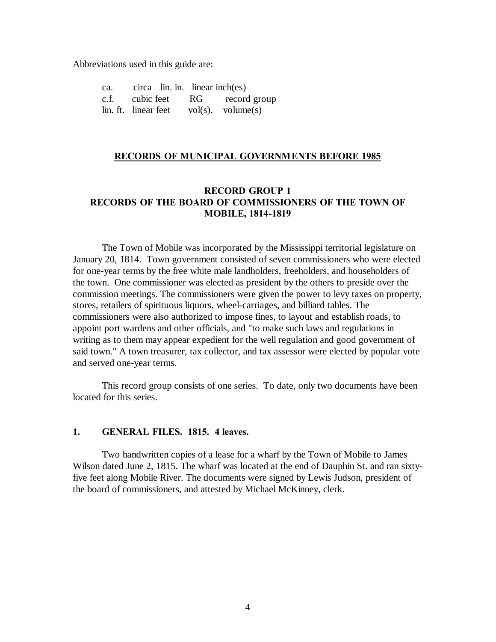Abbreviations used in this guide are:

ca. circa lin. in. linear inch(es) c.f. cubic feet RG record group lin. ft. linear feet  $vol(s)$ . volume $(s)$ 

#### **RECORDS OF MUNICIPAL GOVERNMENTS BEFORE 1985**

### **RECORD GROUP 1 RECORDS OF THE BOARD OF COMMISSIONERS OF THE TOWN OF MOBILE, 1814-1819**

The Town of Mobile was incorporated by the Mississippi territorial legislature on January 20, 1814. Town government consisted of seven commissioners who were elected for one-year terms by the free white male landholders, freeholders, and householders of the town. One commissioner was elected as president by the others to preside over the commission meetings. The commissioners were given the power to levy taxes on property, stores, retailers of spirituous liquors, wheel-carriages, and billiard tables. The commissioners were also authorized to impose fines, to layout and establish roads, to appoint port wardens and other officials, and "to make such laws and regulations in writing as to them may appear expedient for the well regulation and good government of said town." A town treasurer, tax collector, and tax assessor were elected by popular vote and served one-year terms.

This record group consists of one series. To date, only two documents have been located for this series.

#### **1. GENERAL FILES. 1815. 4 leaves.**

Two handwritten copies of a lease for a wharf by the Town of Mobile to James Wilson dated June 2, 1815. The wharf was located at the end of Dauphin St. and ran sixtyfive feet along Mobile River. The documents were signed by Lewis Judson, president of the board of commissioners, and attested by Michael McKinney, clerk.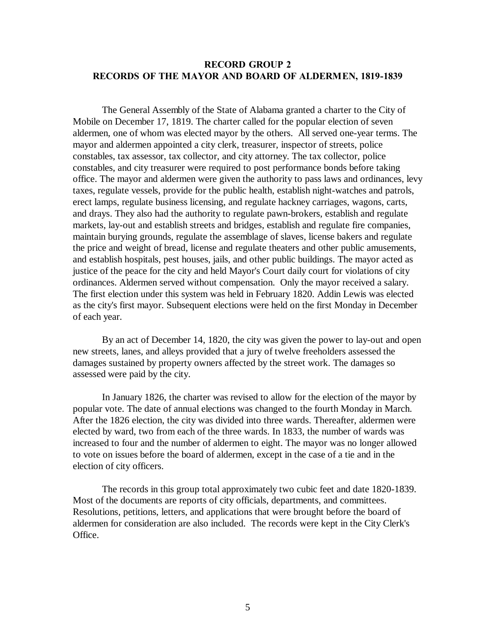### **RECORD GROUP 2 RECORDS OF THE MAYOR AND BOARD OF ALDERMEN, 1819-1839**

The General Assembly of the State of Alabama granted a charter to the City of Mobile on December 17, 1819. The charter called for the popular election of seven aldermen, one of whom was elected mayor by the others. All served one-year terms. The mayor and aldermen appointed a city clerk, treasurer, inspector of streets, police constables, tax assessor, tax collector, and city attorney. The tax collector, police constables, and city treasurer were required to post performance bonds before taking office. The mayor and aldermen were given the authority to pass laws and ordinances, levy taxes, regulate vessels, provide for the public health, establish night-watches and patrols, erect lamps, regulate business licensing, and regulate hackney carriages, wagons, carts, and drays. They also had the authority to regulate pawn-brokers, establish and regulate markets, lay-out and establish streets and bridges, establish and regulate fire companies, maintain burying grounds, regulate the assemblage of slaves, license bakers and regulate the price and weight of bread, license and regulate theaters and other public amusements, and establish hospitals, pest houses, jails, and other public buildings. The mayor acted as justice of the peace for the city and held Mayor's Court daily court for violations of city ordinances. Aldermen served without compensation. Only the mayor received a salary. The first election under this system was held in February 1820. Addin Lewis was elected as the city's first mayor. Subsequent elections were held on the first Monday in December of each year.

By an act of December 14, 1820, the city was given the power to lay-out and open new streets, lanes, and alleys provided that a jury of twelve freeholders assessed the damages sustained by property owners affected by the street work. The damages so assessed were paid by the city.

In January 1826, the charter was revised to allow for the election of the mayor by popular vote. The date of annual elections was changed to the fourth Monday in March. After the 1826 election, the city was divided into three wards. Thereafter, aldermen were elected by ward, two from each of the three wards. In 1833, the number of wards was increased to four and the number of aldermen to eight. The mayor was no longer allowed to vote on issues before the board of aldermen, except in the case of a tie and in the election of city officers.

The records in this group total approximately two cubic feet and date 1820-1839. Most of the documents are reports of city officials, departments, and committees. Resolutions, petitions, letters, and applications that were brought before the board of aldermen for consideration are also included. The records were kept in the City Clerk's Office.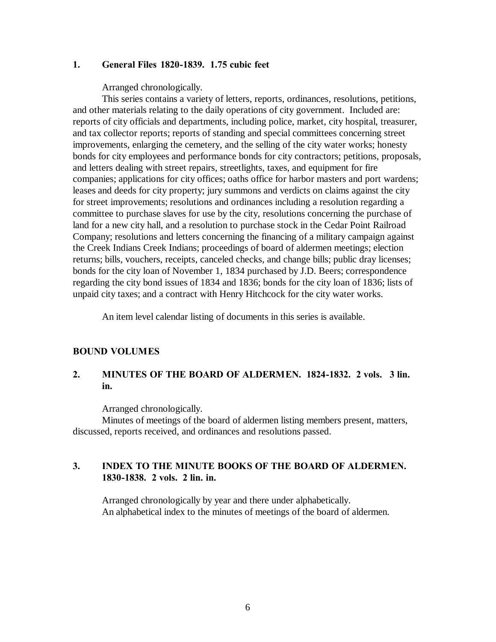### **1. General Files 1820-1839. 1.75 cubic feet**

Arranged chronologically.

This series contains a variety of letters, reports, ordinances, resolutions, petitions, and other materials relating to the daily operations of city government. Included are: reports of city officials and departments, including police, market, city hospital, treasurer, and tax collector reports; reports of standing and special committees concerning street improvements, enlarging the cemetery, and the selling of the city water works; honesty bonds for city employees and performance bonds for city contractors; petitions, proposals, and letters dealing with street repairs, streetlights, taxes, and equipment for fire companies; applications for city offices; oaths office for harbor masters and port wardens; leases and deeds for city property; jury summons and verdicts on claims against the city for street improvements; resolutions and ordinances including a resolution regarding a committee to purchase slaves for use by the city, resolutions concerning the purchase of land for a new city hall, and a resolution to purchase stock in the Cedar Point Railroad Company; resolutions and letters concerning the financing of a military campaign against the Creek Indians Creek Indians; proceedings of board of aldermen meetings; election returns; bills, vouchers, receipts, canceled checks, and change bills; public dray licenses; bonds for the city loan of November 1, 1834 purchased by J.D. Beers; correspondence regarding the city bond issues of 1834 and 1836; bonds for the city loan of 1836; lists of unpaid city taxes; and a contract with Henry Hitchcock for the city water works.

An item level calendar listing of documents in this series is available.

#### **BOUND VOLUMES**

# **2. MINUTES OF THE BOARD OF ALDERMEN. 1824-1832. 2 vols. 3 lin. in.**

Arranged chronologically.

Minutes of meetings of the board of aldermen listing members present, matters, discussed, reports received, and ordinances and resolutions passed.

# **3. INDEX TO THE MINUTE BOOKS OF THE BOARD OF ALDERMEN. 1830-1838. 2 vols. 2 lin. in.**

Arranged chronologically by year and there under alphabetically. An alphabetical index to the minutes of meetings of the board of aldermen.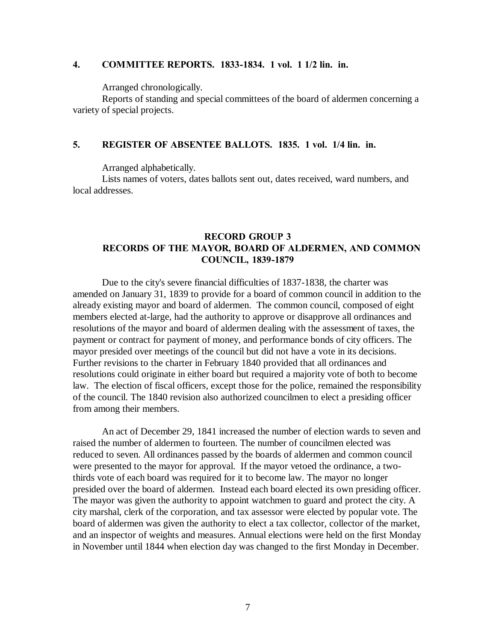#### **4. COMMITTEE REPORTS. 1833-1834. 1 vol. 1 1/2 lin. in.**

Arranged chronologically.

Reports of standing and special committees of the board of aldermen concerning a variety of special projects.

### **5. REGISTER OF ABSENTEE BALLOTS. 1835. 1 vol. 1/4 lin. in.**

Arranged alphabetically.

Lists names of voters, dates ballots sent out, dates received, ward numbers, and local addresses.

### **RECORD GROUP 3 RECORDS OF THE MAYOR, BOARD OF ALDERMEN, AND COMMON COUNCIL, 1839-1879**

Due to the city's severe financial difficulties of 1837-1838, the charter was amended on January 31, 1839 to provide for a board of common council in addition to the already existing mayor and board of aldermen. The common council, composed of eight members elected at-large, had the authority to approve or disapprove all ordinances and resolutions of the mayor and board of aldermen dealing with the assessment of taxes, the payment or contract for payment of money, and performance bonds of city officers. The mayor presided over meetings of the council but did not have a vote in its decisions. Further revisions to the charter in February 1840 provided that all ordinances and resolutions could originate in either board but required a majority vote of both to become law. The election of fiscal officers, except those for the police, remained the responsibility of the council. The 1840 revision also authorized councilmen to elect a presiding officer from among their members.

An act of December 29, 1841 increased the number of election wards to seven and raised the number of aldermen to fourteen. The number of councilmen elected was reduced to seven. All ordinances passed by the boards of aldermen and common council were presented to the mayor for approval. If the mayor vetoed the ordinance, a twothirds vote of each board was required for it to become law. The mayor no longer presided over the board of aldermen. Instead each board elected its own presiding officer. The mayor was given the authority to appoint watchmen to guard and protect the city. A city marshal, clerk of the corporation, and tax assessor were elected by popular vote. The board of aldermen was given the authority to elect a tax collector, collector of the market, and an inspector of weights and measures. Annual elections were held on the first Monday in November until 1844 when election day was changed to the first Monday in December.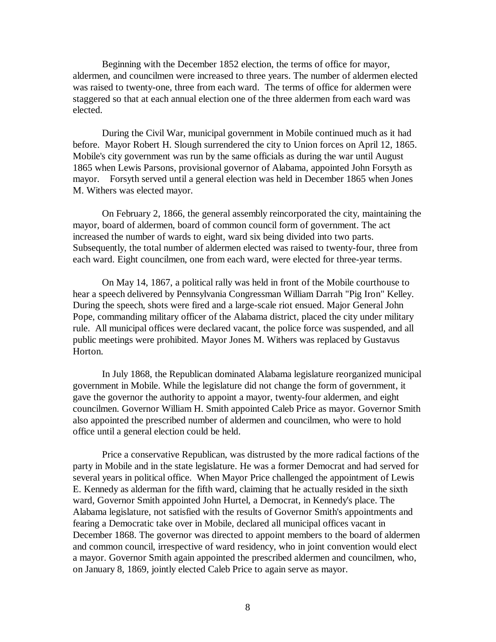Beginning with the December 1852 election, the terms of office for mayor, aldermen, and councilmen were increased to three years. The number of aldermen elected was raised to twenty-one, three from each ward. The terms of office for aldermen were staggered so that at each annual election one of the three aldermen from each ward was elected.

During the Civil War, municipal government in Mobile continued much as it had before. Mayor Robert H. Slough surrendered the city to Union forces on April 12, 1865. Mobile's city government was run by the same officials as during the war until August 1865 when Lewis Parsons, provisional governor of Alabama, appointed John Forsyth as mayor. Forsyth served until a general election was held in December 1865 when Jones M. Withers was elected mayor.

On February 2, 1866, the general assembly reincorporated the city, maintaining the mayor, board of aldermen, board of common council form of government. The act increased the number of wards to eight, ward six being divided into two parts. Subsequently, the total number of aldermen elected was raised to twenty-four, three from each ward. Eight councilmen, one from each ward, were elected for three-year terms.

On May 14, 1867, a political rally was held in front of the Mobile courthouse to hear a speech delivered by Pennsylvania Congressman William Darrah "Pig Iron" Kelley. During the speech, shots were fired and a large-scale riot ensued. Major General John Pope, commanding military officer of the Alabama district, placed the city under military rule. All municipal offices were declared vacant, the police force was suspended, and all public meetings were prohibited. Mayor Jones M. Withers was replaced by Gustavus Horton.

In July 1868, the Republican dominated Alabama legislature reorganized municipal government in Mobile. While the legislature did not change the form of government, it gave the governor the authority to appoint a mayor, twenty-four aldermen, and eight councilmen. Governor William H. Smith appointed Caleb Price as mayor. Governor Smith also appointed the prescribed number of aldermen and councilmen, who were to hold office until a general election could be held.

Price a conservative Republican, was distrusted by the more radical factions of the party in Mobile and in the state legislature. He was a former Democrat and had served for several years in political office. When Mayor Price challenged the appointment of Lewis E. Kennedy as alderman for the fifth ward, claiming that he actually resided in the sixth ward, Governor Smith appointed John Hurtel, a Democrat, in Kennedy's place. The Alabama legislature, not satisfied with the results of Governor Smith's appointments and fearing a Democratic take over in Mobile, declared all municipal offices vacant in December 1868. The governor was directed to appoint members to the board of aldermen and common council, irrespective of ward residency, who in joint convention would elect a mayor. Governor Smith again appointed the prescribed aldermen and councilmen, who, on January 8, 1869, jointly elected Caleb Price to again serve as mayor.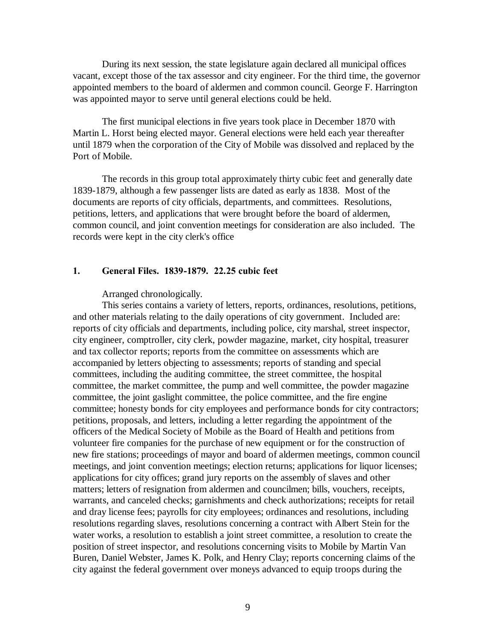During its next session, the state legislature again declared all municipal offices vacant, except those of the tax assessor and city engineer. For the third time, the governor appointed members to the board of aldermen and common council. George F. Harrington was appointed mayor to serve until general elections could be held.

The first municipal elections in five years took place in December 1870 with Martin L. Horst being elected mayor. General elections were held each year thereafter until 1879 when the corporation of the City of Mobile was dissolved and replaced by the Port of Mobile.

The records in this group total approximately thirty cubic feet and generally date 1839-1879, although a few passenger lists are dated as early as 1838. Most of the documents are reports of city officials, departments, and committees. Resolutions, petitions, letters, and applications that were brought before the board of aldermen, common council, and joint convention meetings for consideration are also included. The records were kept in the city clerk's office

#### **1. General Files. 1839-1879. 22.25 cubic feet**

Arranged chronologically.

This series contains a variety of letters, reports, ordinances, resolutions, petitions, and other materials relating to the daily operations of city government. Included are: reports of city officials and departments, including police, city marshal, street inspector, city engineer, comptroller, city clerk, powder magazine, market, city hospital, treasurer and tax collector reports; reports from the committee on assessments which are accompanied by letters objecting to assessments; reports of standing and special committees, including the auditing committee, the street committee, the hospital committee, the market committee, the pump and well committee, the powder magazine committee, the joint gaslight committee, the police committee, and the fire engine committee; honesty bonds for city employees and performance bonds for city contractors; petitions, proposals, and letters, including a letter regarding the appointment of the officers of the Medical Society of Mobile as the Board of Health and petitions from volunteer fire companies for the purchase of new equipment or for the construction of new fire stations; proceedings of mayor and board of aldermen meetings, common council meetings, and joint convention meetings; election returns; applications for liquor licenses; applications for city offices; grand jury reports on the assembly of slaves and other matters; letters of resignation from aldermen and councilmen; bills, vouchers, receipts, warrants, and canceled checks; garnishments and check authorizations; receipts for retail and dray license fees; payrolls for city employees; ordinances and resolutions, including resolutions regarding slaves, resolutions concerning a contract with Albert Stein for the water works, a resolution to establish a joint street committee, a resolution to create the position of street inspector, and resolutions concerning visits to Mobile by Martin Van Buren, Daniel Webster, James K. Polk, and Henry Clay; reports concerning claims of the city against the federal government over moneys advanced to equip troops during the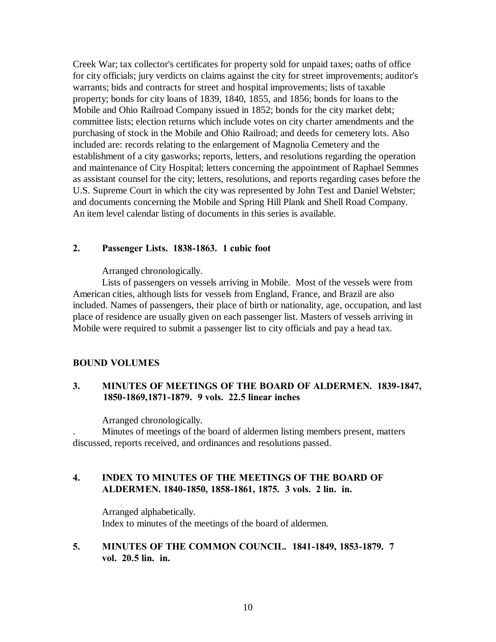Creek War; tax collector's certificates for property sold for unpaid taxes; oaths of office for city officials; jury verdicts on claims against the city for street improvements; auditor's warrants; bids and contracts for street and hospital improvements; lists of taxable property; bonds for city loans of 1839, 1840, 1855, and 1856; bonds for loans to the Mobile and Ohio Railroad Company issued in 1852; bonds for the city market debt; committee lists; election returns which include votes on city charter amendments and the purchasing of stock in the Mobile and Ohio Railroad; and deeds for cemetery lots. Also included are: records relating to the enlargement of Magnolia Cemetery and the establishment of a city gasworks; reports, letters, and resolutions regarding the operation and maintenance of City Hospital; letters concerning the appointment of Raphael Semmes as assistant counsel for the city; letters, resolutions, and reports regarding cases before the U.S. Supreme Court in which the city was represented by John Test and Daniel Webster; and documents concerning the Mobile and Spring Hill Plank and Shell Road Company. An item level calendar listing of documents in this series is available.

### **2. Passenger Lists. 1838-1863. 1 cubic foot**

Arranged chronologically.

Lists of passengers on vessels arriving in Mobile. Most of the vessels were from American cities, although lists for vessels from England, France, and Brazil are also included. Names of passengers, their place of birth or nationality, age, occupation, and last place of residence are usually given on each passenger list. Masters of vessels arriving in Mobile were required to submit a passenger list to city officials and pay a head tax.

### **BOUND VOLUMES**

# **3. MINUTES OF MEETINGS OF THE BOARD OF ALDERMEN. 1839-1847, 1850-1869,1871-1879. 9 vols. 22.5 linear inches**

Arranged chronologically.

. Minutes of meetings of the board of aldermen listing members present, matters discussed, reports received, and ordinances and resolutions passed.

# **4. INDEX TO MINUTES OF THE MEETINGS OF THE BOARD OF ALDERMEN. 1840-1850, 1858-1861, 1875. 3 vols. 2 lin. in.**

Arranged alphabetically. Index to minutes of the meetings of the board of aldermen.

# **5. MINUTES OF THE COMMON COUNCIL. 1841-1849, 1853-1879. 7 vol. 20.5 lin. in.**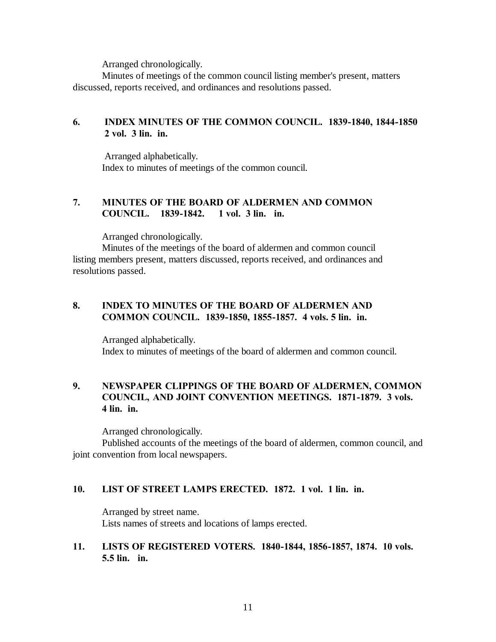Arranged chronologically.

Minutes of meetings of the common council listing member's present, matters discussed, reports received, and ordinances and resolutions passed.

# **6. INDEX MINUTES OF THE COMMON COUNCIL. 1839-1840, 1844-1850 2 vol. 3 lin. in.**

 Arranged alphabetically. Index to minutes of meetings of the common council.

# **7. MINUTES OF THE BOARD OF ALDERMEN AND COMMON COUNCIL. 1839-1842. 1 vol. 3 lin. in.**

Arranged chronologically.

Minutes of the meetings of the board of aldermen and common council listing members present, matters discussed, reports received, and ordinances and resolutions passed.

# **8. INDEX TO MINUTES OF THE BOARD OF ALDERMEN AND COMMON COUNCIL. 1839-1850, 1855-1857. 4 vols. 5 lin. in.**

Arranged alphabetically. Index to minutes of meetings of the board of aldermen and common council.

# **9. NEWSPAPER CLIPPINGS OF THE BOARD OF ALDERMEN, COMMON COUNCIL, AND JOINT CONVENTION MEETINGS. 1871-1879. 3 vols. 4 lin. in.**

Arranged chronologically.

Published accounts of the meetings of the board of aldermen, common council, and joint convention from local newspapers.

# **10. LIST OF STREET LAMPS ERECTED. 1872. 1 vol. 1 lin. in.**

Arranged by street name. Lists names of streets and locations of lamps erected.

# **11. LISTS OF REGISTERED VOTERS. 1840-1844, 1856-1857, 1874. 10 vols. 5.5 lin. in.**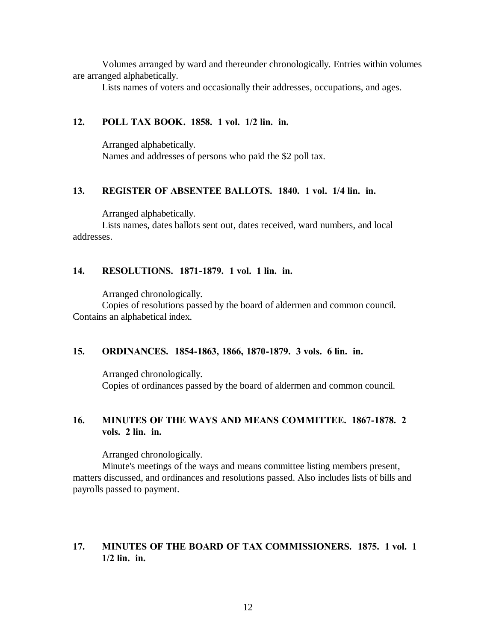Volumes arranged by ward and thereunder chronologically. Entries within volumes are arranged alphabetically.

Lists names of voters and occasionally their addresses, occupations, and ages.

### **12. POLL TAX BOOK. 1858. 1 vol. 1/2 lin. in.**

Arranged alphabetically. Names and addresses of persons who paid the \$2 poll tax.

#### **13. REGISTER OF ABSENTEE BALLOTS. 1840. 1 vol. 1/4 lin. in.**

Arranged alphabetically.

Lists names, dates ballots sent out, dates received, ward numbers, and local addresses.

#### **14. RESOLUTIONS. 1871-1879. 1 vol. 1 lin. in.**

Arranged chronologically.

Copies of resolutions passed by the board of aldermen and common council. Contains an alphabetical index.

#### **15. ORDINANCES. 1854-1863, 1866, 1870-1879. 3 vols. 6 lin. in.**

Arranged chronologically. Copies of ordinances passed by the board of aldermen and common council.

# **16. MINUTES OF THE WAYS AND MEANS COMMITTEE. 1867-1878. 2 vols. 2 lin. in.**

Arranged chronologically.

Minute's meetings of the ways and means committee listing members present, matters discussed, and ordinances and resolutions passed. Also includes lists of bills and payrolls passed to payment.

### **17. MINUTES OF THE BOARD OF TAX COMMISSIONERS. 1875. 1 vol. 1 1/2 lin. in.**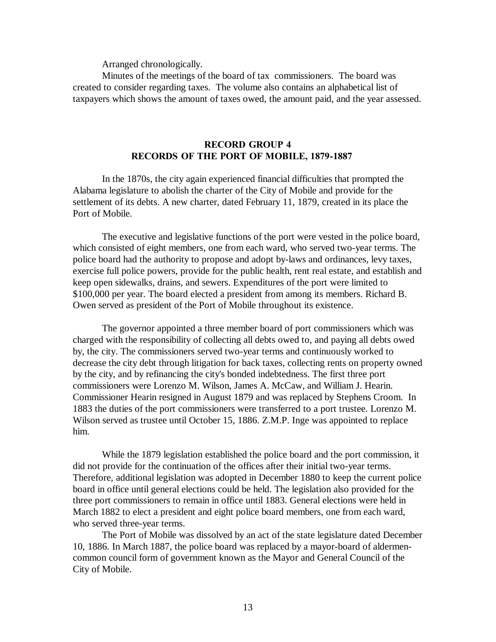Arranged chronologically.

Minutes of the meetings of the board of tax commissioners. The board was created to consider regarding taxes. The volume also contains an alphabetical list of taxpayers which shows the amount of taxes owed, the amount paid, and the year assessed.

#### **RECORD GROUP 4 RECORDS OF THE PORT OF MOBILE, 1879-1887**

In the 1870s, the city again experienced financial difficulties that prompted the Alabama legislature to abolish the charter of the City of Mobile and provide for the settlement of its debts. A new charter, dated February 11, 1879, created in its place the Port of Mobile.

The executive and legislative functions of the port were vested in the police board, which consisted of eight members, one from each ward, who served two-year terms. The police board had the authority to propose and adopt by-laws and ordinances, levy taxes, exercise full police powers, provide for the public health, rent real estate, and establish and keep open sidewalks, drains, and sewers. Expenditures of the port were limited to \$100,000 per year. The board elected a president from among its members. Richard B. Owen served as president of the Port of Mobile throughout its existence.

The governor appointed a three member board of port commissioners which was charged with the responsibility of collecting all debts owed to, and paying all debts owed by, the city. The commissioners served two-year terms and continuously worked to decrease the city debt through litigation for back taxes, collecting rents on property owned by the city, and by refinancing the city's bonded indebtedness. The first three port commissioners were Lorenzo M. Wilson, James A. McCaw, and William J. Hearin. Commissioner Hearin resigned in August 1879 and was replaced by Stephens Croom. In 1883 the duties of the port commissioners were transferred to a port trustee. Lorenzo M. Wilson served as trustee until October 15, 1886. Z.M.P. Inge was appointed to replace him.

While the 1879 legislation established the police board and the port commission, it did not provide for the continuation of the offices after their initial two-year terms. Therefore, additional legislation was adopted in December 1880 to keep the current police board in office until general elections could be held. The legislation also provided for the three port commissioners to remain in office until 1883. General elections were held in March 1882 to elect a president and eight police board members, one from each ward, who served three-year terms.

The Port of Mobile was dissolved by an act of the state legislature dated December 10, 1886. In March 1887, the police board was replaced by a mayor-board of aldermencommon council form of government known as the Mayor and General Council of the City of Mobile.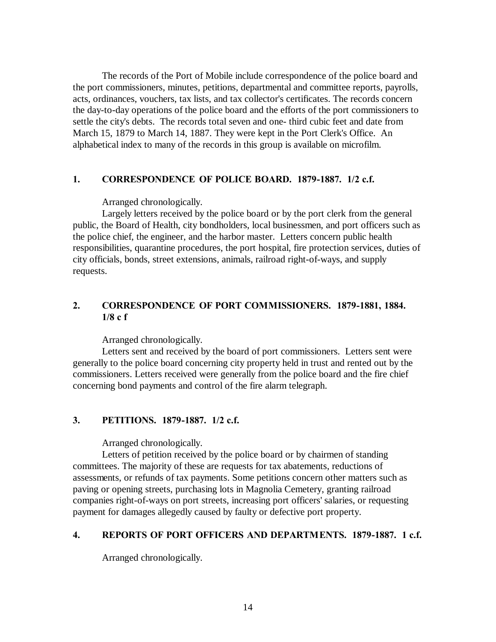The records of the Port of Mobile include correspondence of the police board and the port commissioners, minutes, petitions, departmental and committee reports, payrolls, acts, ordinances, vouchers, tax lists, and tax collector's certificates. The records concern the day-to-day operations of the police board and the efforts of the port commissioners to settle the city's debts. The records total seven and one- third cubic feet and date from March 15, 1879 to March 14, 1887. They were kept in the Port Clerk's Office. An alphabetical index to many of the records in this group is available on microfilm.

### **1. CORRESPONDENCE OF POLICE BOARD. 1879-1887. 1/2 c.f.**

Arranged chronologically.

Largely letters received by the police board or by the port clerk from the general public, the Board of Health, city bondholders, local businessmen, and port officers such as the police chief, the engineer, and the harbor master. Letters concern public health responsibilities, quarantine procedures, the port hospital, fire protection services, duties of city officials, bonds, street extensions, animals, railroad right-of-ways, and supply requests.

# **2. CORRESPONDENCE OF PORT COMMISSIONERS. 1879-1881, 1884. 1/8 c f**

Arranged chronologically.

Letters sent and received by the board of port commissioners. Letters sent were generally to the police board concerning city property held in trust and rented out by the commissioners. Letters received were generally from the police board and the fire chief concerning bond payments and control of the fire alarm telegraph.

### **3. PETITIONS. 1879-1887. 1/2 c.f.**

Arranged chronologically.

Letters of petition received by the police board or by chairmen of standing committees. The majority of these are requests for tax abatements, reductions of assessments, or refunds of tax payments. Some petitions concern other matters such as paving or opening streets, purchasing lots in Magnolia Cemetery, granting railroad companies right-of-ways on port streets, increasing port officers' salaries, or requesting payment for damages allegedly caused by faulty or defective port property.

### **4. REPORTS OF PORT OFFICERS AND DEPARTMENTS. 1879-1887. 1 c.f.**

Arranged chronologically.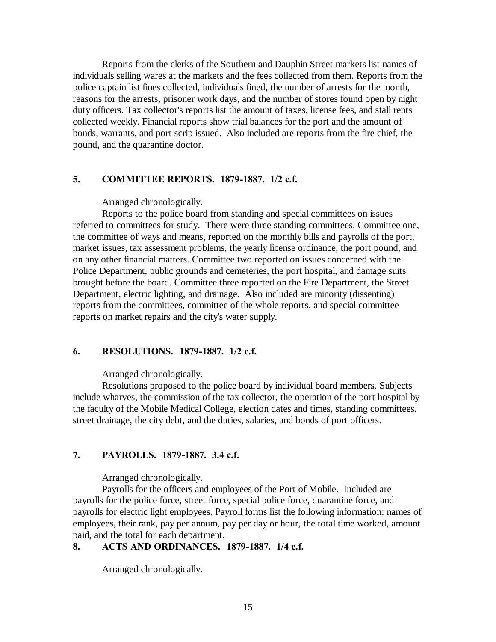Reports from the clerks of the Southern and Dauphin Street markets list names of individuals selling wares at the markets and the fees collected from them. Reports from the police captain list fines collected, individuals fined, the number of arrests for the month, reasons for the arrests, prisoner work days, and the number of stores found open by night duty officers. Tax collector's reports list the amount of taxes, license fees, and stall rents collected weekly. Financial reports show trial balances for the port and the amount of bonds, warrants, and port scrip issued. Also included are reports from the fire chief, the pound, and the quarantine doctor.

### **5. COMMITTEE REPORTS. 1879-1887. 1/2 c.f.**

Arranged chronologically.

Reports to the police board from standing and special committees on issues referred to committees for study. There were three standing committees. Committee one, the committee of ways and means, reported on the monthly bills and payrolls of the port, market issues, tax assessment problems, the yearly license ordinance, the port pound, and on any other financial matters. Committee two reported on issues concerned with the Police Department, public grounds and cemeteries, the port hospital, and damage suits brought before the board. Committee three reported on the Fire Department, the Street Department, electric lighting, and drainage. Also included are minority (dissenting) reports from the committees, committee of the whole reports, and special committee reports on market repairs and the city's water supply.

#### **6. RESOLUTIONS. 1879-1887. 1/2 c.f.**

Arranged chronologically.

Resolutions proposed to the police board by individual board members. Subjects include wharves, the commission of the tax collector, the operation of the port hospital by the faculty of the Mobile Medical College, election dates and times, standing committees, street drainage, the city debt, and the duties, salaries, and bonds of port officers.

# **7. PAYROLLS. 1879-1887. 3.4 c.f.**

Arranged chronologically.

Payrolls for the officers and employees of the Port of Mobile. Included are payrolls for the police force, street force, special police force, quarantine force, and payrolls for electric light employees. Payroll forms list the following information: names of employees, their rank, pay per annum, pay per day or hour, the total time worked, amount paid, and the total for each department.

# **8. ACTS AND ORDINANCES. 1879-1887. 1/4 c.f.**

Arranged chronologically.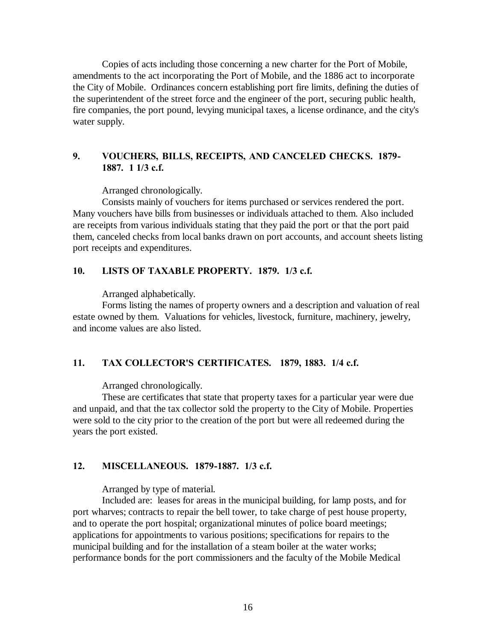Copies of acts including those concerning a new charter for the Port of Mobile, amendments to the act incorporating the Port of Mobile, and the 1886 act to incorporate the City of Mobile. Ordinances concern establishing port fire limits, defining the duties of the superintendent of the street force and the engineer of the port, securing public health, fire companies, the port pound, levying municipal taxes, a license ordinance, and the city's water supply.

# **9. VOUCHERS, BILLS, RECEIPTS, AND CANCELED CHECKS. 1879- 1887. 1 1/3 c.f.**

Arranged chronologically.

Consists mainly of vouchers for items purchased or services rendered the port. Many vouchers have bills from businesses or individuals attached to them. Also included are receipts from various individuals stating that they paid the port or that the port paid them, canceled checks from local banks drawn on port accounts, and account sheets listing port receipts and expenditures.

### **10. LISTS OF TAXABLE PROPERTY. 1879. 1/3 c.f.**

Arranged alphabetically.

Forms listing the names of property owners and a description and valuation of real estate owned by them. Valuations for vehicles, livestock, furniture, machinery, jewelry, and income values are also listed.

### **11. TAX COLLECTOR'S CERTIFICATES. 1879, 1883. 1/4 c.f.**

Arranged chronologically.

These are certificates that state that property taxes for a particular year were due and unpaid, and that the tax collector sold the property to the City of Mobile. Properties were sold to the city prior to the creation of the port but were all redeemed during the years the port existed.

### **12. MISCELLANEOUS. 1879-1887. 1/3 c.f.**

Arranged by type of material.

Included are: leases for areas in the municipal building, for lamp posts, and for port wharves; contracts to repair the bell tower, to take charge of pest house property, and to operate the port hospital; organizational minutes of police board meetings; applications for appointments to various positions; specifications for repairs to the municipal building and for the installation of a steam boiler at the water works; performance bonds for the port commissioners and the faculty of the Mobile Medical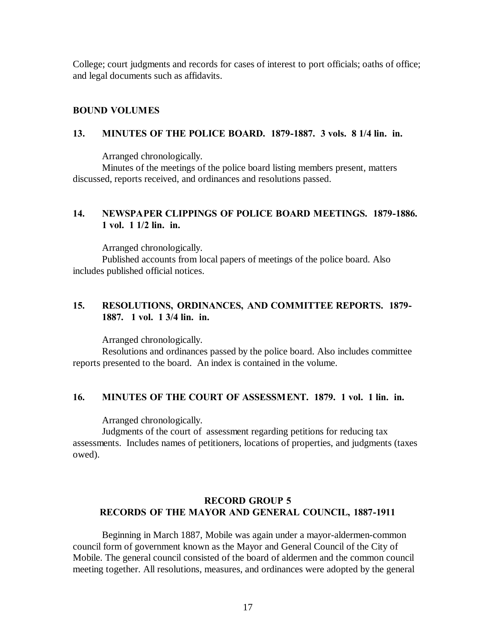College; court judgments and records for cases of interest to port officials; oaths of office; and legal documents such as affidavits.

#### **BOUND VOLUMES**

#### **13. MINUTES OF THE POLICE BOARD. 1879-1887. 3 vols. 8 1/4 lin. in.**

Arranged chronologically.

Minutes of the meetings of the police board listing members present, matters discussed, reports received, and ordinances and resolutions passed.

# **14. NEWSPAPER CLIPPINGS OF POLICE BOARD MEETINGS. 1879-1886. 1 vol. 1 1/2 lin. in.**

Arranged chronologically.

Published accounts from local papers of meetings of the police board. Also includes published official notices.

# **15. RESOLUTIONS, ORDINANCES, AND COMMITTEE REPORTS. 1879- 1887. 1 vol. 1 3/4 lin. in.**

Arranged chronologically.

Resolutions and ordinances passed by the police board. Also includes committee reports presented to the board. An index is contained in the volume.

#### **16. MINUTES OF THE COURT OF ASSESSMENT. 1879. 1 vol. 1 lin. in.**

Arranged chronologically.

Judgments of the court of assessment regarding petitions for reducing tax assessments. Includes names of petitioners, locations of properties, and judgments (taxes owed).

### **RECORD GROUP 5 RECORDS OF THE MAYOR AND GENERAL COUNCIL, 1887-1911**

Beginning in March 1887, Mobile was again under a mayor-aldermen-common council form of government known as the Mayor and General Council of the City of Mobile. The general council consisted of the board of aldermen and the common council meeting together. All resolutions, measures, and ordinances were adopted by the general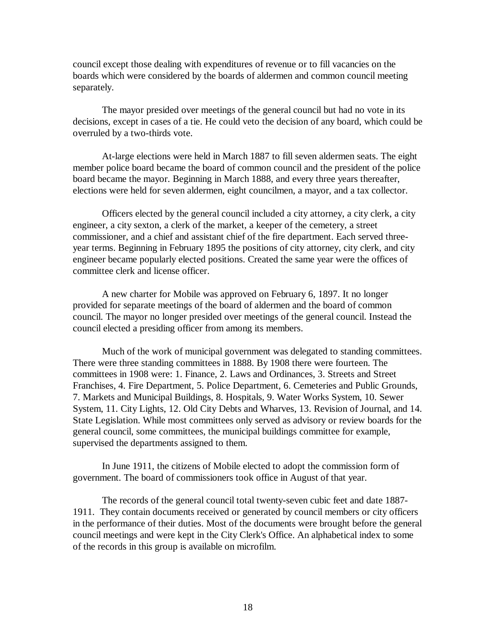council except those dealing with expenditures of revenue or to fill vacancies on the boards which were considered by the boards of aldermen and common council meeting separately.

The mayor presided over meetings of the general council but had no vote in its decisions, except in cases of a tie. He could veto the decision of any board, which could be overruled by a two-thirds vote.

At-large elections were held in March 1887 to fill seven aldermen seats. The eight member police board became the board of common council and the president of the police board became the mayor. Beginning in March 1888, and every three years thereafter, elections were held for seven aldermen, eight councilmen, a mayor, and a tax collector.

Officers elected by the general council included a city attorney, a city clerk, a city engineer, a city sexton, a clerk of the market, a keeper of the cemetery, a street commissioner, and a chief and assistant chief of the fire department. Each served threeyear terms. Beginning in February 1895 the positions of city attorney, city clerk, and city engineer became popularly elected positions. Created the same year were the offices of committee clerk and license officer.

A new charter for Mobile was approved on February 6, 1897. It no longer provided for separate meetings of the board of aldermen and the board of common council. The mayor no longer presided over meetings of the general council. Instead the council elected a presiding officer from among its members.

Much of the work of municipal government was delegated to standing committees. There were three standing committees in 1888. By 1908 there were fourteen. The committees in 1908 were: 1. Finance, 2. Laws and Ordinances, 3. Streets and Street Franchises, 4. Fire Department, 5. Police Department, 6. Cemeteries and Public Grounds, 7. Markets and Municipal Buildings, 8. Hospitals, 9. Water Works System, 10. Sewer System, 11. City Lights, 12. Old City Debts and Wharves, 13. Revision of Journal, and 14. State Legislation. While most committees only served as advisory or review boards for the general council, some committees, the municipal buildings committee for example, supervised the departments assigned to them.

In June 1911, the citizens of Mobile elected to adopt the commission form of government. The board of commissioners took office in August of that year.

The records of the general council total twenty-seven cubic feet and date 1887- 1911. They contain documents received or generated by council members or city officers in the performance of their duties. Most of the documents were brought before the general council meetings and were kept in the City Clerk's Office. An alphabetical index to some of the records in this group is available on microfilm.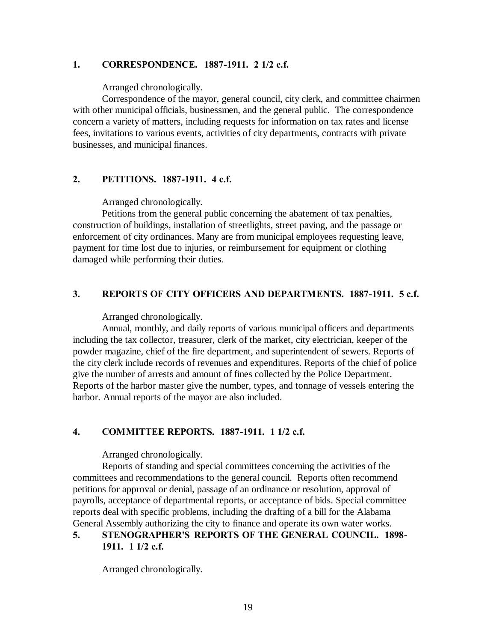### **1. CORRESPONDENCE. 1887-1911. 2 1/2 c.f.**

Arranged chronologically.

Correspondence of the mayor, general council, city clerk, and committee chairmen with other municipal officials, businessmen, and the general public. The correspondence concern a variety of matters, including requests for information on tax rates and license fees, invitations to various events, activities of city departments, contracts with private businesses, and municipal finances.

# **2. PETITIONS. 1887-1911. 4 c.f.**

Arranged chronologically.

Petitions from the general public concerning the abatement of tax penalties, construction of buildings, installation of streetlights, street paving, and the passage or enforcement of city ordinances. Many are from municipal employees requesting leave, payment for time lost due to injuries, or reimbursement for equipment or clothing damaged while performing their duties.

### **3. REPORTS OF CITY OFFICERS AND DEPARTMENTS. 1887-1911. 5 c.f.**

Arranged chronologically.

Annual, monthly, and daily reports of various municipal officers and departments including the tax collector, treasurer, clerk of the market, city electrician, keeper of the powder magazine, chief of the fire department, and superintendent of sewers. Reports of the city clerk include records of revenues and expenditures. Reports of the chief of police give the number of arrests and amount of fines collected by the Police Department. Reports of the harbor master give the number, types, and tonnage of vessels entering the harbor. Annual reports of the mayor are also included.

### **4. COMMITTEE REPORTS. 1887-1911. 1 1/2 c.f.**

Arranged chronologically.

Reports of standing and special committees concerning the activities of the committees and recommendations to the general council. Reports often recommend petitions for approval or denial, passage of an ordinance or resolution, approval of payrolls, acceptance of departmental reports, or acceptance of bids. Special committee reports deal with specific problems, including the drafting of a bill for the Alabama General Assembly authorizing the city to finance and operate its own water works.

# **5. STENOGRAPHER'S REPORTS OF THE GENERAL COUNCIL. 1898- 1911. 1 1/2 c.f.**

Arranged chronologically.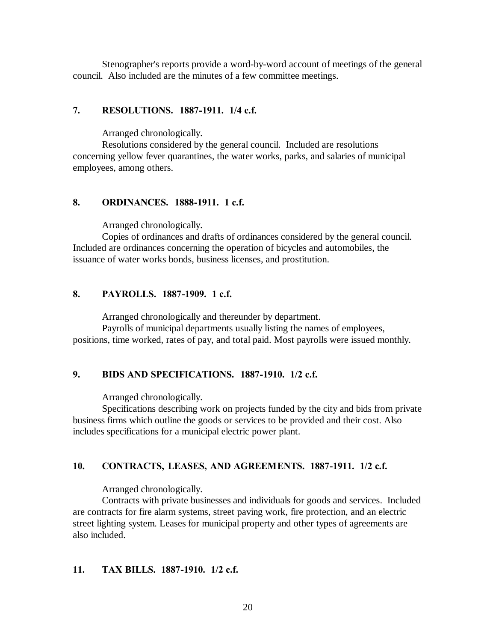Stenographer's reports provide a word-by-word account of meetings of the general council. Also included are the minutes of a few committee meetings.

#### **7. RESOLUTIONS. 1887-1911. 1/4 c.f.**

Arranged chronologically.

Resolutions considered by the general council. Included are resolutions concerning yellow fever quarantines, the water works, parks, and salaries of municipal employees, among others.

### **8. ORDINANCES. 1888-1911. 1 c.f.**

Arranged chronologically.

Copies of ordinances and drafts of ordinances considered by the general council. Included are ordinances concerning the operation of bicycles and automobiles, the issuance of water works bonds, business licenses, and prostitution.

### **8. PAYROLLS. 1887-1909. 1 c.f.**

Arranged chronologically and thereunder by department.

Payrolls of municipal departments usually listing the names of employees, positions, time worked, rates of pay, and total paid. Most payrolls were issued monthly.

### **9. BIDS AND SPECIFICATIONS. 1887-1910. 1/2 c.f.**

Arranged chronologically.

Specifications describing work on projects funded by the city and bids from private business firms which outline the goods or services to be provided and their cost. Also includes specifications for a municipal electric power plant.

### **10. CONTRACTS, LEASES, AND AGREEMENTS. 1887-1911. 1/2 c.f.**

Arranged chronologically.

Contracts with private businesses and individuals for goods and services. Included are contracts for fire alarm systems, street paving work, fire protection, and an electric street lighting system. Leases for municipal property and other types of agreements are also included.

#### **11. TAX BILLS. 1887-1910. 1/2 c.f.**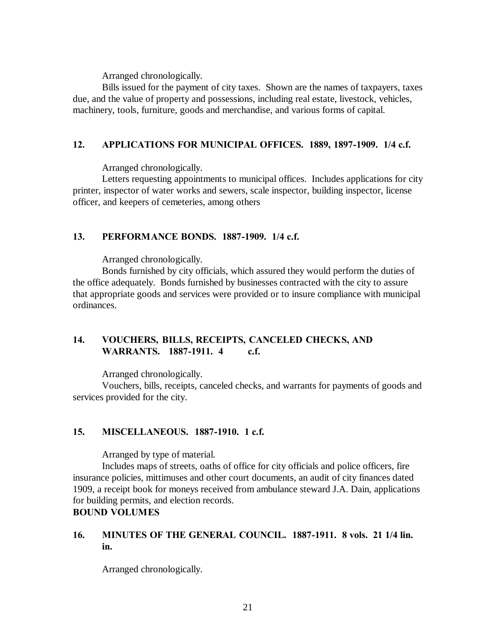Arranged chronologically.

Bills issued for the payment of city taxes. Shown are the names of taxpayers, taxes due, and the value of property and possessions, including real estate, livestock, vehicles, machinery, tools, furniture, goods and merchandise, and various forms of capital.

# **12. APPLICATIONS FOR MUNICIPAL OFFICES. 1889, 1897-1909. 1/4 c.f.**

Arranged chronologically.

Letters requesting appointments to municipal offices. Includes applications for city printer, inspector of water works and sewers, scale inspector, building inspector, license officer, and keepers of cemeteries, among others

# **13. PERFORMANCE BONDS. 1887-1909. 1/4 c.f.**

Arranged chronologically.

Bonds furnished by city officials, which assured they would perform the duties of the office adequately. Bonds furnished by businesses contracted with the city to assure that appropriate goods and services were provided or to insure compliance with municipal ordinances.

# **14. VOUCHERS, BILLS, RECEIPTS, CANCELED CHECKS, AND WARRANTS. 1887-1911. 4 c.f.**

Arranged chronologically.

Vouchers, bills, receipts, canceled checks, and warrants for payments of goods and services provided for the city.

# **15. MISCELLANEOUS. 1887-1910. 1 c.f.**

Arranged by type of material.

Includes maps of streets, oaths of office for city officials and police officers, fire insurance policies, mittimuses and other court documents, an audit of city finances dated 1909, a receipt book for moneys received from ambulance steward J.A. Dain, applications for building permits, and election records.

# **BOUND VOLUMES**

# **16. MINUTES OF THE GENERAL COUNCIL. 1887-1911. 8 vols. 21 1/4 lin. in.**

Arranged chronologically.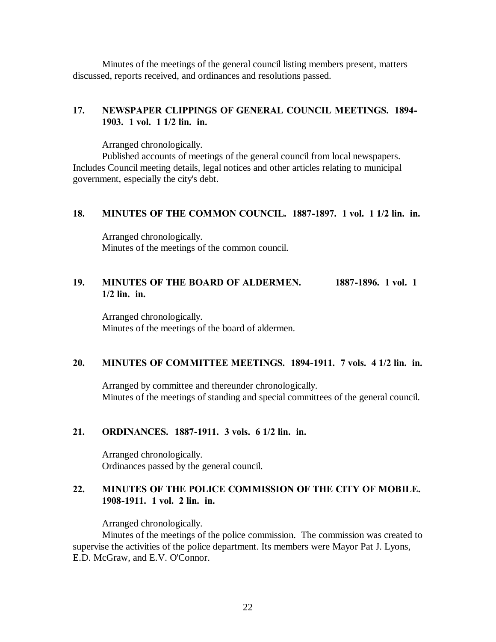Minutes of the meetings of the general council listing members present, matters discussed, reports received, and ordinances and resolutions passed.

# **17. NEWSPAPER CLIPPINGS OF GENERAL COUNCIL MEETINGS. 1894- 1903. 1 vol. 1 1/2 lin. in.**

Arranged chronologically.

Published accounts of meetings of the general council from local newspapers. Includes Council meeting details, legal notices and other articles relating to municipal government, especially the city's debt.

#### **18. MINUTES OF THE COMMON COUNCIL. 1887-1897. 1 vol. 1 1/2 lin. in.**

Arranged chronologically. Minutes of the meetings of the common council.

# **19. MINUTES OF THE BOARD OF ALDERMEN. 1887-1896. 1 vol. 1 1/2 lin. in.**

Arranged chronologically. Minutes of the meetings of the board of aldermen.

### **20. MINUTES OF COMMITTEE MEETINGS. 1894-1911. 7 vols. 4 1/2 lin. in.**

Arranged by committee and thereunder chronologically. Minutes of the meetings of standing and special committees of the general council.

#### **21. ORDINANCES. 1887-1911. 3 vols. 6 1/2 lin. in.**

Arranged chronologically. Ordinances passed by the general council.

# **22. MINUTES OF THE POLICE COMMISSION OF THE CITY OF MOBILE. 1908-1911. 1 vol. 2 lin. in.**

Arranged chronologically.

Minutes of the meetings of the police commission. The commission was created to supervise the activities of the police department. Its members were Mayor Pat J. Lyons, E.D. McGraw, and E.V. O'Connor.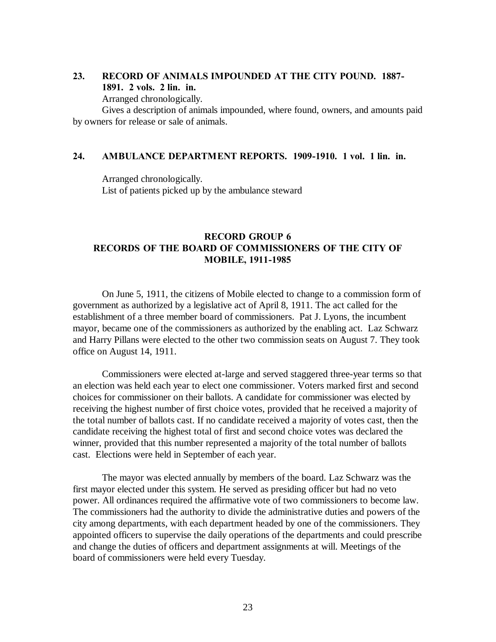# **23. RECORD OF ANIMALS IMPOUNDED AT THE CITY POUND. 1887- 1891. 2 vols. 2 lin. in.**

Arranged chronologically.

Gives a description of animals impounded, where found, owners, and amounts paid by owners for release or sale of animals.

### **24. AMBULANCE DEPARTMENT REPORTS. 1909-1910. 1 vol. 1 lin. in.**

Arranged chronologically. List of patients picked up by the ambulance steward

### **RECORD GROUP 6 RECORDS OF THE BOARD OF COMMISSIONERS OF THE CITY OF MOBILE, 1911-1985**

On June 5, 1911, the citizens of Mobile elected to change to a commission form of government as authorized by a legislative act of April 8, 1911. The act called for the establishment of a three member board of commissioners. Pat J. Lyons, the incumbent mayor, became one of the commissioners as authorized by the enabling act. Laz Schwarz and Harry Pillans were elected to the other two commission seats on August 7. They took office on August 14, 1911.

Commissioners were elected at-large and served staggered three-year terms so that an election was held each year to elect one commissioner. Voters marked first and second choices for commissioner on their ballots. A candidate for commissioner was elected by receiving the highest number of first choice votes, provided that he received a majority of the total number of ballots cast. If no candidate received a majority of votes cast, then the candidate receiving the highest total of first and second choice votes was declared the winner, provided that this number represented a majority of the total number of ballots cast. Elections were held in September of each year.

The mayor was elected annually by members of the board. Laz Schwarz was the first mayor elected under this system. He served as presiding officer but had no veto power. All ordinances required the affirmative vote of two commissioners to become law. The commissioners had the authority to divide the administrative duties and powers of the city among departments, with each department headed by one of the commissioners. They appointed officers to supervise the daily operations of the departments and could prescribe and change the duties of officers and department assignments at will. Meetings of the board of commissioners were held every Tuesday.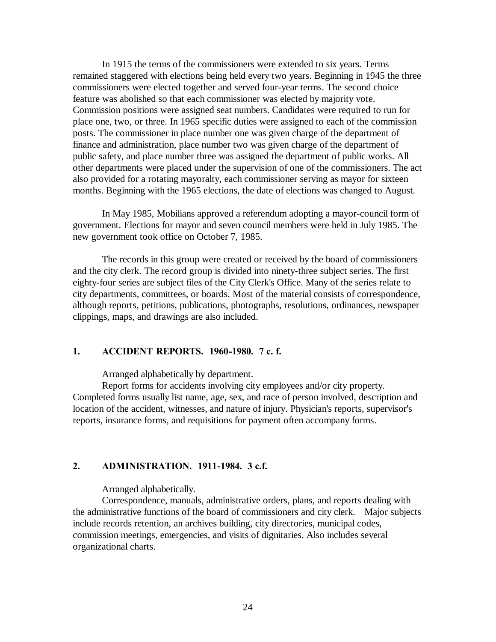In 1915 the terms of the commissioners were extended to six years. Terms remained staggered with elections being held every two years. Beginning in 1945 the three commissioners were elected together and served four-year terms. The second choice feature was abolished so that each commissioner was elected by majority vote. Commission positions were assigned seat numbers. Candidates were required to run for place one, two, or three. In 1965 specific duties were assigned to each of the commission posts. The commissioner in place number one was given charge of the department of finance and administration, place number two was given charge of the department of public safety, and place number three was assigned the department of public works. All other departments were placed under the supervision of one of the commissioners. The act also provided for a rotating mayoralty, each commissioner serving as mayor for sixteen months. Beginning with the 1965 elections, the date of elections was changed to August.

In May 1985, Mobilians approved a referendum adopting a mayor-council form of government. Elections for mayor and seven council members were held in July 1985. The new government took office on October 7, 1985.

The records in this group were created or received by the board of commissioners and the city clerk. The record group is divided into ninety-three subject series. The first eighty-four series are subject files of the City Clerk's Office. Many of the series relate to city departments, committees, or boards. Most of the material consists of correspondence, although reports, petitions, publications, photographs, resolutions, ordinances, newspaper clippings, maps, and drawings are also included.

#### **1. ACCIDENT REPORTS. 1960-1980. 7 c. f.**

Arranged alphabetically by department.

Report forms for accidents involving city employees and/or city property. Completed forms usually list name, age, sex, and race of person involved, description and location of the accident, witnesses, and nature of injury. Physician's reports, supervisor's reports, insurance forms, and requisitions for payment often accompany forms.

### **2. ADMINISTRATION. 1911-1984. 3 c.f.**

Arranged alphabetically.

Correspondence, manuals, administrative orders, plans, and reports dealing with the administrative functions of the board of commissioners and city clerk. Major subjects include records retention, an archives building, city directories, municipal codes, commission meetings, emergencies, and visits of dignitaries. Also includes several organizational charts.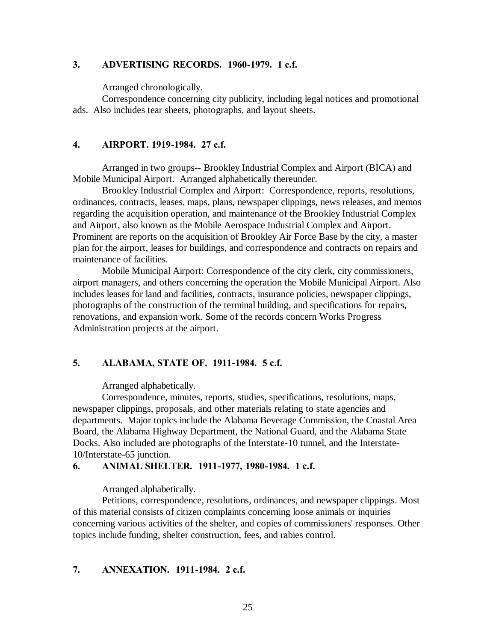### **3. ADVERTISING RECORDS. 1960-1979. 1 c.f.**

Arranged chronologically.

Correspondence concerning city publicity, including legal notices and promotional ads. Also includes tear sheets, photographs, and layout sheets.

### **4. AIRPORT. 1919-1984. 27 c.f.**

Arranged in two groups-- Brookley Industrial Complex and Airport (BICA) and Mobile Municipal Airport. Arranged alphabetically thereunder.

Brookley Industrial Complex and Airport: Correspondence, reports, resolutions, ordinances, contracts, leases, maps, plans, newspaper clippings, news releases, and memos regarding the acquisition operation, and maintenance of the Brookley Industrial Complex and Airport, also known as the Mobile Aerospace Industrial Complex and Airport. Prominent are reports on the acquisition of Brookley Air Force Base by the city, a master plan for the airport, leases for buildings, and correspondence and contracts on repairs and maintenance of facilities.

Mobile Municipal Airport: Correspondence of the city clerk, city commissioners, airport managers, and others concerning the operation the Mobile Municipal Airport. Also includes leases for land and facilities, contracts, insurance policies, newspaper clippings, photographs of the construction of the terminal building, and specifications for repairs, renovations, and expansion work. Some of the records concern Works Progress Administration projects at the airport.

### **5. ALABAMA, STATE OF. 1911-1984. 5 c.f.**

Arranged alphabetically.

Correspondence, minutes, reports, studies, specifications, resolutions, maps, newspaper clippings, proposals, and other materials relating to state agencies and departments. Major topics include the Alabama Beverage Commission, the Coastal Area Board, the Alabama Highway Department, the National Guard, and the Alabama State Docks. Also included are photographs of the Interstate-10 tunnel, and the Interstate-10/Interstate-65 junction.

#### **6. ANIMAL SHELTER. 1911-1977, 1980-1984. 1 c.f.**

Arranged alphabetically.

Petitions, correspondence, resolutions, ordinances, and newspaper clippings. Most of this material consists of citizen complaints concerning loose animals or inquiries concerning various activities of the shelter, and copies of commissioners' responses. Other topics include funding, shelter construction, fees, and rabies control.

# **7. ANNEXATION. 1911-1984. 2 c.f.**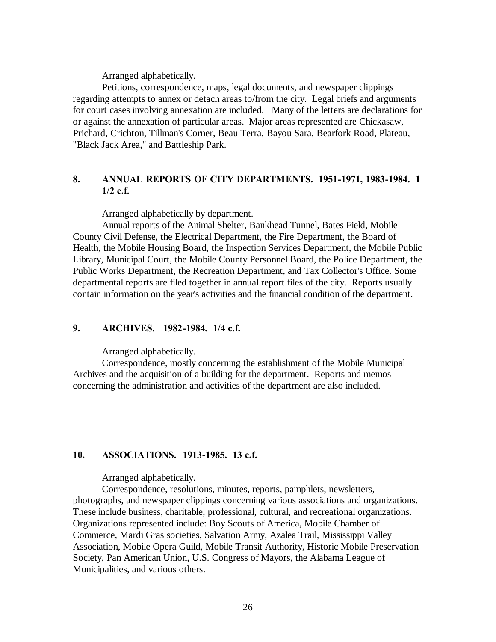Arranged alphabetically.

Petitions, correspondence, maps, legal documents, and newspaper clippings regarding attempts to annex or detach areas to/from the city. Legal briefs and arguments for court cases involving annexation are included. Many of the letters are declarations for or against the annexation of particular areas. Major areas represented are Chickasaw, Prichard, Crichton, Tillman's Corner, Beau Terra, Bayou Sara, Bearfork Road, Plateau, "Black Jack Area," and Battleship Park.

### **8. ANNUAL REPORTS OF CITY DEPARTMENTS. 1951-1971, 1983-1984. 1 1/2 c.f.**

Arranged alphabetically by department.

Annual reports of the Animal Shelter, Bankhead Tunnel, Bates Field, Mobile County Civil Defense, the Electrical Department, the Fire Department, the Board of Health, the Mobile Housing Board, the Inspection Services Department, the Mobile Public Library, Municipal Court, the Mobile County Personnel Board, the Police Department, the Public Works Department, the Recreation Department, and Tax Collector's Office. Some departmental reports are filed together in annual report files of the city. Reports usually contain information on the year's activities and the financial condition of the department.

#### **9. ARCHIVES. 1982-1984. 1/4 c.f.**

Arranged alphabetically.

Correspondence, mostly concerning the establishment of the Mobile Municipal Archives and the acquisition of a building for the department. Reports and memos concerning the administration and activities of the department are also included.

### **10. ASSOCIATIONS. 1913-1985. 13 c.f.**

Arranged alphabetically.

Correspondence, resolutions, minutes, reports, pamphlets, newsletters, photographs, and newspaper clippings concerning various associations and organizations. These include business, charitable, professional, cultural, and recreational organizations. Organizations represented include: Boy Scouts of America, Mobile Chamber of Commerce, Mardi Gras societies, Salvation Army, Azalea Trail, Mississippi Valley Association, Mobile Opera Guild, Mobile Transit Authority, Historic Mobile Preservation Society, Pan American Union, U.S. Congress of Mayors, the Alabama League of Municipalities, and various others.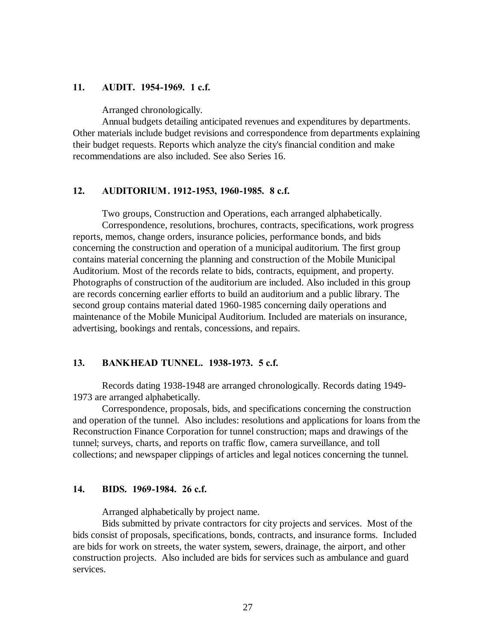#### **11. AUDIT. 1954-1969. 1 c.f.**

Arranged chronologically.

Annual budgets detailing anticipated revenues and expenditures by departments. Other materials include budget revisions and correspondence from departments explaining their budget requests. Reports which analyze the city's financial condition and make recommendations are also included. See also Series 16.

#### **12. AUDITORIUM . 1912-1953, 1960-1985. 8 c.f.**

Two groups, Construction and Operations, each arranged alphabetically. Correspondence, resolutions, brochures, contracts, specifications, work progress reports, memos, change orders, insurance policies, performance bonds, and bids concerning the construction and operation of a municipal auditorium. The first group contains material concerning the planning and construction of the Mobile Municipal Auditorium. Most of the records relate to bids, contracts, equipment, and property. Photographs of construction of the auditorium are included. Also included in this group are records concerning earlier efforts to build an auditorium and a public library. The second group contains material dated 1960-1985 concerning daily operations and maintenance of the Mobile Municipal Auditorium. Included are materials on insurance, advertising, bookings and rentals, concessions, and repairs.

### **13. BANKHEAD TUNNEL. 1938-1973. 5 c.f.**

Records dating 1938-1948 are arranged chronologically. Records dating 1949- 1973 are arranged alphabetically.

Correspondence, proposals, bids, and specifications concerning the construction and operation of the tunnel. Also includes: resolutions and applications for loans from the Reconstruction Finance Corporation for tunnel construction; maps and drawings of the tunnel; surveys, charts, and reports on traffic flow, camera surveillance, and toll collections; and newspaper clippings of articles and legal notices concerning the tunnel.

#### **14. BIDS. 1969-1984. 26 c.f.**

Arranged alphabetically by project name.

Bids submitted by private contractors for city projects and services. Most of the bids consist of proposals, specifications, bonds, contracts, and insurance forms. Included are bids for work on streets, the water system, sewers, drainage, the airport, and other construction projects. Also included are bids for services such as ambulance and guard services.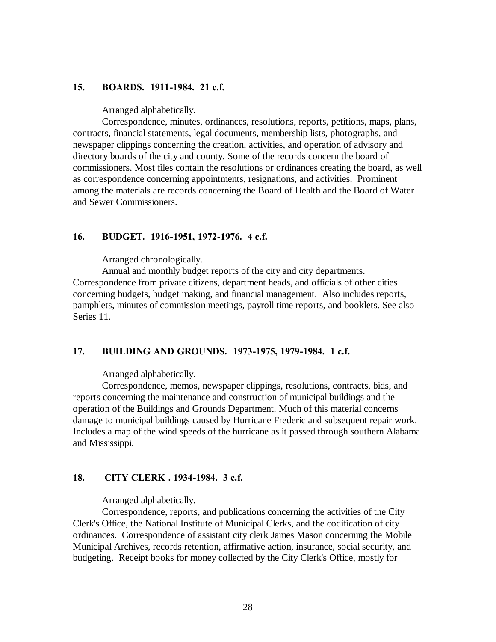#### **15. BOARDS. 1911-1984. 21 c.f.**

Arranged alphabetically.

Correspondence, minutes, ordinances, resolutions, reports, petitions, maps, plans, contracts, financial statements, legal documents, membership lists, photographs, and newspaper clippings concerning the creation, activities, and operation of advisory and directory boards of the city and county. Some of the records concern the board of commissioners. Most files contain the resolutions or ordinances creating the board, as well as correspondence concerning appointments, resignations, and activities. Prominent among the materials are records concerning the Board of Health and the Board of Water and Sewer Commissioners.

#### **16. BUDGET. 1916-1951, 1972-1976. 4 c.f.**

Arranged chronologically.

Annual and monthly budget reports of the city and city departments. Correspondence from private citizens, department heads, and officials of other cities concerning budgets, budget making, and financial management. Also includes reports, pamphlets, minutes of commission meetings, payroll time reports, and booklets. See also Series 11.

#### **17. BUILDING AND GROUNDS. 1973-1975, 1979-1984. 1 c.f.**

Arranged alphabetically.

Correspondence, memos, newspaper clippings, resolutions, contracts, bids, and reports concerning the maintenance and construction of municipal buildings and the operation of the Buildings and Grounds Department. Much of this material concerns damage to municipal buildings caused by Hurricane Frederic and subsequent repair work. Includes a map of the wind speeds of the hurricane as it passed through southern Alabama and Mississippi.

#### **18. CITY CLERK . 1934-1984. 3 c.f.**

Arranged alphabetically.

Correspondence, reports, and publications concerning the activities of the City Clerk's Office, the National Institute of Municipal Clerks, and the codification of city ordinances. Correspondence of assistant city clerk James Mason concerning the Mobile Municipal Archives, records retention, affirmative action, insurance, social security, and budgeting. Receipt books for money collected by the City Clerk's Office, mostly for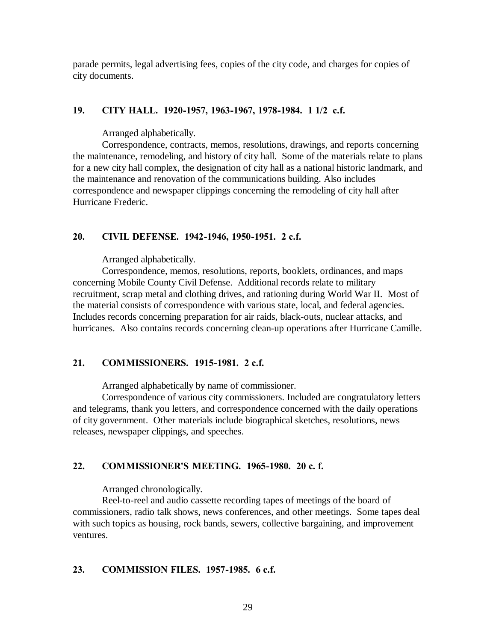parade permits, legal advertising fees, copies of the city code, and charges for copies of city documents.

# **19. CITY HALL. 1920-1957, 1963-1967, 1978-1984. 1 1/2 c.f.**

Arranged alphabetically.

Correspondence, contracts, memos, resolutions, drawings, and reports concerning the maintenance, remodeling, and history of city hall. Some of the materials relate to plans for a new city hall complex, the designation of city hall as a national historic landmark, and the maintenance and renovation of the communications building. Also includes correspondence and newspaper clippings concerning the remodeling of city hall after Hurricane Frederic.

# **20. CIVIL DEFENSE. 1942-1946, 1950-1951. 2 c.f.**

Arranged alphabetically.

Correspondence, memos, resolutions, reports, booklets, ordinances, and maps concerning Mobile County Civil Defense. Additional records relate to military recruitment, scrap metal and clothing drives, and rationing during World War II. Most of the material consists of correspondence with various state, local, and federal agencies. Includes records concerning preparation for air raids, black-outs, nuclear attacks, and hurricanes. Also contains records concerning clean-up operations after Hurricane Camille.

# **21. COMMISSIONERS. 1915-1981. 2 c.f.**

Arranged alphabetically by name of commissioner.

Correspondence of various city commissioners. Included are congratulatory letters and telegrams, thank you letters, and correspondence concerned with the daily operations of city government. Other materials include biographical sketches, resolutions, news releases, newspaper clippings, and speeches.

# **22. COMMISSIONER'S MEETING. 1965-1980. 20 c. f.**

Arranged chronologically.

Reel-to-reel and audio cassette recording tapes of meetings of the board of commissioners, radio talk shows, news conferences, and other meetings. Some tapes deal with such topics as housing, rock bands, sewers, collective bargaining, and improvement ventures.

### **23. COMMISSION FILES. 1957-1985. 6 c.f.**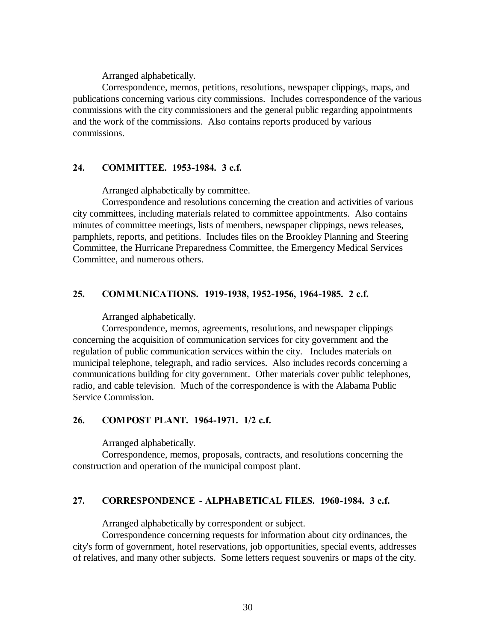Arranged alphabetically.

Correspondence, memos, petitions, resolutions, newspaper clippings, maps, and publications concerning various city commissions. Includes correspondence of the various commissions with the city commissioners and the general public regarding appointments and the work of the commissions. Also contains reports produced by various commissions.

### **24. COMMITTEE. 1953-1984. 3 c.f.**

Arranged alphabetically by committee.

Correspondence and resolutions concerning the creation and activities of various city committees, including materials related to committee appointments. Also contains minutes of committee meetings, lists of members, newspaper clippings, news releases, pamphlets, reports, and petitions. Includes files on the Brookley Planning and Steering Committee, the Hurricane Preparedness Committee, the Emergency Medical Services Committee, and numerous others.

### **25. COMMUNICATIONS. 1919-1938, 1952-1956, 1964-1985. 2 c.f.**

Arranged alphabetically.

Correspondence, memos, agreements, resolutions, and newspaper clippings concerning the acquisition of communication services for city government and the regulation of public communication services within the city. Includes materials on municipal telephone, telegraph, and radio services. Also includes records concerning a communications building for city government. Other materials cover public telephones, radio, and cable television. Much of the correspondence is with the Alabama Public Service Commission.

#### **26. COMPOST PLANT. 1964-1971. 1/2 c.f.**

Arranged alphabetically.

Correspondence, memos, proposals, contracts, and resolutions concerning the construction and operation of the municipal compost plant.

# **27. CORRESPONDENCE - ALPHABETICAL FILES. 1960-1984. 3 c.f.**

Arranged alphabetically by correspondent or subject.

Correspondence concerning requests for information about city ordinances, the city's form of government, hotel reservations, job opportunities, special events, addresses of relatives, and many other subjects. Some letters request souvenirs or maps of the city.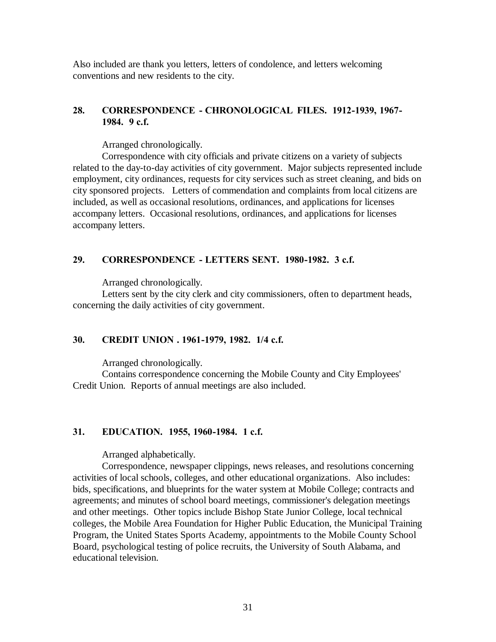Also included are thank you letters, letters of condolence, and letters welcoming conventions and new residents to the city.

# **28. CORRESPONDENCE - CHRONOLOGICAL FILES. 1912-1939, 1967- 1984. 9 c.f.**

Arranged chronologically.

Correspondence with city officials and private citizens on a variety of subjects related to the day-to-day activities of city government. Major subjects represented include employment, city ordinances, requests for city services such as street cleaning, and bids on city sponsored projects. Letters of commendation and complaints from local citizens are included, as well as occasional resolutions, ordinances, and applications for licenses accompany letters. Occasional resolutions, ordinances, and applications for licenses accompany letters.

# **29. CORRESPONDENCE - LETTERS SENT. 1980-1982. 3 c.f.**

Arranged chronologically.

Letters sent by the city clerk and city commissioners, often to department heads, concerning the daily activities of city government.

# **30. CREDIT UNION . 1961-1979, 1982. 1/4 c.f.**

Arranged chronologically.

Contains correspondence concerning the Mobile County and City Employees' Credit Union. Reports of annual meetings are also included.

# **31. EDUCATION. 1955, 1960-1984. 1 c.f.**

Arranged alphabetically.

Correspondence, newspaper clippings, news releases, and resolutions concerning activities of local schools, colleges, and other educational organizations. Also includes: bids, specifications, and blueprints for the water system at Mobile College; contracts and agreements; and minutes of school board meetings, commissioner's delegation meetings and other meetings. Other topics include Bishop State Junior College, local technical colleges, the Mobile Area Foundation for Higher Public Education, the Municipal Training Program, the United States Sports Academy, appointments to the Mobile County School Board, psychological testing of police recruits, the University of South Alabama, and educational television.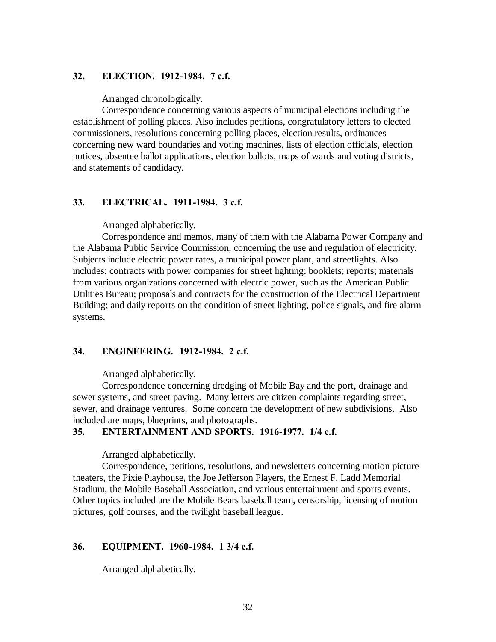#### **32. ELECTION. 1912-1984. 7 c.f.**

Arranged chronologically.

Correspondence concerning various aspects of municipal elections including the establishment of polling places. Also includes petitions, congratulatory letters to elected commissioners, resolutions concerning polling places, election results, ordinances concerning new ward boundaries and voting machines, lists of election officials, election notices, absentee ballot applications, election ballots, maps of wards and voting districts, and statements of candidacy.

### **33. ELECTRICAL. 1911-1984. 3 c.f.**

Arranged alphabetically.

Correspondence and memos, many of them with the Alabama Power Company and the Alabama Public Service Commission, concerning the use and regulation of electricity. Subjects include electric power rates, a municipal power plant, and streetlights. Also includes: contracts with power companies for street lighting; booklets; reports; materials from various organizations concerned with electric power, such as the American Public Utilities Bureau; proposals and contracts for the construction of the Electrical Department Building; and daily reports on the condition of street lighting, police signals, and fire alarm systems.

#### **34. ENGINEERING. 1912-1984. 2 c.f.**

Arranged alphabetically.

Correspondence concerning dredging of Mobile Bay and the port, drainage and sewer systems, and street paving. Many letters are citizen complaints regarding street, sewer, and drainage ventures. Some concern the development of new subdivisions. Also included are maps, blueprints, and photographs.

#### **35. ENTERTAINMENT AND SPORTS. 1916-1977. 1/4 c.f.**

Arranged alphabetically.

Correspondence, petitions, resolutions, and newsletters concerning motion picture theaters, the Pixie Playhouse, the Joe Jefferson Players, the Ernest F. Ladd Memorial Stadium, the Mobile Baseball Association, and various entertainment and sports events. Other topics included are the Mobile Bears baseball team, censorship, licensing of motion pictures, golf courses, and the twilight baseball league.

#### **36. EQUIPMENT. 1960-1984. 1 3/4 c.f.**

Arranged alphabetically.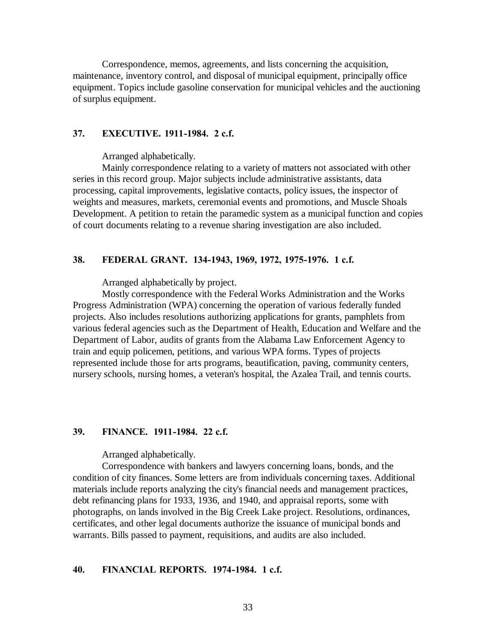Correspondence, memos, agreements, and lists concerning the acquisition, maintenance, inventory control, and disposal of municipal equipment, principally office equipment. Topics include gasoline conservation for municipal vehicles and the auctioning of surplus equipment.

### **37. EXECUTIVE. 1911-1984. 2 c.f.**

Arranged alphabetically.

Mainly correspondence relating to a variety of matters not associated with other series in this record group. Major subjects include administrative assistants, data processing, capital improvements, legislative contacts, policy issues, the inspector of weights and measures, markets, ceremonial events and promotions, and Muscle Shoals Development. A petition to retain the paramedic system as a municipal function and copies of court documents relating to a revenue sharing investigation are also included.

#### **38. FEDERAL GRANT. 134-1943, 1969, 1972, 1975-1976. 1 c.f.**

Arranged alphabetically by project.

Mostly correspondence with the Federal Works Administration and the Works Progress Administration (WPA) concerning the operation of various federally funded projects. Also includes resolutions authorizing applications for grants, pamphlets from various federal agencies such as the Department of Health, Education and Welfare and the Department of Labor, audits of grants from the Alabama Law Enforcement Agency to train and equip policemen, petitions, and various WPA forms. Types of projects represented include those for arts programs, beautification, paving, community centers, nursery schools, nursing homes, a veteran's hospital, the Azalea Trail, and tennis courts.

#### **39. FINANCE. 1911-1984. 22 c.f.**

Arranged alphabetically.

Correspondence with bankers and lawyers concerning loans, bonds, and the condition of city finances. Some letters are from individuals concerning taxes. Additional materials include reports analyzing the city's financial needs and management practices, debt refinancing plans for 1933, 1936, and 1940, and appraisal reports, some with photographs, on lands involved in the Big Creek Lake project. Resolutions, ordinances, certificates, and other legal documents authorize the issuance of municipal bonds and warrants. Bills passed to payment, requisitions, and audits are also included.

#### **40. FINANCIAL REPORTS. 1974-1984. 1 c.f.**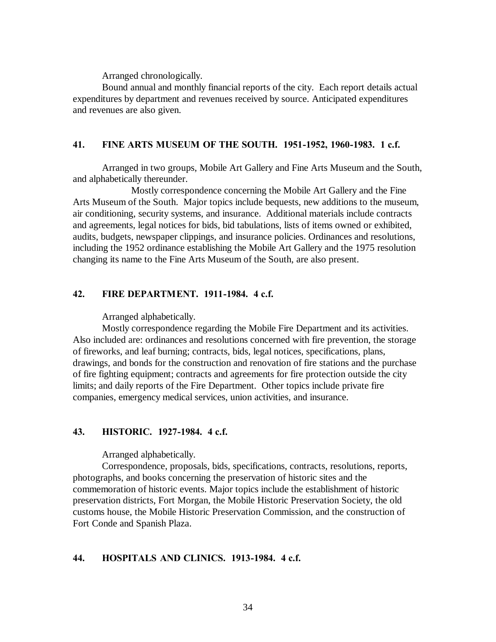Arranged chronologically.

Bound annual and monthly financial reports of the city. Each report details actual expenditures by department and revenues received by source. Anticipated expenditures and revenues are also given.

#### **41. FINE ARTS MUSEUM OF THE SOUTH. 1951-1952, 1960-1983. 1 c.f.**

Arranged in two groups, Mobile Art Gallery and Fine Arts Museum and the South, and alphabetically thereunder.

Mostly correspondence concerning the Mobile Art Gallery and the Fine Arts Museum of the South. Major topics include bequests, new additions to the museum, air conditioning, security systems, and insurance. Additional materials include contracts and agreements, legal notices for bids, bid tabulations, lists of items owned or exhibited, audits, budgets, newspaper clippings, and insurance policies. Ordinances and resolutions, including the 1952 ordinance establishing the Mobile Art Gallery and the 1975 resolution changing its name to the Fine Arts Museum of the South, are also present.

### **42. FIRE DEPARTMENT. 1911-1984. 4 c.f.**

Arranged alphabetically.

Mostly correspondence regarding the Mobile Fire Department and its activities. Also included are: ordinances and resolutions concerned with fire prevention, the storage of fireworks, and leaf burning; contracts, bids, legal notices, specifications, plans, drawings, and bonds for the construction and renovation of fire stations and the purchase of fire fighting equipment; contracts and agreements for fire protection outside the city limits; and daily reports of the Fire Department. Other topics include private fire companies, emergency medical services, union activities, and insurance.

#### **43. HISTORIC. 1927-1984. 4 c.f.**

Arranged alphabetically.

Correspondence, proposals, bids, specifications, contracts, resolutions, reports, photographs, and books concerning the preservation of historic sites and the commemoration of historic events. Major topics include the establishment of historic preservation districts, Fort Morgan, the Mobile Historic Preservation Society, the old customs house, the Mobile Historic Preservation Commission, and the construction of Fort Conde and Spanish Plaza.

#### **44. HOSPITALS AND CLINICS. 1913-1984. 4 c.f.**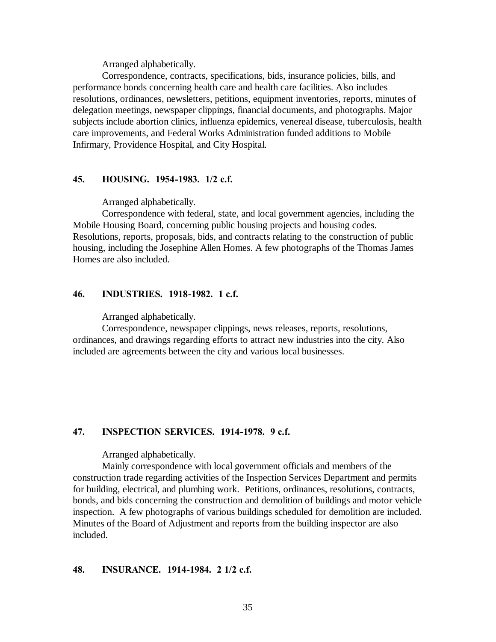Arranged alphabetically.

Correspondence, contracts, specifications, bids, insurance policies, bills, and performance bonds concerning health care and health care facilities. Also includes resolutions, ordinances, newsletters, petitions, equipment inventories, reports, minutes of delegation meetings, newspaper clippings, financial documents, and photographs. Major subjects include abortion clinics, influenza epidemics, venereal disease, tuberculosis, health care improvements, and Federal Works Administration funded additions to Mobile Infirmary, Providence Hospital, and City Hospital.

#### **45. HOUSING. 1954-1983. 1/2 c.f.**

Arranged alphabetically.

Correspondence with federal, state, and local government agencies, including the Mobile Housing Board, concerning public housing projects and housing codes. Resolutions, reports, proposals, bids, and contracts relating to the construction of public housing, including the Josephine Allen Homes. A few photographs of the Thomas James Homes are also included.

# **46. INDUSTRIES. 1918-1982. 1 c.f.**

Arranged alphabetically.

Correspondence, newspaper clippings, news releases, reports, resolutions, ordinances, and drawings regarding efforts to attract new industries into the city. Also included are agreements between the city and various local businesses.

#### **47. INSPECTION SERVICES. 1914-1978. 9 c.f.**

Arranged alphabetically.

Mainly correspondence with local government officials and members of the construction trade regarding activities of the Inspection Services Department and permits for building, electrical, and plumbing work. Petitions, ordinances, resolutions, contracts, bonds, and bids concerning the construction and demolition of buildings and motor vehicle inspection. A few photographs of various buildings scheduled for demolition are included. Minutes of the Board of Adjustment and reports from the building inspector are also included.

#### **48. INSURANCE. 1914-1984. 2 1/2 c.f.**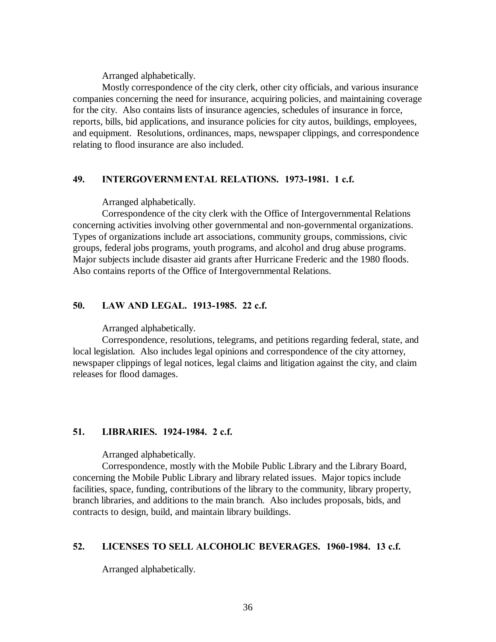Arranged alphabetically.

Mostly correspondence of the city clerk, other city officials, and various insurance companies concerning the need for insurance, acquiring policies, and maintaining coverage for the city. Also contains lists of insurance agencies, schedules of insurance in force, reports, bills, bid applications, and insurance policies for city autos, buildings, employees, and equipment. Resolutions, ordinances, maps, newspaper clippings, and correspondence relating to flood insurance are also included.

#### **49. INTERGOVERNM ENTAL RELATIONS. 1973-1981. 1 c.f.**

Arranged alphabetically.

Correspondence of the city clerk with the Office of Intergovernmental Relations concerning activities involving other governmental and non-governmental organizations. Types of organizations include art associations, community groups, commissions, civic groups, federal jobs programs, youth programs, and alcohol and drug abuse programs. Major subjects include disaster aid grants after Hurricane Frederic and the 1980 floods. Also contains reports of the Office of Intergovernmental Relations.

### **50. LAW AND LEGAL. 1913-1985. 22 c.f.**

Arranged alphabetically.

Correspondence, resolutions, telegrams, and petitions regarding federal, state, and local legislation. Also includes legal opinions and correspondence of the city attorney, newspaper clippings of legal notices, legal claims and litigation against the city, and claim releases for flood damages.

#### **51. LIBRARIES. 1924-1984. 2 c.f.**

Arranged alphabetically.

Correspondence, mostly with the Mobile Public Library and the Library Board, concerning the Mobile Public Library and library related issues. Major topics include facilities, space, funding, contributions of the library to the community, library property, branch libraries, and additions to the main branch. Also includes proposals, bids, and contracts to design, build, and maintain library buildings.

#### **52. LICENSES TO SELL ALCOHOLIC BEVERAGES. 1960-1984. 13 c.f.**

Arranged alphabetically.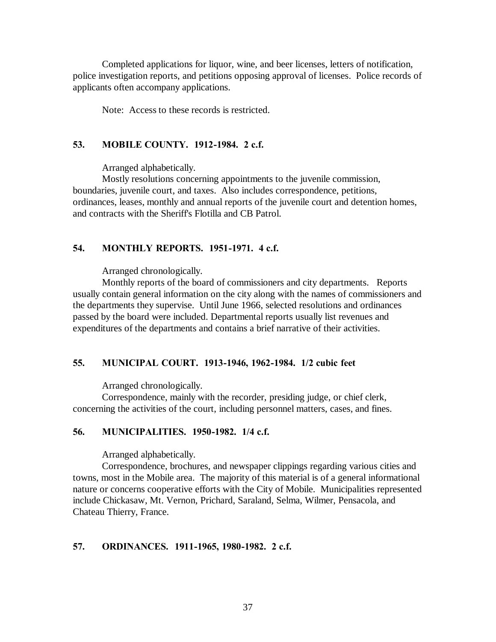Completed applications for liquor, wine, and beer licenses, letters of notification, police investigation reports, and petitions opposing approval of licenses. Police records of applicants often accompany applications.

Note: Access to these records is restricted.

## **53. MOBILE COUNTY. 1912-1984. 2 c.f.**

Arranged alphabetically.

Mostly resolutions concerning appointments to the juvenile commission, boundaries, juvenile court, and taxes. Also includes correspondence, petitions, ordinances, leases, monthly and annual reports of the juvenile court and detention homes, and contracts with the Sheriff's Flotilla and CB Patrol.

#### **54. MONTHLY REPORTS. 1951-1971. 4 c.f.**

Arranged chronologically.

Monthly reports of the board of commissioners and city departments. Reports usually contain general information on the city along with the names of commissioners and the departments they supervise. Until June 1966, selected resolutions and ordinances passed by the board were included. Departmental reports usually list revenues and expenditures of the departments and contains a brief narrative of their activities.

### **55. MUNICIPAL COURT. 1913-1946, 1962-1984. 1/2 cubic feet**

Arranged chronologically.

Correspondence, mainly with the recorder, presiding judge, or chief clerk, concerning the activities of the court, including personnel matters, cases, and fines.

#### **56. MUNICIPALITIES. 1950-1982. 1/4 c.f.**

Arranged alphabetically.

Correspondence, brochures, and newspaper clippings regarding various cities and towns, most in the Mobile area. The majority of this material is of a general informational nature or concerns cooperative efforts with the City of Mobile. Municipalities represented include Chickasaw, Mt. Vernon, Prichard, Saraland, Selma, Wilmer, Pensacola, and Chateau Thierry, France.

#### **57. ORDINANCES. 1911-1965, 1980-1982. 2 c.f.**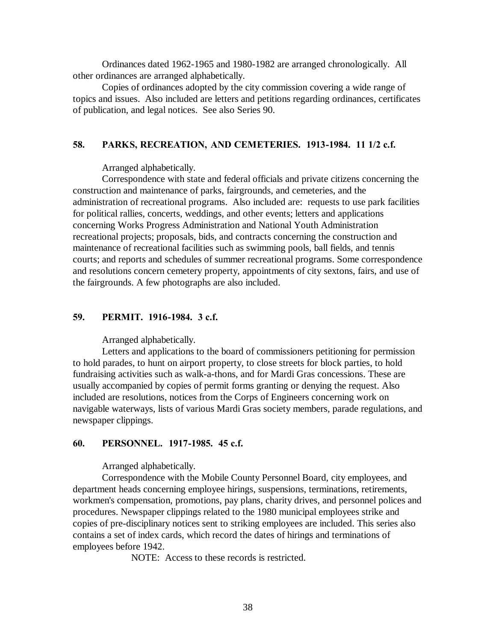Ordinances dated 1962-1965 and 1980-1982 are arranged chronologically. All other ordinances are arranged alphabetically.

Copies of ordinances adopted by the city commission covering a wide range of topics and issues. Also included are letters and petitions regarding ordinances, certificates of publication, and legal notices. See also Series 90.

## **58. PARKS, RECREATION, AND CEMETERIES. 1913-1984. 11 1/2 c.f.**

Arranged alphabetically.

Correspondence with state and federal officials and private citizens concerning the construction and maintenance of parks, fairgrounds, and cemeteries, and the administration of recreational programs. Also included are: requests to use park facilities for political rallies, concerts, weddings, and other events; letters and applications concerning Works Progress Administration and National Youth Administration recreational projects; proposals, bids, and contracts concerning the construction and maintenance of recreational facilities such as swimming pools, ball fields, and tennis courts; and reports and schedules of summer recreational programs. Some correspondence and resolutions concern cemetery property, appointments of city sextons, fairs, and use of the fairgrounds. A few photographs are also included.

## **59. PERMIT. 1916-1984. 3 c.f.**

Arranged alphabetically.

Letters and applications to the board of commissioners petitioning for permission to hold parades, to hunt on airport property, to close streets for block parties, to hold fundraising activities such as walk-a-thons, and for Mardi Gras concessions. These are usually accompanied by copies of permit forms granting or denying the request. Also included are resolutions, notices from the Corps of Engineers concerning work on navigable waterways, lists of various Mardi Gras society members, parade regulations, and newspaper clippings.

## **60. PERSONNEL. 1917-1985. 45 c.f.**

Arranged alphabetically.

Correspondence with the Mobile County Personnel Board, city employees, and department heads concerning employee hirings, suspensions, terminations, retirements, workmen's compensation, promotions, pay plans, charity drives, and personnel polices and procedures. Newspaper clippings related to the 1980 municipal employees strike and copies of pre-disciplinary notices sent to striking employees are included. This series also contains a set of index cards, which record the dates of hirings and terminations of employees before 1942.

NOTE: Access to these records is restricted.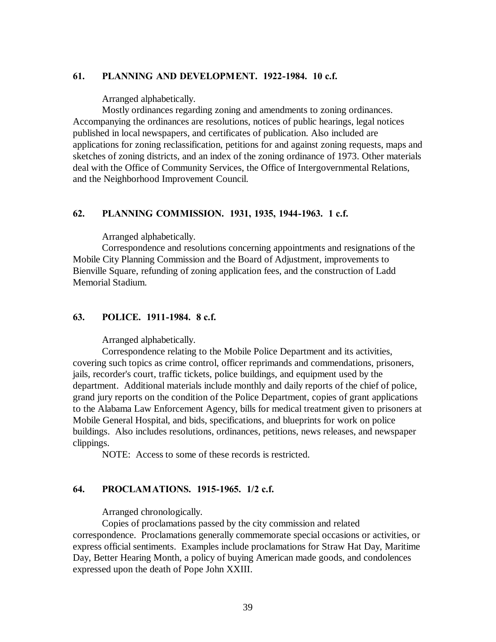### **61. PLANNING AND DEVELOPMENT. 1922-1984. 10 c.f.**

Arranged alphabetically.

Mostly ordinances regarding zoning and amendments to zoning ordinances. Accompanying the ordinances are resolutions, notices of public hearings, legal notices published in local newspapers, and certificates of publication. Also included are applications for zoning reclassification, petitions for and against zoning requests, maps and sketches of zoning districts, and an index of the zoning ordinance of 1973. Other materials deal with the Office of Community Services, the Office of Intergovernmental Relations, and the Neighborhood Improvement Council.

### **62. PLANNING COMMISSION. 1931, 1935, 1944-1963. 1 c.f.**

Arranged alphabetically.

Correspondence and resolutions concerning appointments and resignations of the Mobile City Planning Commission and the Board of Adjustment, improvements to Bienville Square, refunding of zoning application fees, and the construction of Ladd Memorial Stadium.

## **63. POLICE. 1911-1984. 8 c.f.**

Arranged alphabetically.

Correspondence relating to the Mobile Police Department and its activities, covering such topics as crime control, officer reprimands and commendations, prisoners, jails, recorder's court, traffic tickets, police buildings, and equipment used by the department. Additional materials include monthly and daily reports of the chief of police, grand jury reports on the condition of the Police Department, copies of grant applications to the Alabama Law Enforcement Agency, bills for medical treatment given to prisoners at Mobile General Hospital, and bids, specifications, and blueprints for work on police buildings. Also includes resolutions, ordinances, petitions, news releases, and newspaper clippings.

NOTE: Access to some of these records is restricted.

#### **64. PROCLAMATIONS. 1915-1965. 1/2 c.f.**

Arranged chronologically.

Copies of proclamations passed by the city commission and related correspondence. Proclamations generally commemorate special occasions or activities, or express official sentiments. Examples include proclamations for Straw Hat Day, Maritime Day, Better Hearing Month, a policy of buying American made goods, and condolences expressed upon the death of Pope John XXIII.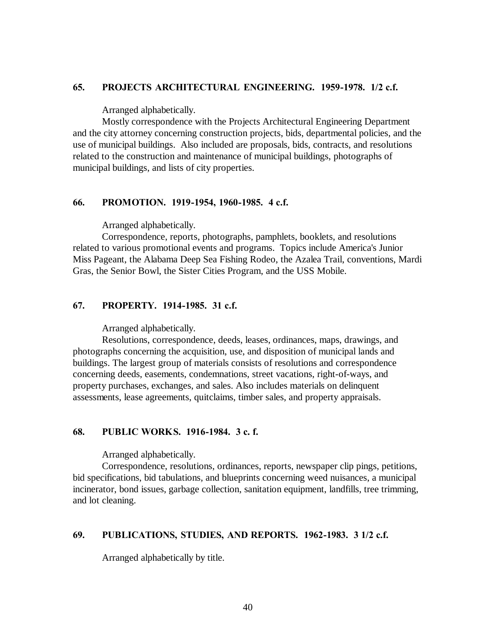#### **65. PROJECTS ARCHITECTURAL ENGINEERING. 1959-1978. 1/2 c.f.**

Arranged alphabetically.

Mostly correspondence with the Projects Architectural Engineering Department and the city attorney concerning construction projects, bids, departmental policies, and the use of municipal buildings. Also included are proposals, bids, contracts, and resolutions related to the construction and maintenance of municipal buildings, photographs of municipal buildings, and lists of city properties.

#### **66. PROMOTION. 1919-1954, 1960-1985. 4 c.f.**

Arranged alphabetically.

Correspondence, reports, photographs, pamphlets, booklets, and resolutions related to various promotional events and programs. Topics include America's Junior Miss Pageant, the Alabama Deep Sea Fishing Rodeo, the Azalea Trail, conventions, Mardi Gras, the Senior Bowl, the Sister Cities Program, and the USS Mobile.

### **67. PROPERTY. 1914-1985. 31 c.f.**

Arranged alphabetically.

Resolutions, correspondence, deeds, leases, ordinances, maps, drawings, and photographs concerning the acquisition, use, and disposition of municipal lands and buildings. The largest group of materials consists of resolutions and correspondence concerning deeds, easements, condemnations, street vacations, right-of-ways, and property purchases, exchanges, and sales. Also includes materials on delinquent assessments, lease agreements, quitclaims, timber sales, and property appraisals.

#### **68. PUBLIC WORKS. 1916-1984. 3 c. f.**

Arranged alphabetically.

Correspondence, resolutions, ordinances, reports, newspaper clip pings, petitions, bid specifications, bid tabulations, and blueprints concerning weed nuisances, a municipal incinerator, bond issues, garbage collection, sanitation equipment, landfills, tree trimming, and lot cleaning.

## **69. PUBLICATIONS, STUDIES, AND REPORTS. 1962-1983. 3 1/2 c.f.**

Arranged alphabetically by title.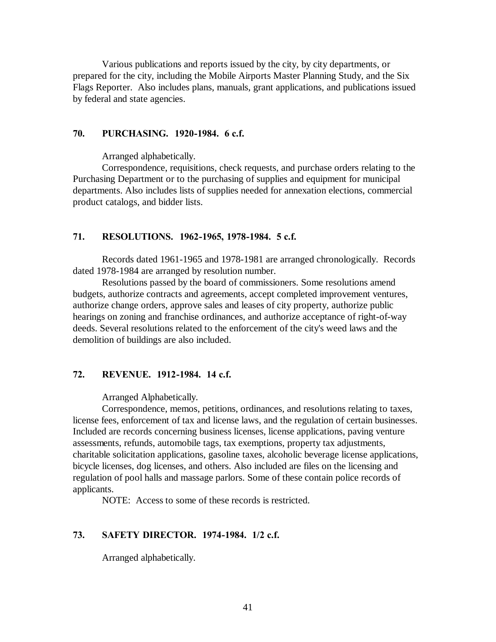Various publications and reports issued by the city, by city departments, or prepared for the city, including the Mobile Airports Master Planning Study, and the Six Flags Reporter. Also includes plans, manuals, grant applications, and publications issued by federal and state agencies.

# **70. PURCHASING. 1920-1984. 6 c.f.**

Arranged alphabetically.

Correspondence, requisitions, check requests, and purchase orders relating to the Purchasing Department or to the purchasing of supplies and equipment for municipal departments. Also includes lists of supplies needed for annexation elections, commercial product catalogs, and bidder lists.

#### **71. RESOLUTIONS. 1962-1965, 1978-1984. 5 c.f.**

Records dated 1961-1965 and 1978-1981 are arranged chronologically. Records dated 1978-1984 are arranged by resolution number.

Resolutions passed by the board of commissioners. Some resolutions amend budgets, authorize contracts and agreements, accept completed improvement ventures, authorize change orders, approve sales and leases of city property, authorize public hearings on zoning and franchise ordinances, and authorize acceptance of right-of-way deeds. Several resolutions related to the enforcement of the city's weed laws and the demolition of buildings are also included.

#### **72. REVENUE. 1912-1984. 14 c.f.**

Arranged Alphabetically.

Correspondence, memos, petitions, ordinances, and resolutions relating to taxes, license fees, enforcement of tax and license laws, and the regulation of certain businesses. Included are records concerning business licenses, license applications, paving venture assessments, refunds, automobile tags, tax exemptions, property tax adjustments, charitable solicitation applications, gasoline taxes, alcoholic beverage license applications, bicycle licenses, dog licenses, and others. Also included are files on the licensing and regulation of pool halls and massage parlors. Some of these contain police records of applicants.

NOTE: Access to some of these records is restricted.

## **73. SAFETY DIRECTOR. 1974-1984. 1/2 c.f.**

Arranged alphabetically.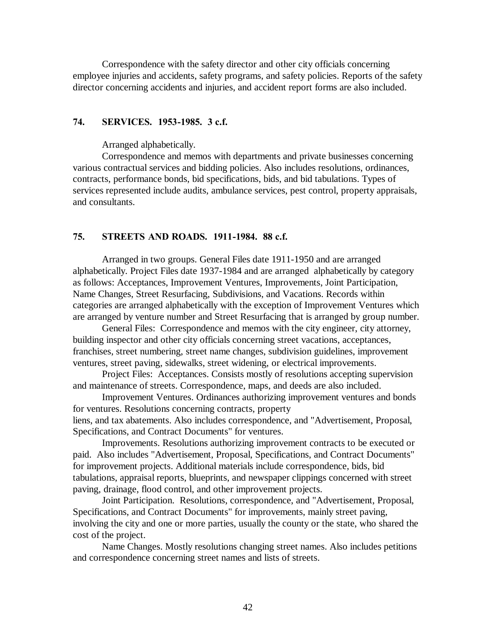Correspondence with the safety director and other city officials concerning employee injuries and accidents, safety programs, and safety policies. Reports of the safety director concerning accidents and injuries, and accident report forms are also included.

#### **74. SERVICES. 1953-1985. 3 c.f.**

Arranged alphabetically.

Correspondence and memos with departments and private businesses concerning various contractual services and bidding policies. Also includes resolutions, ordinances, contracts, performance bonds, bid specifications, bids, and bid tabulations. Types of services represented include audits, ambulance services, pest control, property appraisals, and consultants.

### **75. STREETS AND ROADS. 1911-1984. 88 c.f.**

Arranged in two groups. General Files date 1911-1950 and are arranged alphabetically. Project Files date 1937-1984 and are arranged alphabetically by category as follows: Acceptances, Improvement Ventures, Improvements, Joint Participation, Name Changes, Street Resurfacing, Subdivisions, and Vacations. Records within categories are arranged alphabetically with the exception of Improvement Ventures which are arranged by venture number and Street Resurfacing that is arranged by group number.

General Files: Correspondence and memos with the city engineer, city attorney, building inspector and other city officials concerning street vacations, acceptances, franchises, street numbering, street name changes, subdivision guidelines, improvement ventures, street paving, sidewalks, street widening, or electrical improvements.

Project Files: Acceptances. Consists mostly of resolutions accepting supervision and maintenance of streets. Correspondence, maps, and deeds are also included.

Improvement Ventures. Ordinances authorizing improvement ventures and bonds for ventures. Resolutions concerning contracts, property

liens, and tax abatements. Also includes correspondence, and "Advertisement, Proposal, Specifications, and Contract Documents" for ventures.

Improvements. Resolutions authorizing improvement contracts to be executed or paid. Also includes "Advertisement, Proposal, Specifications, and Contract Documents" for improvement projects. Additional materials include correspondence, bids, bid tabulations, appraisal reports, blueprints, and newspaper clippings concerned with street paving, drainage, flood control, and other improvement projects.

Joint Participation. Resolutions, correspondence, and "Advertisement, Proposal, Specifications, and Contract Documents" for improvements, mainly street paving, involving the city and one or more parties, usually the county or the state, who shared the cost of the project.

Name Changes. Mostly resolutions changing street names. Also includes petitions and correspondence concerning street names and lists of streets.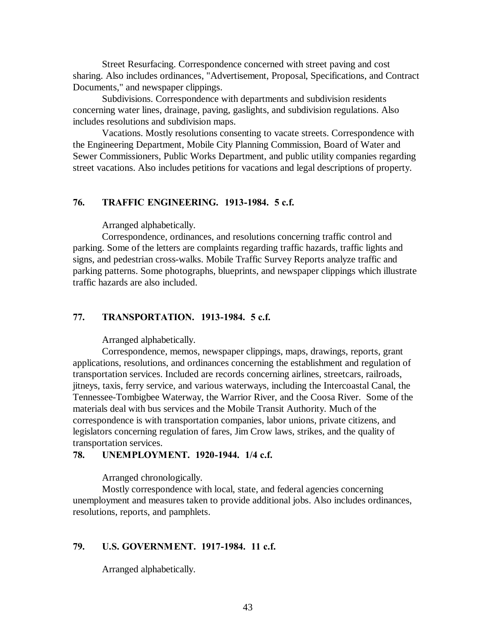Street Resurfacing. Correspondence concerned with street paving and cost sharing. Also includes ordinances, "Advertisement, Proposal, Specifications, and Contract Documents," and newspaper clippings.

Subdivisions. Correspondence with departments and subdivision residents concerning water lines, drainage, paving, gaslights, and subdivision regulations. Also includes resolutions and subdivision maps.

Vacations. Mostly resolutions consenting to vacate streets. Correspondence with the Engineering Department, Mobile City Planning Commission, Board of Water and Sewer Commissioners, Public Works Department, and public utility companies regarding street vacations. Also includes petitions for vacations and legal descriptions of property.

### **76. TRAFFIC ENGINEERING. 1913-1984. 5 c.f.**

Arranged alphabetically.

Correspondence, ordinances, and resolutions concerning traffic control and parking. Some of the letters are complaints regarding traffic hazards, traffic lights and signs, and pedestrian cross-walks. Mobile Traffic Survey Reports analyze traffic and parking patterns. Some photographs, blueprints, and newspaper clippings which illustrate traffic hazards are also included.

#### **77. TRANSPORTATION. 1913-1984. 5 c.f.**

Arranged alphabetically.

Correspondence, memos, newspaper clippings, maps, drawings, reports, grant applications, resolutions, and ordinances concerning the establishment and regulation of transportation services. Included are records concerning airlines, streetcars, railroads, jitneys, taxis, ferry service, and various waterways, including the Intercoastal Canal, the Tennessee-Tombigbee Waterway, the Warrior River, and the Coosa River. Some of the materials deal with bus services and the Mobile Transit Authority. Much of the correspondence is with transportation companies, labor unions, private citizens, and legislators concerning regulation of fares, Jim Crow laws, strikes, and the quality of transportation services.

## **78. UNEMPLOYMENT. 1920-1944. 1/4 c.f.**

Arranged chronologically.

Mostly correspondence with local, state, and federal agencies concerning unemployment and measures taken to provide additional jobs. Also includes ordinances, resolutions, reports, and pamphlets.

#### **79. U.S. GOVERNMENT. 1917-1984. 11 c.f.**

Arranged alphabetically.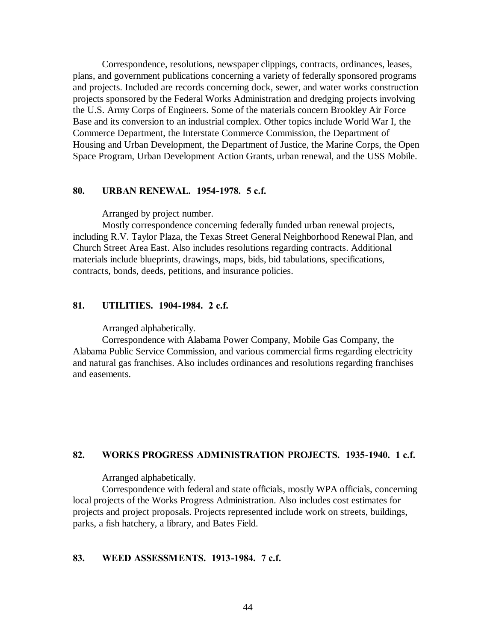Correspondence, resolutions, newspaper clippings, contracts, ordinances, leases, plans, and government publications concerning a variety of federally sponsored programs and projects. Included are records concerning dock, sewer, and water works construction projects sponsored by the Federal Works Administration and dredging projects involving the U.S. Army Corps of Engineers. Some of the materials concern Brookley Air Force Base and its conversion to an industrial complex. Other topics include World War I, the Commerce Department, the Interstate Commerce Commission, the Department of Housing and Urban Development, the Department of Justice, the Marine Corps, the Open Space Program, Urban Development Action Grants, urban renewal, and the USS Mobile.

#### **80. URBAN RENEWAL. 1954-1978. 5 c.f.**

Arranged by project number.

Mostly correspondence concerning federally funded urban renewal projects, including R.V. Taylor Plaza, the Texas Street General Neighborhood Renewal Plan, and Church Street Area East. Also includes resolutions regarding contracts. Additional materials include blueprints, drawings, maps, bids, bid tabulations, specifications, contracts, bonds, deeds, petitions, and insurance policies.

## **81. UTILITIES. 1904-1984. 2 c.f.**

Arranged alphabetically.

Correspondence with Alabama Power Company, Mobile Gas Company, the Alabama Public Service Commission, and various commercial firms regarding electricity and natural gas franchises. Also includes ordinances and resolutions regarding franchises and easements.

# **82. WORKS PROGRESS ADMINISTRATION PROJECTS. 1935-1940. 1 c.f.**

Arranged alphabetically.

Correspondence with federal and state officials, mostly WPA officials, concerning local projects of the Works Progress Administration. Also includes cost estimates for projects and project proposals. Projects represented include work on streets, buildings, parks, a fish hatchery, a library, and Bates Field.

## **83. WEED ASSESSMENTS. 1913-1984. 7 c.f.**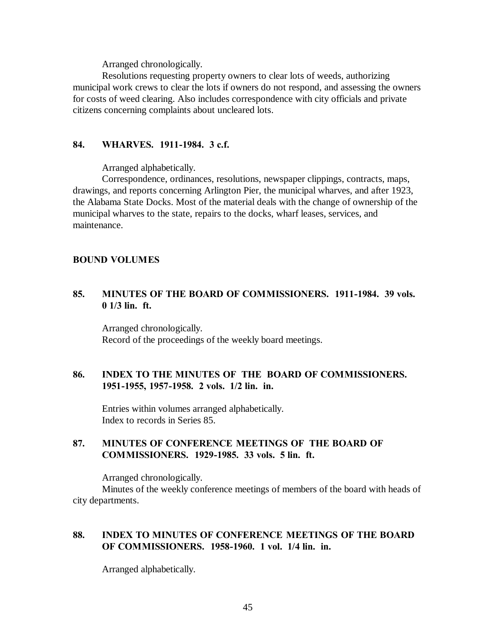Arranged chronologically.

Resolutions requesting property owners to clear lots of weeds, authorizing municipal work crews to clear the lots if owners do not respond, and assessing the owners for costs of weed clearing. Also includes correspondence with city officials and private citizens concerning complaints about uncleared lots.

# **84. WHARVES. 1911-1984. 3 c.f.**

Arranged alphabetically.

Correspondence, ordinances, resolutions, newspaper clippings, contracts, maps, drawings, and reports concerning Arlington Pier, the municipal wharves, and after 1923, the Alabama State Docks. Most of the material deals with the change of ownership of the municipal wharves to the state, repairs to the docks, wharf leases, services, and maintenance.

# **BOUND VOLUMES**

# **85. MINUTES OF THE BOARD OF COMMISSIONERS. 1911-1984. 39 vols. 0 1/3 lin. ft.**

Arranged chronologically. Record of the proceedings of the weekly board meetings.

# **86. INDEX TO THE MINUTES OF THE BOARD OF COMMISSIONERS. 1951-1955, 1957-1958. 2 vols. 1/2 lin. in.**

Entries within volumes arranged alphabetically. Index to records in Series 85.

# **87. MINUTES OF CONFERENCE MEETINGS OF THE BOARD OF COMMISSIONERS. 1929-1985. 33 vols. 5 lin. ft.**

Arranged chronologically.

Minutes of the weekly conference meetings of members of the board with heads of city departments.

# **88. INDEX TO MINUTES OF CONFERENCE MEETINGS OF THE BOARD OF COMMISSIONERS. 1958-1960. 1 vol. 1/4 lin. in.**

Arranged alphabetically.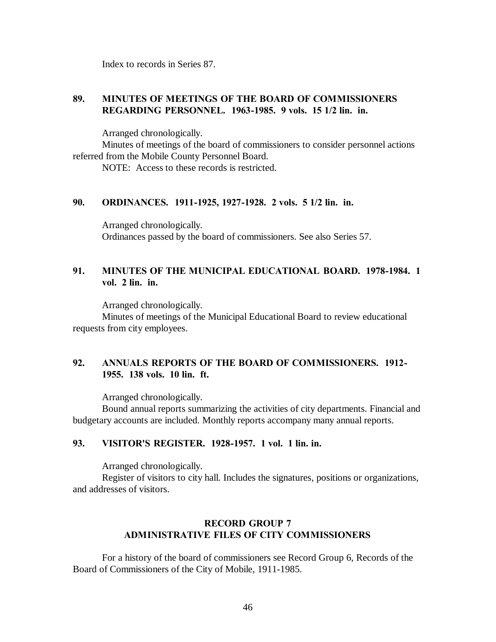Index to records in Series 87.

# **89. MINUTES OF MEETINGS OF THE BOARD OF COMMISSIONERS REGARDING PERSONNEL. 1963-1985. 9 vols. 15 1/2 lin. in.**

Arranged chronologically.

Minutes of meetings of the board of commissioners to consider personnel actions referred from the Mobile County Personnel Board.

NOTE: Access to these records is restricted.

#### **90. ORDINANCES. 1911-1925, 1927-1928. 2 vols. 5 1/2 lin. in.**

Arranged chronologically. Ordinances passed by the board of commissioners. See also Series 57.

# **91. MINUTES OF THE MUNICIPAL EDUCATIONAL BOARD. 1978-1984. 1 vol. 2 lin. in.**

Arranged chronologically. Minutes of meetings of the Municipal Educational Board to review educational requests from city employees.

# **92. ANNUALS REPORTS OF THE BOARD OF COMMISSIONERS. 1912- 1955. 138 vols. 10 lin. ft.**

Arranged chronologically.

Bound annual reports summarizing the activities of city departments. Financial and budgetary accounts are included. Monthly reports accompany many annual reports.

# **93. VISITOR'S REGISTER. 1928-1957. 1 vol. 1 lin. in.**

Arranged chronologically.

Register of visitors to city hall. Includes the signatures, positions or organizations, and addresses of visitors.

# **RECORD GROUP 7 ADMINISTRATIVE FILES OF CITY COMMISSIONERS**

For a history of the board of commissioners see Record Group 6, Records of the Board of Commissioners of the City of Mobile, 1911-1985.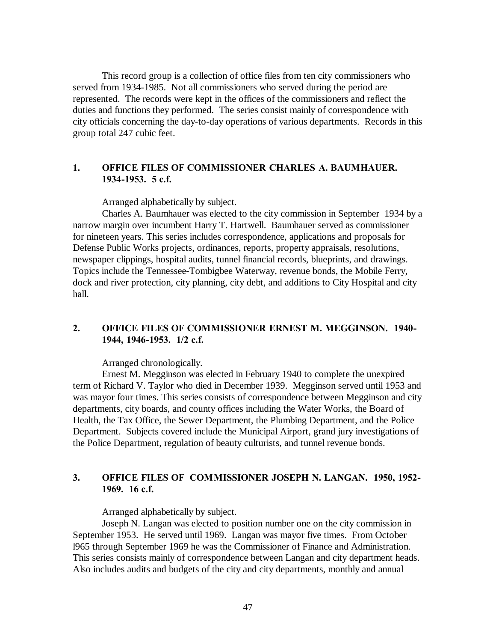This record group is a collection of office files from ten city commissioners who served from 1934-1985. Not all commissioners who served during the period are represented. The records were kept in the offices of the commissioners and reflect the duties and functions they performed. The series consist mainly of correspondence with city officials concerning the day-to-day operations of various departments. Records in this group total 247 cubic feet.

### **1. OFFICE FILES OF COMMISSIONER CHARLES A. BAUMHAUER. 1934-1953. 5 c.f.**

Arranged alphabetically by subject.

Charles A. Baumhauer was elected to the city commission in September 1934 by a narrow margin over incumbent Harry T. Hartwell. Baumhauer served as commissioner for nineteen years. This series includes correspondence, applications and proposals for Defense Public Works projects, ordinances, reports, property appraisals, resolutions, newspaper clippings, hospital audits, tunnel financial records, blueprints, and drawings. Topics include the Tennessee-Tombigbee Waterway, revenue bonds, the Mobile Ferry, dock and river protection, city planning, city debt, and additions to City Hospital and city hall.

## **2. OFFICE FILES OF COMMISSIONER ERNEST M. MEGGINSON. 1940- 1944, 1946-1953. 1/2 c.f.**

#### Arranged chronologically.

Ernest M. Megginson was elected in February 1940 to complete the unexpired term of Richard V. Taylor who died in December 1939. Megginson served until 1953 and was mayor four times. This series consists of correspondence between Megginson and city departments, city boards, and county offices including the Water Works, the Board of Health, the Tax Office, the Sewer Department, the Plumbing Department, and the Police Department. Subjects covered include the Municipal Airport, grand jury investigations of the Police Department, regulation of beauty culturists, and tunnel revenue bonds.

# **3. OFFICE FILES OF COMMISSIONER JOSEPH N. LANGAN. 1950, 1952- 1969. 16 c.f.**

Arranged alphabetically by subject.

Joseph N. Langan was elected to position number one on the city commission in September 1953. He served until 1969. Langan was mayor five times. From October l965 through September 1969 he was the Commissioner of Finance and Administration. This series consists mainly of correspondence between Langan and city department heads. Also includes audits and budgets of the city and city departments, monthly and annual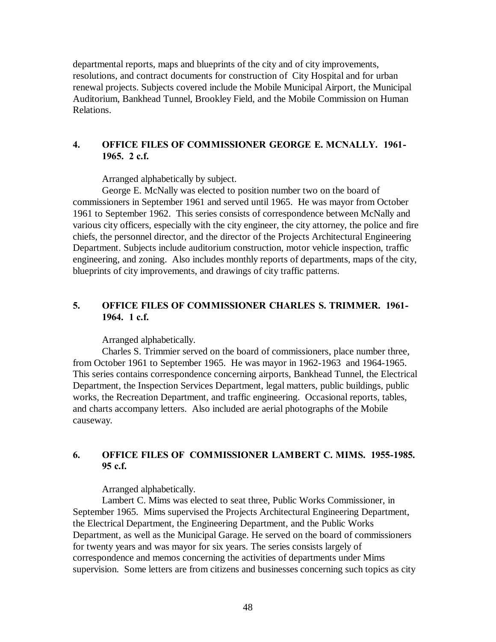departmental reports, maps and blueprints of the city and of city improvements, resolutions, and contract documents for construction of City Hospital and for urban renewal projects. Subjects covered include the Mobile Municipal Airport, the Municipal Auditorium, Bankhead Tunnel, Brookley Field, and the Mobile Commission on Human Relations.

# **4. OFFICE FILES OF COMMISSIONER GEORGE E. MCNALLY. 1961- 1965. 2 c.f.**

Arranged alphabetically by subject.

George E. McNally was elected to position number two on the board of commissioners in September 1961 and served until 1965. He was mayor from October 1961 to September 1962. This series consists of correspondence between McNally and various city officers, especially with the city engineer, the city attorney, the police and fire chiefs, the personnel director, and the director of the Projects Architectural Engineering Department. Subjects include auditorium construction, motor vehicle inspection, traffic engineering, and zoning. Also includes monthly reports of departments, maps of the city, blueprints of city improvements, and drawings of city traffic patterns.

# **5. OFFICE FILES OF COMMISSIONER CHARLES S. TRIMMER. 1961- 1964. 1 c.f.**

Arranged alphabetically.

Charles S. Trimmier served on the board of commissioners, place number three, from October 1961 to September 1965. He was mayor in 1962-1963 and 1964-1965. This series contains correspondence concerning airports, Bankhead Tunnel, the Electrical Department, the Inspection Services Department, legal matters, public buildings, public works, the Recreation Department, and traffic engineering. Occasional reports, tables, and charts accompany letters. Also included are aerial photographs of the Mobile causeway.

# **6. OFFICE FILES OF COMMISSIONER LAMBERT C. MIMS. 1955-1985. 95 c.f.**

Arranged alphabetically.

Lambert C. Mims was elected to seat three, Public Works Commissioner, in September 1965. Mims supervised the Projects Architectural Engineering Department, the Electrical Department, the Engineering Department, and the Public Works Department, as well as the Municipal Garage. He served on the board of commissioners for twenty years and was mayor for six years. The series consists largely of correspondence and memos concerning the activities of departments under Mims supervision. Some letters are from citizens and businesses concerning such topics as city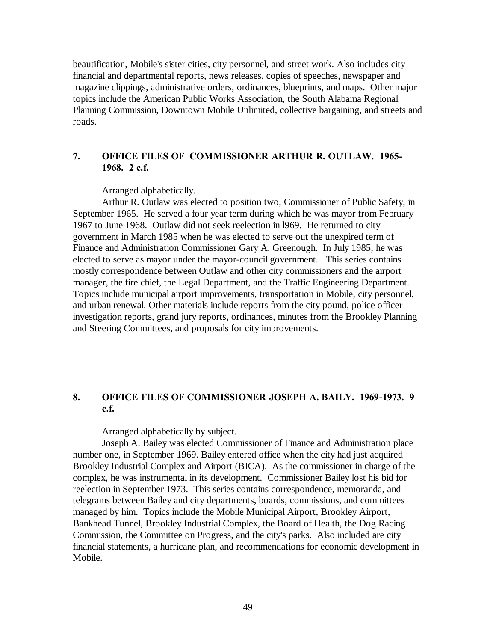beautification, Mobile's sister cities, city personnel, and street work. Also includes city financial and departmental reports, news releases, copies of speeches, newspaper and magazine clippings, administrative orders, ordinances, blueprints, and maps. Other major topics include the American Public Works Association, the South Alabama Regional Planning Commission, Downtown Mobile Unlimited, collective bargaining, and streets and roads.

# **7. OFFICE FILES OF COMMISSIONER ARTHUR R. OUTLAW. 1965- 1968. 2 c.f.**

Arranged alphabetically.

Arthur R. Outlaw was elected to position two, Commissioner of Public Safety, in September 1965. He served a four year term during which he was mayor from February 1967 to June 1968. Outlaw did not seek reelection in l969. He returned to city government in March 1985 when he was elected to serve out the unexpired term of Finance and Administration Commissioner Gary A. Greenough. In July 1985, he was elected to serve as mayor under the mayor-council government. This series contains mostly correspondence between Outlaw and other city commissioners and the airport manager, the fire chief, the Legal Department, and the Traffic Engineering Department. Topics include municipal airport improvements, transportation in Mobile, city personnel, and urban renewal. Other materials include reports from the city pound, police officer investigation reports, grand jury reports, ordinances, minutes from the Brookley Planning and Steering Committees, and proposals for city improvements.

# **8. OFFICE FILES OF COMMISSIONER JOSEPH A. BAILY. 1969-1973. 9 c.f.**

Arranged alphabetically by subject.

Joseph A. Bailey was elected Commissioner of Finance and Administration place number one, in September 1969. Bailey entered office when the city had just acquired Brookley Industrial Complex and Airport (BICA). As the commissioner in charge of the complex, he was instrumental in its development. Commissioner Bailey lost his bid for reelection in September 1973. This series contains correspondence, memoranda, and telegrams between Bailey and city departments, boards, commissions, and committees managed by him. Topics include the Mobile Municipal Airport, Brookley Airport, Bankhead Tunnel, Brookley Industrial Complex, the Board of Health, the Dog Racing Commission, the Committee on Progress, and the city's parks. Also included are city financial statements, a hurricane plan, and recommendations for economic development in Mobile.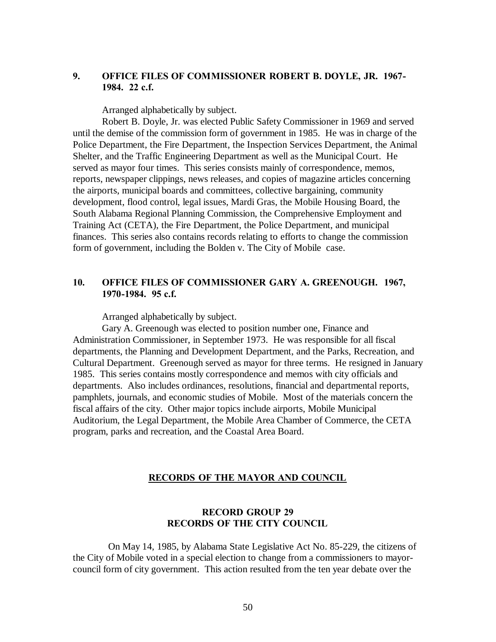# **9. OFFICE FILES OF COMMISSIONER ROBERT B. DOYLE, JR. 1967- 1984. 22 c.f.**

Arranged alphabetically by subject.

Robert B. Doyle, Jr. was elected Public Safety Commissioner in 1969 and served until the demise of the commission form of government in 1985. He was in charge of the Police Department, the Fire Department, the Inspection Services Department, the Animal Shelter, and the Traffic Engineering Department as well as the Municipal Court. He served as mayor four times. This series consists mainly of correspondence, memos, reports, newspaper clippings, news releases, and copies of magazine articles concerning the airports, municipal boards and committees, collective bargaining, community development, flood control, legal issues, Mardi Gras, the Mobile Housing Board, the South Alabama Regional Planning Commission, the Comprehensive Employment and Training Act (CETA), the Fire Department, the Police Department, and municipal finances. This series also contains records relating to efforts to change the commission form of government, including the Bolden v. The City of Mobile case.

## **10. OFFICE FILES OF COMMISSIONER GARY A. GREENOUGH. 1967, 1970-1984. 95 c.f.**

Arranged alphabetically by subject.

Gary A. Greenough was elected to position number one, Finance and Administration Commissioner, in September 1973. He was responsible for all fiscal departments, the Planning and Development Department, and the Parks, Recreation, and Cultural Department. Greenough served as mayor for three terms. He resigned in January 1985. This series contains mostly correspondence and memos with city officials and departments. Also includes ordinances, resolutions, financial and departmental reports, pamphlets, journals, and economic studies of Mobile. Most of the materials concern the fiscal affairs of the city. Other major topics include airports, Mobile Municipal Auditorium, the Legal Department, the Mobile Area Chamber of Commerce, the CETA program, parks and recreation, and the Coastal Area Board.

#### **RECORDS OF THE MAYOR AND COUNCIL**

# **RECORD GROUP 29 RECORDS OF THE CITY COUNCIL**

 On May 14, 1985, by Alabama State Legislative Act No. 85-229, the citizens of the City of Mobile voted in a special election to change from a commissioners to mayorcouncil form of city government. This action resulted from the ten year debate over the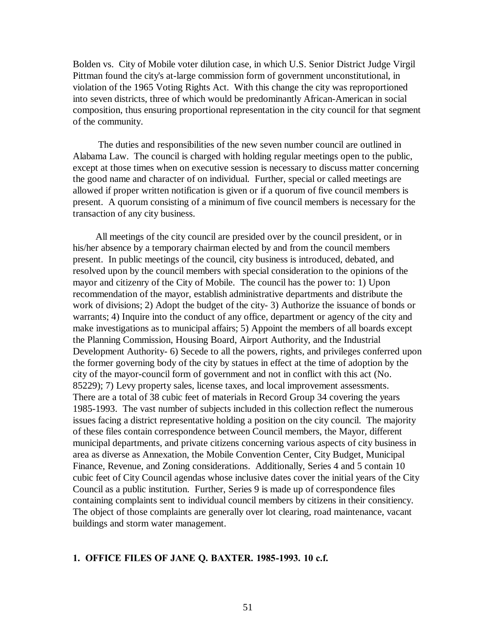Bolden vs. City of Mobile voter dilution case, in which U.S. Senior District Judge Virgil Pittman found the city's at-large commission form of government unconstitutional, in violation of the 1965 Voting Rights Act. With this change the city was reproportioned into seven districts, three of which would be predominantly African-American in social composition, thus ensuring proportional representation in the city council for that segment of the community.

 The duties and responsibilities of the new seven number council are outlined in Alabama Law. The council is charged with holding regular meetings open to the public, except at those times when on executive session is necessary to discuss matter concerning the good name and character of on individual. Further, special or called meetings are allowed if proper written notification is given or if a quorum of five council members is present. A quorum consisting of a minimum of five council members is necessary for the transaction of any city business.

 All meetings of the city council are presided over by the council president, or in his/her absence by a temporary chairman elected by and from the council members present. In public meetings of the council, city business is introduced, debated, and resolved upon by the council members with special consideration to the opinions of the mayor and citizenry of the City of Mobile. The council has the power to: 1) Upon recommendation of the mayor, establish administrative departments and distribute the work of divisions; 2) Adopt the budget of the city- 3) Authorize the issuance of bonds or warrants; 4) Inquire into the conduct of any office, department or agency of the city and make investigations as to municipal affairs; 5) Appoint the members of all boards except the Planning Commission, Housing Board, Airport Authority, and the Industrial Development Authority- 6) Secede to all the powers, rights, and privileges conferred upon the former governing body of the city by statues in effect at the time of adoption by the city of the mayor-council form of government and not in conflict with this act (No. 85229); 7) Levy property sales, license taxes, and local improvement assessments. There are a total of 38 cubic feet of materials in Record Group 34 covering the years 1985-1993. The vast number of subjects included in this collection reflect the numerous issues facing a district representative holding a position on the city council. The majority of these files contain correspondence between Council members, the Mayor, different municipal departments, and private citizens concerning various aspects of city business in area as diverse as Annexation, the Mobile Convention Center, City Budget, Municipal Finance, Revenue, and Zoning considerations. Additionally, Series 4 and 5 contain 10 cubic feet of City Council agendas whose inclusive dates cover the initial years of the City Council as a public institution. Further, Series 9 is made up of correspondence files containing complaints sent to individual council members by citizens in their consitiency. The object of those complaints are generally over lot clearing, road maintenance, vacant buildings and storm water management.

#### **1. OFFICE FILES OF JANE Q. BAXTER. 1985-1993. 10 c.f.**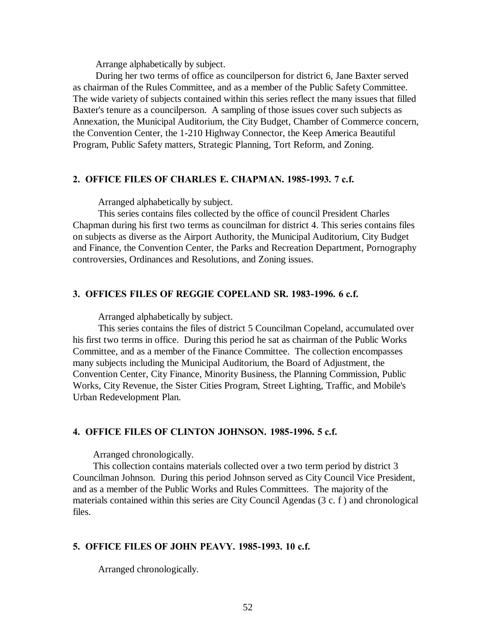Arrange alphabetically by subject.

 During her two terms of office as councilperson for district 6, Jane Baxter served as chairman of the Rules Committee, and as a member of the Public Safety Committee. The wide variety of subjects contained within this series reflect the many issues that filled Baxter's tenure as a councilperson. A sampling of those issues cover such subjects as Annexation, the Municipal Auditorium, the City Budget, Chamber of Commerce concern, the Convention Center, the 1-210 Highway Connector, the Keep America Beautiful Program, Public Safety matters, Strategic Planning, Tort Reform, and Zoning.

#### **2. OFFICE FILES OF CHARLES E. CHAPMAN. 1985-1993. 7 c.f.**

Arranged alphabetically by subject.

 This series contains files collected by the office of council President Charles Chapman during his first two terms as councilman for district 4. This series contains files on subjects as diverse as the Airport Authority, the Municipal Auditorium, City Budget and Finance, the Convention Center, the Parks and Recreation Department, Pornography controversies, Ordinances and Resolutions, and Zoning issues.

## **3. OFFICES FILES OF REGGIE COPELAND SR. 1983-1996. 6 c.f.**

Arranged alphabetically by subject.

 This series contains the files of district 5 Councilman Copeland, accumulated over his first two terms in office. During this period he sat as chairman of the Public Works Committee, and as a member of the Finance Committee. The collection encompasses many subjects including the Municipal Auditorium, the Board of Adjustment, the Convention Center, City Finance, Minority Business, the Planning Commission, Public Works, City Revenue, the Sister Cities Program, Street Lighting, Traffic, and Mobile's Urban Redevelopment Plan.

#### **4. OFFICE FILES OF CLINTON JOHNSON. 1985-1996. 5 c.f.**

Arranged chronologically.

 This collection contains materials collected over a two term period by district 3 Councilman Johnson. During this period Johnson served as City Council Vice President, and as a member of the Public Works and Rules Committees. The majority of the materials contained within this series are City Council Agendas (3 c. f ) and chronological files.

#### **5. OFFICE FILES OF JOHN PEAVY. 1985-1993. 10 c.f.**

Arranged chronologically.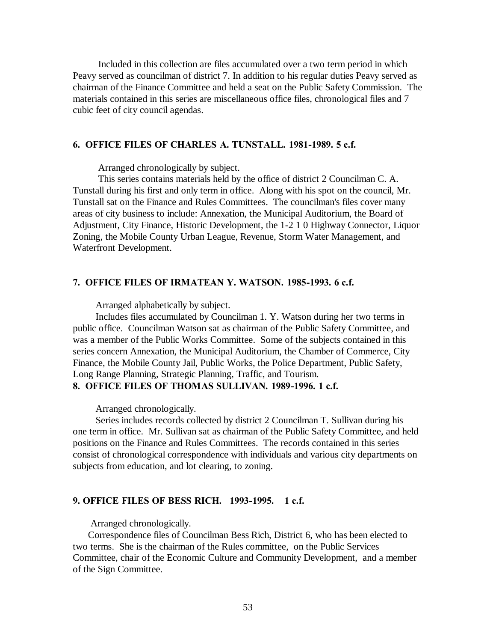Included in this collection are files accumulated over a two term period in which Peavy served as councilman of district 7. In addition to his regular duties Peavy served as chairman of the Finance Committee and held a seat on the Public Safety Commission. The materials contained in this series are miscellaneous office files, chronological files and 7 cubic feet of city council agendas.

#### **6. OFFICE FILES OF CHARLES A. TUNSTALL. 1981-1989. 5 c.f.**

Arranged chronologically by subject.

 This series contains materials held by the office of district 2 Councilman C. A. Tunstall during his first and only term in office. Along with his spot on the council, Mr. Tunstall sat on the Finance and Rules Committees. The councilman's files cover many areas of city business to include: Annexation, the Municipal Auditorium, the Board of Adjustment, City Finance, Historic Development, the 1-2 1 0 Highway Connector, Liquor Zoning, the Mobile County Urban League, Revenue, Storm Water Management, and Waterfront Development.

### **7. OFFICE FILES OF IRMATEAN Y. WATSON. 1985-1993. 6 c.f.**

Arranged alphabetically by subject.

 Includes files accumulated by Councilman 1. Y. Watson during her two terms in public office. Councilman Watson sat as chairman of the Public Safety Committee, and was a member of the Public Works Committee. Some of the subjects contained in this series concern Annexation, the Municipal Auditorium, the Chamber of Commerce, City Finance, the Mobile County Jail, Public Works, the Police Department, Public Safety, Long Range Planning, Strategic Planning, Traffic, and Tourism.

# **8. OFFICE FILES OF THOMAS SULLIVAN. 1989-1996. 1 c.f.**

Arranged chronologically.

 Series includes records collected by district 2 Councilman T. Sullivan during his one term in office. Mr. Sullivan sat as chairman of the Public Safety Committee, and held positions on the Finance and Rules Committees. The records contained in this series consist of chronological correspondence with individuals and various city departments on subjects from education, and lot clearing, to zoning.

### **9. OFFICE FILES OF BESS RICH. 1993-1995. 1 c.f.**

Arranged chronologically.

 Correspondence files of Councilman Bess Rich, District 6, who has been elected to two terms. She is the chairman of the Rules committee, on the Public Services Committee, chair of the Economic Culture and Community Development, and a member of the Sign Committee.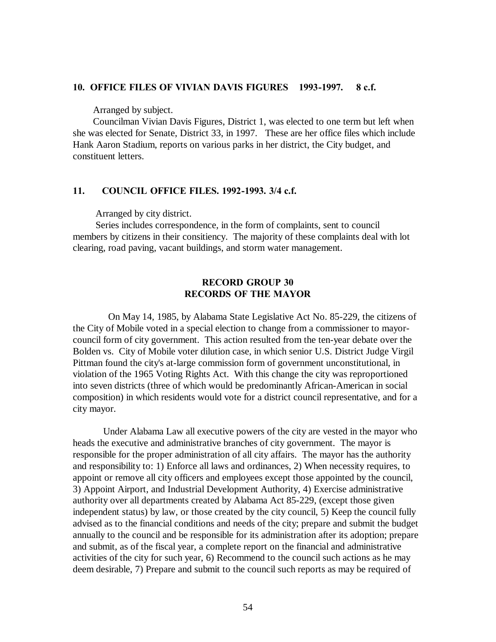#### **10. OFFICE FILES OF VIVIAN DAVIS FIGURES 1993-1997. 8 c.f.**

Arranged by subject.

 Councilman Vivian Davis Figures, District 1, was elected to one term but left when she was elected for Senate, District 33, in 1997. These are her office files which include Hank Aaron Stadium, reports on various parks in her district, the City budget, and constituent letters.

#### **11. COUNCIL OFFICE FILES. 1992-1993. 3/4 c.f.**

Arranged by city district.

 Series includes correspondence, in the form of complaints, sent to council members by citizens in their consitiency. The majority of these complaints deal with lot clearing, road paving, vacant buildings, and storm water management.

## **RECORD GROUP 30 RECORDS OF THE MAYOR**

 On May 14, 1985, by Alabama State Legislative Act No. 85-229, the citizens of the City of Mobile voted in a special election to change from a commissioner to mayorcouncil form of city government. This action resulted from the ten-year debate over the Bolden vs. City of Mobile voter dilution case, in which senior U.S. District Judge Virgil Pittman found the city's at-large commission form of government unconstitutional, in violation of the 1965 Voting Rights Act. With this change the city was reproportioned into seven districts (three of which would be predominantly African-American in social composition) in which residents would vote for a district council representative, and for a city mayor.

 Under Alabama Law all executive powers of the city are vested in the mayor who heads the executive and administrative branches of city government. The mayor is responsible for the proper administration of all city affairs. The mayor has the authority and responsibility to: 1) Enforce all laws and ordinances, 2) When necessity requires, to appoint or remove all city officers and employees except those appointed by the council, 3) Appoint Airport, and Industrial Development Authority, 4) Exercise administrative authority over all departments created by Alabama Act 85-229, (except those given independent status) by law, or those created by the city council, 5) Keep the council fully advised as to the financial conditions and needs of the city; prepare and submit the budget annually to the council and be responsible for its administration after its adoption; prepare and submit, as of the fiscal year, a complete report on the financial and administrative activities of the city for such year, 6) Recommend to the council such actions as he may deem desirable, 7) Prepare and submit to the council such reports as may be required of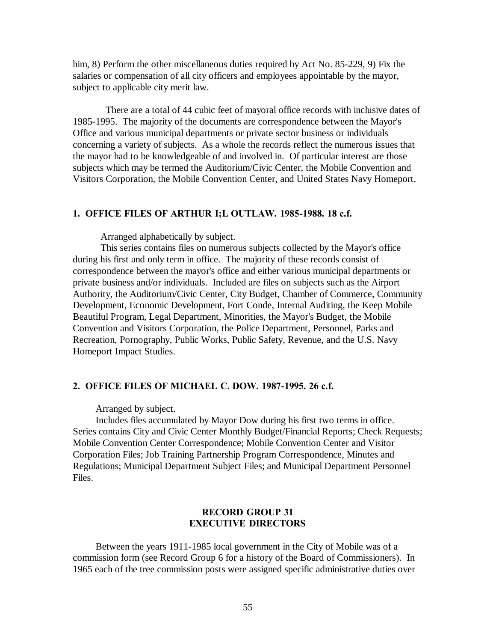him, 8) Perform the other miscellaneous duties required by Act No. 85-229, 9) Fix the salaries or compensation of all city officers and employees appointable by the mayor, subject to applicable city merit law.

 There are a total of 44 cubic feet of mayoral office records with inclusive dates of 1985-1995. The majority of the documents are correspondence between the Mayor's Office and various municipal departments or private sector business or individuals concerning a variety of subjects. As a whole the records reflect the numerous issues that the mayor had to be knowledgeable of and involved in. Of particular interest are those subjects which may be termed the Auditorium/Civic Center, the Mobile Convention and Visitors Corporation, the Mobile Convention Center, and United States Navy Homeport.

#### **1. OFFICE FILES OF ARTHUR I;L OUTLAW. 1985-1988. 18 c.f.**

Arranged alphabetically by subject.

 This series contains files on numerous subjects collected by the Mayor's office during his first and only term in office. The majority of these records consist of correspondence between the mayor's office and either various municipal departments or private business and/or individuals. Included are files on subjects such as the Airport Authority, the Auditorium/Civic Center, City Budget, Chamber of Commerce, Community Development, Economic Development, Fort Conde, Internal Auditing, the Keep Mobile Beautiful Program, Legal Department, Minorities, the Mayor's Budget, the Mobile Convention and Visitors Corporation, the Police Department, Personnel, Parks and Recreation, Pornography, Public Works, Public Safety, Revenue, and the U.S. Navy Homeport Impact Studies.

#### **2. OFFICE FILES OF MICHAEL C. DOW. 1987-1995. 26 c.f.**

Arranged by subject.

 Includes files accumulated by Mayor Dow during his first two terms in office. Series contains City and Civic Center Monthly Budget/Financial Reports; Check Requests; Mobile Convention Center Correspondence; Mobile Convention Center and Visitor Corporation Files; Job Training Partnership Program Correspondence, Minutes and Regulations; Municipal Department Subject Files; and Municipal Department Personnel Files.

## **RECORD GROUP 31 EXECUTIVE DIRECTORS**

 Between the years 1911-1985 local government in the City of Mobile was of a commission form (see Record Group 6 for a history of the Board of Commissioners). In 1965 each of the tree commission posts were assigned specific administrative duties over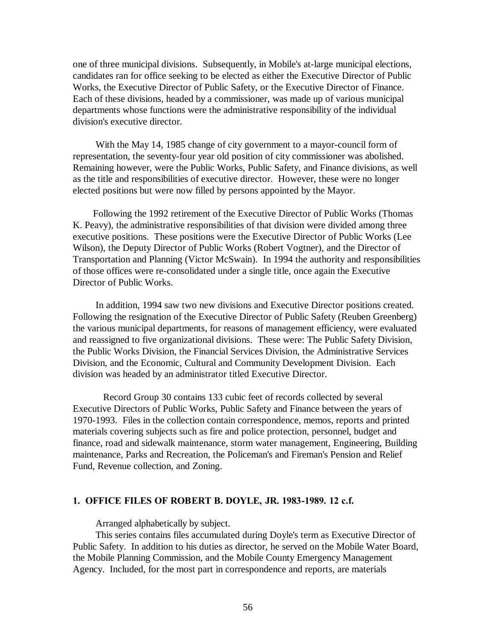one of three municipal divisions. Subsequently, in Mobile's at-large municipal elections, candidates ran for office seeking to be elected as either the Executive Director of Public Works, the Executive Director of Public Safety, or the Executive Director of Finance. Each of these divisions, headed by a commissioner, was made up of various municipal departments whose functions were the administrative responsibility of the individual division's executive director.

 With the May 14, 1985 change of city government to a mayor-council form of representation, the seventy-four year old position of city commissioner was abolished. Remaining however, were the Public Works, Public Safety, and Finance divisions, as well as the title and responsibilities of executive director. However, these were no longer elected positions but were now filled by persons appointed by the Mayor.

 Following the 1992 retirement of the Executive Director of Public Works (Thomas K. Peavy), the administrative responsibilities of that division were divided among three executive positions. These positions were the Executive Director of Public Works (Lee Wilson), the Deputy Director of Public Works (Robert Vogtner), and the Director of Transportation and Planning (Victor McSwain). In 1994 the authority and responsibilities of those offices were re-consolidated under a single title, once again the Executive Director of Public Works.

 In addition, 1994 saw two new divisions and Executive Director positions created. Following the resignation of the Executive Director of Public Safety (Reuben Greenberg) the various municipal departments, for reasons of management efficiency, were evaluated and reassigned to five organizational divisions. These were: The Public Safety Division, the Public Works Division, the Financial Services Division, the Administrative Services Division, and the Economic, Cultural and Community Development Division. Each division was headed by an administrator titled Executive Director.

 Record Group 30 contains 133 cubic feet of records collected by several Executive Directors of Public Works, Public Safety and Finance between the years of 1970-1993. Files in the collection contain correspondence, memos, reports and printed materials covering subjects such as fire and police protection, personnel, budget and finance, road and sidewalk maintenance, storm water management, Engineering, Building maintenance, Parks and Recreation, the Policeman's and Fireman's Pension and Relief Fund, Revenue collection, and Zoning.

#### **1. OFFICE FILES OF ROBERT B. DOYLE, JR. 1983-1989. 12 c.f.**

Arranged alphabetically by subject.

 This series contains files accumulated during Doyle's term as Executive Director of Public Safety. In addition to his duties as director, he served on the Mobile Water Board, the Mobile Planning Commission, and the Mobile County Emergency Management Agency. Included, for the most part in correspondence and reports, are materials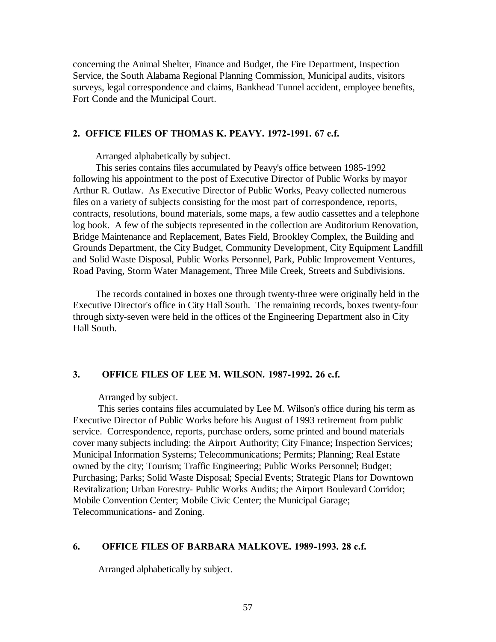concerning the Animal Shelter, Finance and Budget, the Fire Department, Inspection Service, the South Alabama Regional Planning Commission, Municipal audits, visitors surveys, legal correspondence and claims, Bankhead Tunnel accident, employee benefits, Fort Conde and the Municipal Court.

## **2. OFFICE FILES OF THOMAS K. PEAVY. 1972-1991. 67 c.f.**

Arranged alphabetically by subject.

 This series contains files accumulated by Peavy's office between 1985-1992 following his appointment to the post of Executive Director of Public Works by mayor Arthur R. Outlaw. As Executive Director of Public Works, Peavy collected numerous files on a variety of subjects consisting for the most part of correspondence, reports, contracts, resolutions, bound materials, some maps, a few audio cassettes and a telephone log book. A few of the subjects represented in the collection are Auditorium Renovation, Bridge Maintenance and Replacement, Bates Field, Brookley Complex, the Building and Grounds Department, the City Budget, Community Development, City Equipment Landfill and Solid Waste Disposal, Public Works Personnel, Park, Public Improvement Ventures, Road Paving, Storm Water Management, Three Mile Creek, Streets and Subdivisions.

 The records contained in boxes one through twenty-three were originally held in the Executive Director's office in City Hall South. The remaining records, boxes twenty-four through sixty-seven were held in the offices of the Engineering Department also in City Hall South.

## **3. OFFICE FILES OF LEE M. WILSON. 1987-1992. 26 c.f.**

Arranged by subject.

 This series contains files accumulated by Lee M. Wilson's office during his term as Executive Director of Public Works before his August of 1993 retirement from public service. Correspondence, reports, purchase orders, some printed and bound materials cover many subjects including: the Airport Authority; City Finance; Inspection Services; Municipal Information Systems; Telecommunications; Permits; Planning; Real Estate owned by the city; Tourism; Traffic Engineering; Public Works Personnel; Budget; Purchasing; Parks; Solid Waste Disposal; Special Events; Strategic Plans for Downtown Revitalization; Urban Forestry- Public Works Audits; the Airport Boulevard Corridor; Mobile Convention Center; Mobile Civic Center; the Municipal Garage; Telecommunications- and Zoning.

#### **6. OFFICE FILES OF BARBARA MALKOVE. 1989-1993. 28 c.f.**

Arranged alphabetically by subject.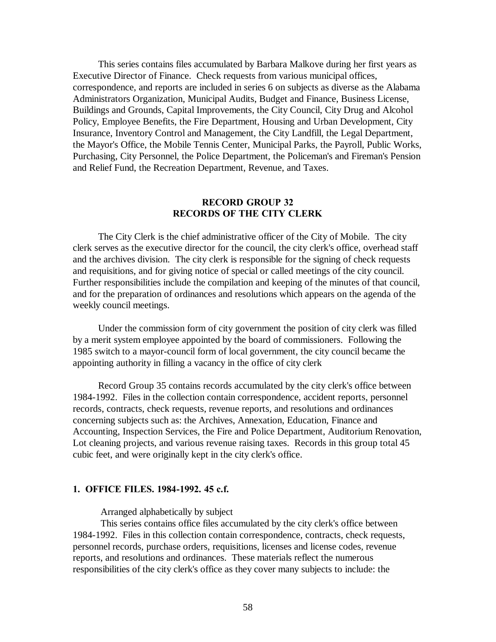This series contains files accumulated by Barbara Malkove during her first years as Executive Director of Finance. Check requests from various municipal offices, correspondence, and reports are included in series 6 on subjects as diverse as the Alabama Administrators Organization, Municipal Audits, Budget and Finance, Business License, Buildings and Grounds, Capital Improvements, the City Council, City Drug and Alcohol Policy, Employee Benefits, the Fire Department, Housing and Urban Development, City Insurance, Inventory Control and Management, the City Landfill, the Legal Department, the Mayor's Office, the Mobile Tennis Center, Municipal Parks, the Payroll, Public Works, Purchasing, City Personnel, the Police Department, the Policeman's and Fireman's Pension and Relief Fund, the Recreation Department, Revenue, and Taxes.

### **RECORD GROUP 32 RECORDS OF THE CITY CLERK**

 The City Clerk is the chief administrative officer of the City of Mobile. The city clerk serves as the executive director for the council, the city clerk's office, overhead staff and the archives division. The city clerk is responsible for the signing of check requests and requisitions, and for giving notice of special or called meetings of the city council. Further responsibilities include the compilation and keeping of the minutes of that council, and for the preparation of ordinances and resolutions which appears on the agenda of the weekly council meetings.

 Under the commission form of city government the position of city clerk was filled by a merit system employee appointed by the board of commissioners. Following the 1985 switch to a mayor-council form of local government, the city council became the appointing authority in filling a vacancy in the office of city clerk

 Record Group 35 contains records accumulated by the city clerk's office between 1984-1992. Files in the collection contain correspondence, accident reports, personnel records, contracts, check requests, revenue reports, and resolutions and ordinances concerning subjects such as: the Archives, Annexation, Education, Finance and Accounting, Inspection Services, the Fire and Police Department, Auditorium Renovation, Lot cleaning projects, and various revenue raising taxes. Records in this group total 45 cubic feet, and were originally kept in the city clerk's office.

#### **1. OFFICE FILES. 1984-1992. 45 c.f.**

Arranged alphabetically by subject

 This series contains office files accumulated by the city clerk's office between 1984-1992. Files in this collection contain correspondence, contracts, check requests, personnel records, purchase orders, requisitions, licenses and license codes, revenue reports, and resolutions and ordinances. These materials reflect the numerous responsibilities of the city clerk's office as they cover many subjects to include: the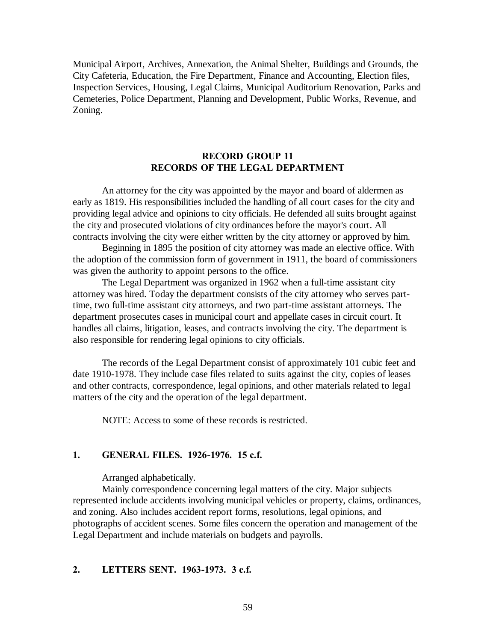Municipal Airport, Archives, Annexation, the Animal Shelter, Buildings and Grounds, the City Cafeteria, Education, the Fire Department, Finance and Accounting, Election files, Inspection Services, Housing, Legal Claims, Municipal Auditorium Renovation, Parks and Cemeteries, Police Department, Planning and Development, Public Works, Revenue, and Zoning.

## **RECORD GROUP 11 RECORDS OF THE LEGAL DEPARTMENT**

An attorney for the city was appointed by the mayor and board of aldermen as early as 1819. His responsibilities included the handling of all court cases for the city and providing legal advice and opinions to city officials. He defended all suits brought against the city and prosecuted violations of city ordinances before the mayor's court. All contracts involving the city were either written by the city attorney or approved by him.

Beginning in 1895 the position of city attorney was made an elective office. With the adoption of the commission form of government in 1911, the board of commissioners was given the authority to appoint persons to the office.

The Legal Department was organized in 1962 when a full-time assistant city attorney was hired. Today the department consists of the city attorney who serves parttime, two full-time assistant city attorneys, and two part-time assistant attorneys. The department prosecutes cases in municipal court and appellate cases in circuit court. It handles all claims, litigation, leases, and contracts involving the city. The department is also responsible for rendering legal opinions to city officials.

The records of the Legal Department consist of approximately 101 cubic feet and date 1910-1978. They include case files related to suits against the city, copies of leases and other contracts, correspondence, legal opinions, and other materials related to legal matters of the city and the operation of the legal department.

NOTE: Access to some of these records is restricted.

# **1. GENERAL FILES. 1926-1976. 15 c.f.**

Arranged alphabetically.

Mainly correspondence concerning legal matters of the city. Major subjects represented include accidents involving municipal vehicles or property, claims, ordinances, and zoning. Also includes accident report forms, resolutions, legal opinions, and photographs of accident scenes. Some files concern the operation and management of the Legal Department and include materials on budgets and payrolls.

## **2. LETTERS SENT. 1963-1973. 3 c.f.**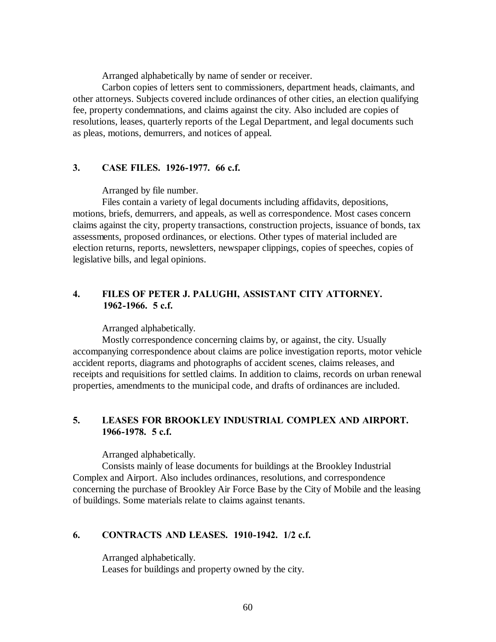Arranged alphabetically by name of sender or receiver.

Carbon copies of letters sent to commissioners, department heads, claimants, and other attorneys. Subjects covered include ordinances of other cities, an election qualifying fee, property condemnations, and claims against the city. Also included are copies of resolutions, leases, quarterly reports of the Legal Department, and legal documents such as pleas, motions, demurrers, and notices of appeal.

#### **3. CASE FILES. 1926-1977. 66 c.f.**

Arranged by file number.

Files contain a variety of legal documents including affidavits, depositions, motions, briefs, demurrers, and appeals, as well as correspondence. Most cases concern claims against the city, property transactions, construction projects, issuance of bonds, tax assessments, proposed ordinances, or elections. Other types of material included are election returns, reports, newsletters, newspaper clippings, copies of speeches, copies of legislative bills, and legal opinions.

# **4. FILES OF PETER J. PALUGHI, ASSISTANT CITY ATTORNEY. 1962-1966. 5 c.f.**

Arranged alphabetically.

Mostly correspondence concerning claims by, or against, the city. Usually accompanying correspondence about claims are police investigation reports, motor vehicle accident reports, diagrams and photographs of accident scenes, claims releases, and receipts and requisitions for settled claims. In addition to claims, records on urban renewal properties, amendments to the municipal code, and drafts of ordinances are included.

# **5. LEASES FOR BROOKLEY INDUSTRIAL COMPLEX AND AIRPORT. 1966-1978. 5 c.f.**

Arranged alphabetically.

Consists mainly of lease documents for buildings at the Brookley Industrial Complex and Airport. Also includes ordinances, resolutions, and correspondence concerning the purchase of Brookley Air Force Base by the City of Mobile and the leasing of buildings. Some materials relate to claims against tenants.

# **6. CONTRACTS AND LEASES. 1910-1942. 1/2 c.f.**

Arranged alphabetically. Leases for buildings and property owned by the city.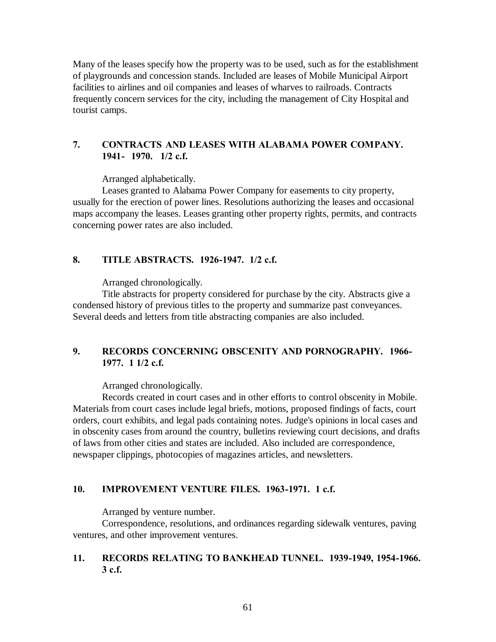Many of the leases specify how the property was to be used, such as for the establishment of playgrounds and concession stands. Included are leases of Mobile Municipal Airport facilities to airlines and oil companies and leases of wharves to railroads. Contracts frequently concern services for the city, including the management of City Hospital and tourist camps.

# **7. CONTRACTS AND LEASES WITH ALABAMA POWER COMPANY. 1941- 1970. 1/2 c.f.**

Arranged alphabetically.

Leases granted to Alabama Power Company for easements to city property, usually for the erection of power lines. Resolutions authorizing the leases and occasional maps accompany the leases. Leases granting other property rights, permits, and contracts concerning power rates are also included.

### **8. TITLE ABSTRACTS. 1926-1947. 1/2 c.f.**

Arranged chronologically.

Title abstracts for property considered for purchase by the city. Abstracts give a condensed history of previous titles to the property and summarize past conveyances. Several deeds and letters from title abstracting companies are also included.

# **9. RECORDS CONCERNING OBSCENITY AND PORNOGRAPHY. 1966- 1977. 1 1/2 c.f.**

Arranged chronologically.

Records created in court cases and in other efforts to control obscenity in Mobile. Materials from court cases include legal briefs, motions, proposed findings of facts, court orders, court exhibits, and legal pads containing notes. Judge's opinions in local cases and in obscenity cases from around the country, bulletins reviewing court decisions, and drafts of laws from other cities and states are included. Also included are correspondence, newspaper clippings, photocopies of magazines articles, and newsletters.

#### **10. IMPROVEMENT VENTURE FILES. 1963-1971. 1 c.f.**

Arranged by venture number.

Correspondence, resolutions, and ordinances regarding sidewalk ventures, paving ventures, and other improvement ventures.

# **11. RECORDS RELATING TO BANKHEAD TUNNEL. 1939-1949, 1954-1966. 3 c.f.**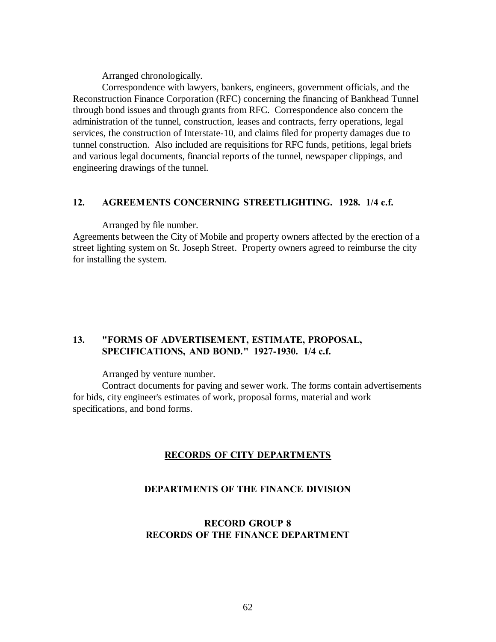Arranged chronologically.

Correspondence with lawyers, bankers, engineers, government officials, and the Reconstruction Finance Corporation (RFC) concerning the financing of Bankhead Tunnel through bond issues and through grants from RFC. Correspondence also concern the administration of the tunnel, construction, leases and contracts, ferry operations, legal services, the construction of Interstate-10, and claims filed for property damages due to tunnel construction. Also included are requisitions for RFC funds, petitions, legal briefs and various legal documents, financial reports of the tunnel, newspaper clippings, and engineering drawings of the tunnel.

## **12. AGREEMENTS CONCERNING STREETLIGHTING. 1928. 1/4 c.f.**

Arranged by file number.

Agreements between the City of Mobile and property owners affected by the erection of a street lighting system on St. Joseph Street. Property owners agreed to reimburse the city for installing the system.

# **13. "FORMS OF ADVERTISEM ENT, ESTIMATE, PROPOSAL, SPECIFICATIONS, AND BOND." 1927-1930. 1/4 c.f.**

Arranged by venture number.

Contract documents for paving and sewer work. The forms contain advertisements for bids, city engineer's estimates of work, proposal forms, material and work specifications, and bond forms.

# **RECORDS OF CITY DEPARTMENTS**

## **DEPARTMENTS OF THE FINANCE DIVISION**

# **RECORD GROUP 8 RECORDS OF THE FINANCE DEPARTMENT**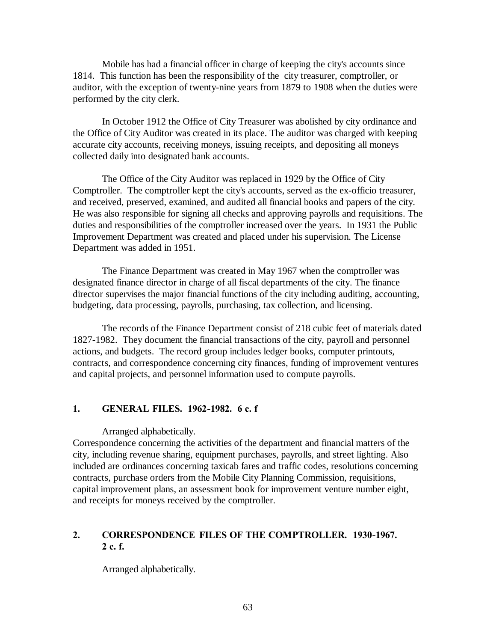Mobile has had a financial officer in charge of keeping the city's accounts since 1814. This function has been the responsibility of the city treasurer, comptroller, or auditor, with the exception of twenty-nine years from 1879 to 1908 when the duties were performed by the city clerk.

In October 1912 the Office of City Treasurer was abolished by city ordinance and the Office of City Auditor was created in its place. The auditor was charged with keeping accurate city accounts, receiving moneys, issuing receipts, and depositing all moneys collected daily into designated bank accounts.

The Office of the City Auditor was replaced in 1929 by the Office of City Comptroller. The comptroller kept the city's accounts, served as the ex-officio treasurer, and received, preserved, examined, and audited all financial books and papers of the city. He was also responsible for signing all checks and approving payrolls and requisitions. The duties and responsibilities of the comptroller increased over the years. In 1931 the Public Improvement Department was created and placed under his supervision. The License Department was added in 1951.

The Finance Department was created in May 1967 when the comptroller was designated finance director in charge of all fiscal departments of the city. The finance director supervises the major financial functions of the city including auditing, accounting, budgeting, data processing, payrolls, purchasing, tax collection, and licensing.

The records of the Finance Department consist of 218 cubic feet of materials dated 1827-1982. They document the financial transactions of the city, payroll and personnel actions, and budgets. The record group includes ledger books, computer printouts, contracts, and correspondence concerning city finances, funding of improvement ventures and capital projects, and personnel information used to compute payrolls.

#### **1. GENERAL FILES. 1962-1982. 6 c. f**

Arranged alphabetically.

Correspondence concerning the activities of the department and financial matters of the city, including revenue sharing, equipment purchases, payrolls, and street lighting. Also included are ordinances concerning taxicab fares and traffic codes, resolutions concerning contracts, purchase orders from the Mobile City Planning Commission, requisitions, capital improvement plans, an assessment book for improvement venture number eight, and receipts for moneys received by the comptroller.

# **2. CORRESPONDENCE FILES OF THE COMPTROLLER. 1930-1967. 2 c. f.**

Arranged alphabetically.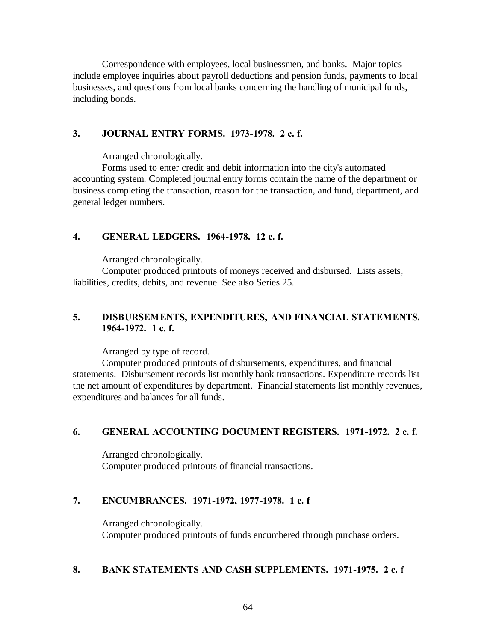Correspondence with employees, local businessmen, and banks. Major topics include employee inquiries about payroll deductions and pension funds, payments to local businesses, and questions from local banks concerning the handling of municipal funds, including bonds.

# **3. JOURNAL ENTRY FORMS. 1973-1978. 2 c. f.**

Arranged chronologically.

Forms used to enter credit and debit information into the city's automated accounting system. Completed journal entry forms contain the name of the department or business completing the transaction, reason for the transaction, and fund, department, and general ledger numbers.

### **4. GENERAL LEDGERS. 1964-1978. 12 c. f.**

Arranged chronologically.

Computer produced printouts of moneys received and disbursed. Lists assets, liabilities, credits, debits, and revenue. See also Series 25.

# **5. DISBURSEMENTS, EXPENDITURES, AND FINANCIAL STATEMENTS. 1964-1972. 1 c. f.**

Arranged by type of record.

Computer produced printouts of disbursements, expenditures, and financial statements. Disbursement records list monthly bank transactions. Expenditure records list the net amount of expenditures by department. Financial statements list monthly revenues, expenditures and balances for all funds.

## **6. GENERAL ACCOUNTING DOCUMENT REGISTERS. 1971-1972. 2 c. f.**

Arranged chronologically. Computer produced printouts of financial transactions.

# **7. ENCUMBRANCES. 1971-1972, 1977-1978. 1 c. f**

Arranged chronologically. Computer produced printouts of funds encumbered through purchase orders.

#### **8. BANK STATEMENTS AND CASH SUPPLEMENTS. 1971-1975. 2 c. f**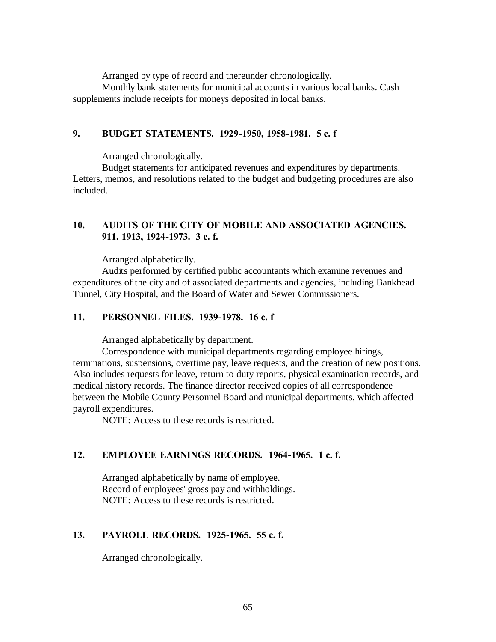Arranged by type of record and thereunder chronologically.

Monthly bank statements for municipal accounts in various local banks. Cash supplements include receipts for moneys deposited in local banks.

## **9. BUDGET STATEMENTS. 1929-1950, 1958-1981. 5 c. f**

Arranged chronologically.

Budget statements for anticipated revenues and expenditures by departments. Letters, memos, and resolutions related to the budget and budgeting procedures are also included.

# **10. AUDITS OF THE CITY OF MOBILE AND ASSOCIATED AGENCIES. 911, 1913, 1924-1973. 3 c. f.**

Arranged alphabetically.

Audits performed by certified public accountants which examine revenues and expenditures of the city and of associated departments and agencies, including Bankhead Tunnel, City Hospital, and the Board of Water and Sewer Commissioners.

### **11. PERSONNEL FILES. 1939-1978. 16 c. f**

Arranged alphabetically by department.

Correspondence with municipal departments regarding employee hirings, terminations, suspensions, overtime pay, leave requests, and the creation of new positions. Also includes requests for leave, return to duty reports, physical examination records, and medical history records. The finance director received copies of all correspondence between the Mobile County Personnel Board and municipal departments, which affected payroll expenditures.

NOTE: Access to these records is restricted.

# **12. EMPLOYEE EARNINGS RECORDS. 1964-1965. 1 c. f.**

Arranged alphabetically by name of employee. Record of employees' gross pay and withholdings. NOTE: Access to these records is restricted.

# **13. PAYROLL RECORDS. 1925-1965. 55 c. f.**

Arranged chronologically.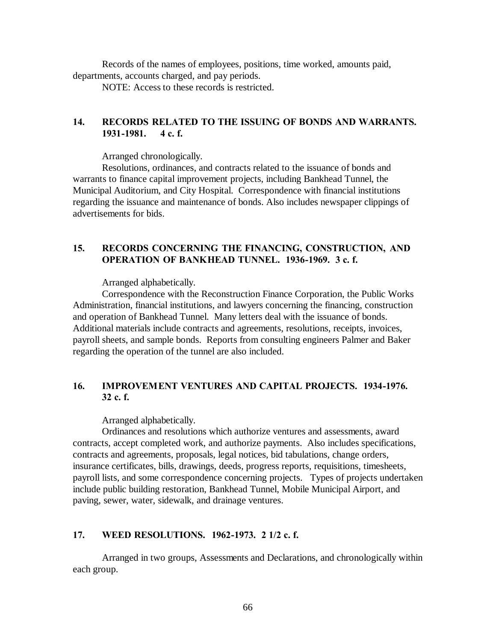Records of the names of employees, positions, time worked, amounts paid, departments, accounts charged, and pay periods.

NOTE: Access to these records is restricted.

# **14. RECORDS RELATED TO THE ISSUING OF BONDS AND WARRANTS. 1931-1981. 4 c. f.**

Arranged chronologically.

Resolutions, ordinances, and contracts related to the issuance of bonds and warrants to finance capital improvement projects, including Bankhead Tunnel, the Municipal Auditorium, and City Hospital. Correspondence with financial institutions regarding the issuance and maintenance of bonds. Also includes newspaper clippings of advertisements for bids.

# **15. RECORDS CONCERNING THE FINANCING, CONSTRUCTION, AND OPERATION OF BANKHEAD TUNNEL. 1936-1969. 3 c. f.**

Arranged alphabetically.

Correspondence with the Reconstruction Finance Corporation, the Public Works Administration, financial institutions, and lawyers concerning the financing, construction and operation of Bankhead Tunnel. Many letters deal with the issuance of bonds. Additional materials include contracts and agreements, resolutions, receipts, invoices, payroll sheets, and sample bonds. Reports from consulting engineers Palmer and Baker regarding the operation of the tunnel are also included.

# **16. IMPROVEMENT VENTURES AND CAPITAL PROJECTS. 1934-1976. 32 c. f.**

Arranged alphabetically.

Ordinances and resolutions which authorize ventures and assessments, award contracts, accept completed work, and authorize payments. Also includes specifications, contracts and agreements, proposals, legal notices, bid tabulations, change orders, insurance certificates, bills, drawings, deeds, progress reports, requisitions, timesheets, payroll lists, and some correspondence concerning projects. Types of projects undertaken include public building restoration, Bankhead Tunnel, Mobile Municipal Airport, and paving, sewer, water, sidewalk, and drainage ventures.

# **17. WEED RESOLUTIONS. 1962-1973. 2 1/2 c. f.**

Arranged in two groups, Assessments and Declarations, and chronologically within each group.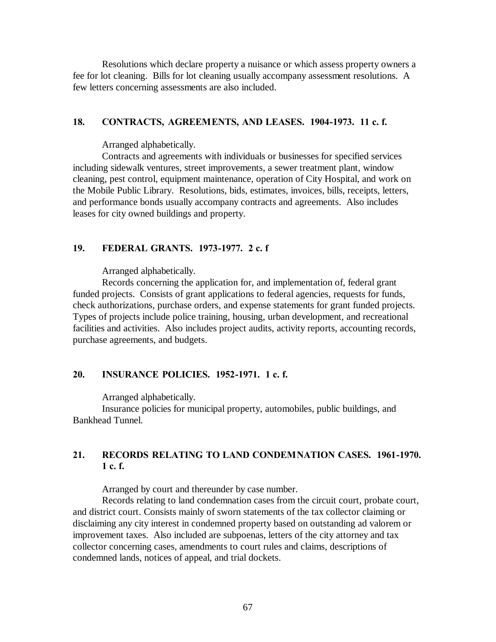Resolutions which declare property a nuisance or which assess property owners a fee for lot cleaning. Bills for lot cleaning usually accompany assessment resolutions. A few letters concerning assessments are also included.

#### **18. CONTRACTS, AGREEMENTS, AND LEASES. 1904-1973. 11 c. f.**

Arranged alphabetically.

Contracts and agreements with individuals or businesses for specified services including sidewalk ventures, street improvements, a sewer treatment plant, window cleaning, pest control, equipment maintenance, operation of City Hospital, and work on the Mobile Public Library. Resolutions, bids, estimates, invoices, bills, receipts, letters, and performance bonds usually accompany contracts and agreements. Also includes leases for city owned buildings and property.

#### **19. FEDERAL GRANTS. 1973-1977. 2 c. f**

Arranged alphabetically.

Records concerning the application for, and implementation of, federal grant funded projects. Consists of grant applications to federal agencies, requests for funds, check authorizations, purchase orders, and expense statements for grant funded projects. Types of projects include police training, housing, urban development, and recreational facilities and activities. Also includes project audits, activity reports, accounting records, purchase agreements, and budgets.

# **20. INSURANCE POLICIES. 1952-1971. 1 c. f.**

Arranged alphabetically.

Insurance policies for municipal property, automobiles, public buildings, and Bankhead Tunnel.

# **21. RECORDS RELATING TO LAND CONDEMNATION CASES. 1961-1970. 1 c. f.**

Arranged by court and thereunder by case number.

Records relating to land condemnation cases from the circuit court, probate court, and district court. Consists mainly of sworn statements of the tax collector claiming or disclaiming any city interest in condemned property based on outstanding ad valorem or improvement taxes. Also included are subpoenas, letters of the city attorney and tax collector concerning cases, amendments to court rules and claims, descriptions of condemned lands, notices of appeal, and trial dockets.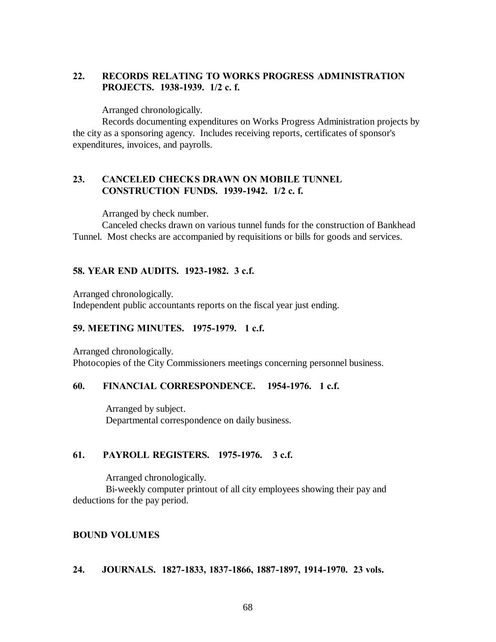# **22. RECORDS RELATING TO WORKS PROGRESS ADMINISTRATION PROJECTS. 1938-1939. 1/2 c. f.**

Arranged chronologically.

Records documenting expenditures on Works Progress Administration projects by the city as a sponsoring agency. Includes receiving reports, certificates of sponsor's expenditures, invoices, and payrolls.

## **23. CANCELED CHECKS DRAWN ON MOBILE TUNNEL CONSTRUCTION FUNDS. 1939-1942. 1/2 c. f.**

Arranged by check number.

Canceled checks drawn on various tunnel funds for the construction of Bankhead Tunnel. Most checks are accompanied by requisitions or bills for goods and services.

#### **58. YEAR END AUDITS. 1923-1982. 3 c.f.**

Arranged chronologically.

Independent public accountants reports on the fiscal year just ending.

## **59. MEETING MINUTES. 1975-1979. 1 c.f.**

Arranged chronologically. Photocopies of the City Commissioners meetings concerning personnel business.

#### **60. FINANCIAL CORRESPONDENCE. 1954-1976. 1 c.f.**

 Arranged by subject. Departmental correspondence on daily business.

## **61. PAYROLL REGISTERS. 1975-1976. 3 c.f.**

Arranged chronologically.

 Bi-weekly computer printout of all city employees showing their pay and deductions for the pay period.

# **BOUND VOLUMES**

#### **24. JOURNALS. 1827-1833, 1837-1866, 1887-1897, 1914-1970. 23 vols.**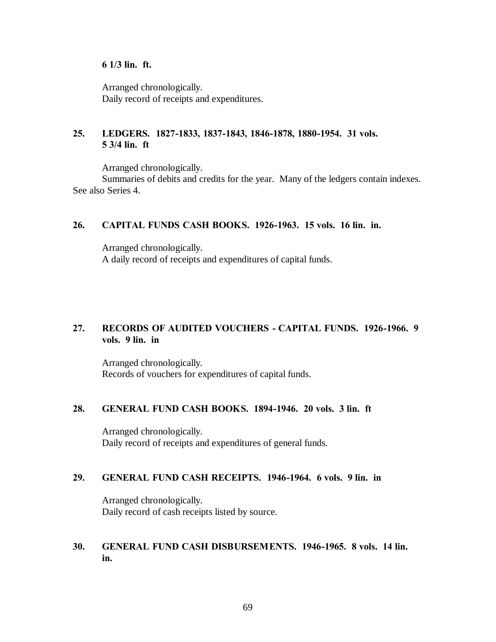## **6 1/3 lin. ft.**

Arranged chronologically. Daily record of receipts and expenditures.

# **25. LEDGERS. 1827-1833, 1837-1843, 1846-1878, 1880-1954. 31 vols. 5 3/4 lin. ft**

Arranged chronologically.

Summaries of debits and credits for the year. Many of the ledgers contain indexes. See also Series 4.

# **26. CAPITAL FUNDS CASH BOOKS. 1926-1963. 15 vols. 16 lin. in.**

Arranged chronologically. A daily record of receipts and expenditures of capital funds.

# **27. RECORDS OF AUDITED VOUCHERS - CAPITAL FUNDS. 1926-1966. 9 vols. 9 lin. in**

Arranged chronologically. Records of vouchers for expenditures of capital funds.

## **28. GENERAL FUND CASH BOOKS. 1894-1946. 20 vols. 3 lin. ft**

Arranged chronologically. Daily record of receipts and expenditures of general funds.

## **29. GENERAL FUND CASH RECEIPTS. 1946-1964. 6 vols. 9 lin. in**

Arranged chronologically. Daily record of cash receipts listed by source.

# **30. GENERAL FUND CASH DISBURSEMENTS. 1946-1965. 8 vols. 14 lin. in.**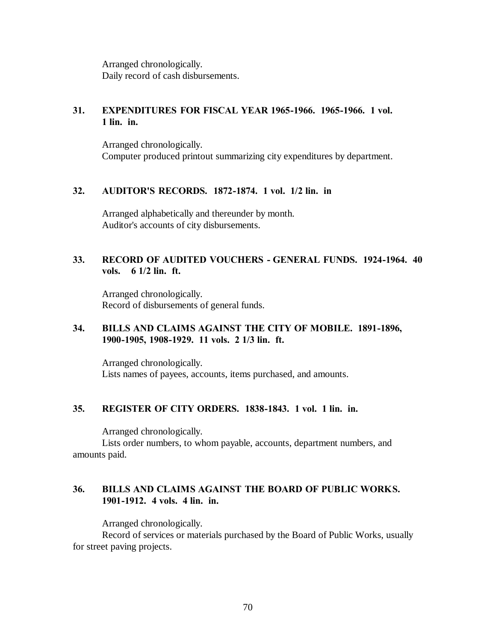Arranged chronologically. Daily record of cash disbursements.

# **31. EXPENDITURES FOR FISCAL YEAR 1965-1966. 1965-1966. 1 vol. 1 lin. in.**

Arranged chronologically. Computer produced printout summarizing city expenditures by department.

#### **32. AUDITOR'S RECORDS. 1872-1874. 1 vol. 1/2 lin. in**

Arranged alphabetically and thereunder by month. Auditor's accounts of city disbursements.

# **33. RECORD OF AUDITED VOUCHERS - GENERAL FUNDS. 1924-1964. 40 vols. 6 1/2 lin. ft.**

Arranged chronologically. Record of disbursements of general funds.

## **34. BILLS AND CLAIMS AGAINST THE CITY OF MOBILE. 1891-1896, 1900-1905, 1908-1929. 11 vols. 2 1/3 lin. ft.**

Arranged chronologically. Lists names of payees, accounts, items purchased, and amounts.

## **35. REGISTER OF CITY ORDERS. 1838-1843. 1 vol. 1 lin. in.**

Arranged chronologically.

Lists order numbers, to whom payable, accounts, department numbers, and amounts paid.

# **36. BILLS AND CLAIMS AGAINST THE BOARD OF PUBLIC WORKS. 1901-1912. 4 vols. 4 lin. in.**

Arranged chronologically.

Record of services or materials purchased by the Board of Public Works, usually for street paving projects.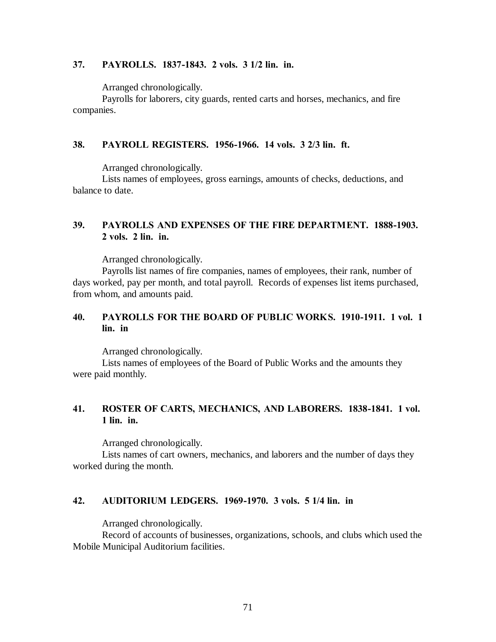## **37. PAYROLLS. 1837-1843. 2 vols. 3 1/2 lin. in.**

Arranged chronologically.

Payrolls for laborers, city guards, rented carts and horses, mechanics, and fire companies.

## **38. PAYROLL REGISTERS. 1956-1966. 14 vols. 3 2/3 lin. ft.**

Arranged chronologically.

Lists names of employees, gross earnings, amounts of checks, deductions, and balance to date.

# **39. PAYROLLS AND EXPENSES OF THE FIRE DEPARTMENT. 1888-1903. 2 vols. 2 lin. in.**

Arranged chronologically.

Payrolls list names of fire companies, names of employees, their rank, number of days worked, pay per month, and total payroll. Records of expenses list items purchased, from whom, and amounts paid.

# **40. PAYROLLS FOR THE BOARD OF PUBLIC WORKS. 1910-1911. 1 vol. 1 lin. in**

Arranged chronologically.

Lists names of employees of the Board of Public Works and the amounts they were paid monthly.

# **41. ROSTER OF CARTS, MECHANICS, AND LABORERS. 1838-1841. 1 vol. 1 lin. in.**

Arranged chronologically.

Lists names of cart owners, mechanics, and laborers and the number of days they worked during the month.

# **42. AUDITORIUM LEDGERS. 1969-1970. 3 vols. 5 1/4 lin. in**

Arranged chronologically.

Record of accounts of businesses, organizations, schools, and clubs which used the Mobile Municipal Auditorium facilities.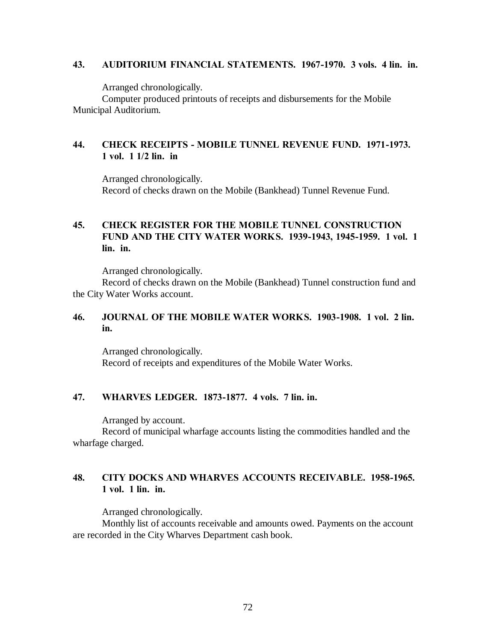## **43. AUDITORIUM FINANCIAL STATEMENTS. 1967-1970. 3 vols. 4 lin. in.**

Arranged chronologically.

Computer produced printouts of receipts and disbursements for the Mobile Municipal Auditorium.

# **44. CHECK RECEIPTS - MOBILE TUNNEL REVENUE FUND. 1971-1973. 1 vol. 1 1/2 lin. in**

Arranged chronologically. Record of checks drawn on the Mobile (Bankhead) Tunnel Revenue Fund.

# **45. CHECK REGISTER FOR THE MOBILE TUNNEL CONSTRUCTION FUND AND THE CITY WATER WORKS. 1939-1943, 1945-1959. 1 vol. 1 lin. in.**

Arranged chronologically.

Record of checks drawn on the Mobile (Bankhead) Tunnel construction fund and the City Water Works account.

# **46. JOURNAL OF THE MOBILE WATER WORKS. 1903-1908. 1 vol. 2 lin. in.**

Arranged chronologically. Record of receipts and expenditures of the Mobile Water Works.

# **47. WHARVES LEDGER. 1873-1877. 4 vols. 7 lin. in.**

Arranged by account.

Record of municipal wharfage accounts listing the commodities handled and the wharfage charged.

# **48. CITY DOCKS AND WHARVES ACCOUNTS RECEIVABLE. 1958-1965. 1 vol. 1 lin. in.**

Arranged chronologically.

Monthly list of accounts receivable and amounts owed. Payments on the account are recorded in the City Wharves Department cash book.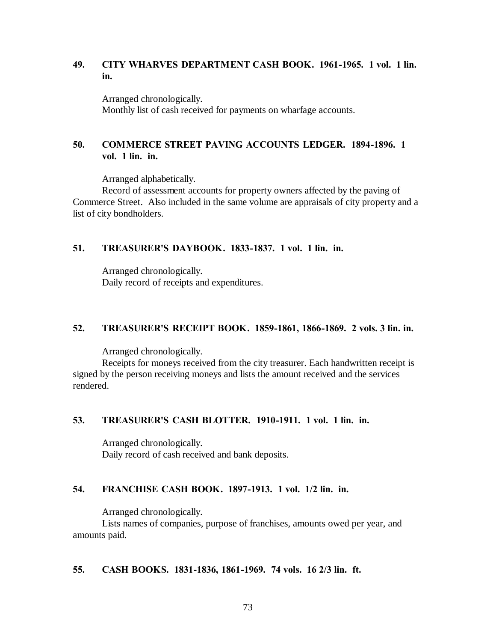# **49. CITY WHARVES DEPARTMENT CASH BOOK. 1961-1965. 1 vol. 1 lin. in.**

Arranged chronologically. Monthly list of cash received for payments on wharfage accounts.

# **50. COMMERCE STREET PAVING ACCOUNTS LEDGER. 1894-1896. 1 vol. 1 lin. in.**

Arranged alphabetically.

Record of assessment accounts for property owners affected by the paving of Commerce Street. Also included in the same volume are appraisals of city property and a list of city bondholders.

# **51. TREASURER'S DAYBOOK. 1833-1837. 1 vol. 1 lin. in.**

Arranged chronologically. Daily record of receipts and expenditures.

### **52. TREASURER'S RECEIPT BOOK. 1859-1861, 1866-1869. 2 vols. 3 lin. in.**

Arranged chronologically.

Receipts for moneys received from the city treasurer. Each handwritten receipt is signed by the person receiving moneys and lists the amount received and the services rendered.

### **53. TREASURER'S CASH BLOTTER. 1910-1911. 1 vol. 1 lin. in.**

Arranged chronologically. Daily record of cash received and bank deposits.

### **54. FRANCHISE CASH BOOK. 1897-1913. 1 vol. 1/2 lin. in.**

Arranged chronologically.

Lists names of companies, purpose of franchises, amounts owed per year, and amounts paid.

### **55. CASH BOOKS. 1831-1836, 1861-1969. 74 vols. 16 2/3 lin. ft.**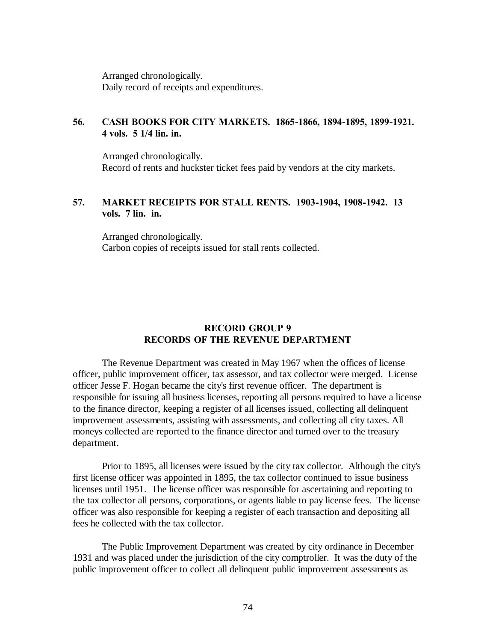Arranged chronologically. Daily record of receipts and expenditures.

# **56. CASH BOOKS FOR CITY MARKETS. 1865-1866, 1894-1895, 1899-1921. 4 vols. 5 1/4 lin. in.**

Arranged chronologically. Record of rents and huckster ticket fees paid by vendors at the city markets.

# **57. MARKET RECEIPTS FOR STALL RENTS. 1903-1904, 1908-1942. 13 vols. 7 lin. in.**

Arranged chronologically. Carbon copies of receipts issued for stall rents collected.

### **RECORD GROUP 9 RECORDS OF THE REVENUE DEPARTMENT**

The Revenue Department was created in May 1967 when the offices of license officer, public improvement officer, tax assessor, and tax collector were merged. License officer Jesse F. Hogan became the city's first revenue officer. The department is responsible for issuing all business licenses, reporting all persons required to have a license to the finance director, keeping a register of all licenses issued, collecting all delinquent improvement assessments, assisting with assessments, and collecting all city taxes. All moneys collected are reported to the finance director and turned over to the treasury department.

Prior to 1895, all licenses were issued by the city tax collector. Although the city's first license officer was appointed in 1895, the tax collector continued to issue business licenses until 1951. The license officer was responsible for ascertaining and reporting to the tax collector all persons, corporations, or agents liable to pay license fees. The license officer was also responsible for keeping a register of each transaction and depositing all fees he collected with the tax collector.

The Public Improvement Department was created by city ordinance in December 1931 and was placed under the jurisdiction of the city comptroller. It was the duty of the public improvement officer to collect all delinquent public improvement assessments as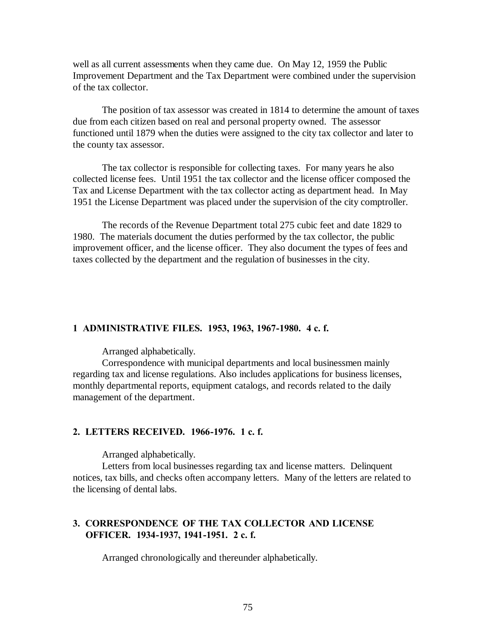well as all current assessments when they came due. On May 12, 1959 the Public Improvement Department and the Tax Department were combined under the supervision of the tax collector.

The position of tax assessor was created in 1814 to determine the amount of taxes due from each citizen based on real and personal property owned. The assessor functioned until 1879 when the duties were assigned to the city tax collector and later to the county tax assessor.

The tax collector is responsible for collecting taxes. For many years he also collected license fees. Until 1951 the tax collector and the license officer composed the Tax and License Department with the tax collector acting as department head. In May 1951 the License Department was placed under the supervision of the city comptroller.

The records of the Revenue Department total 275 cubic feet and date 1829 to 1980. The materials document the duties performed by the tax collector, the public improvement officer, and the license officer. They also document the types of fees and taxes collected by the department and the regulation of businesses in the city.

#### **1 ADMINISTRATIVE FILES. 1953, 1963, 1967-1980. 4 c. f.**

Arranged alphabetically.

Correspondence with municipal departments and local businessmen mainly regarding tax and license regulations. Also includes applications for business licenses, monthly departmental reports, equipment catalogs, and records related to the daily management of the department.

#### **2. LETTERS RECEIVED. 1966-1976. 1 c. f.**

Arranged alphabetically.

Letters from local businesses regarding tax and license matters. Delinquent notices, tax bills, and checks often accompany letters. Many of the letters are related to the licensing of dental labs.

### **3. CORRESPONDENCE OF THE TAX COLLECTOR AND LICENSE OFFICER. 1934-1937, 1941-1951. 2 c. f.**

Arranged chronologically and thereunder alphabetically.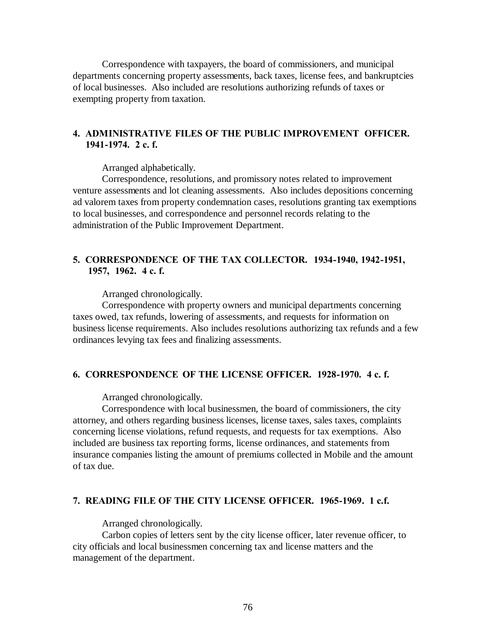Correspondence with taxpayers, the board of commissioners, and municipal departments concerning property assessments, back taxes, license fees, and bankruptcies of local businesses. Also included are resolutions authorizing refunds of taxes or exempting property from taxation.

# **4. ADMINISTRATIVE FILES OF THE PUBLIC IMPROVEMENT OFFICER. 1941-1974. 2 c. f.**

Arranged alphabetically.

Correspondence, resolutions, and promissory notes related to improvement venture assessments and lot cleaning assessments. Also includes depositions concerning ad valorem taxes from property condemnation cases, resolutions granting tax exemptions to local businesses, and correspondence and personnel records relating to the administration of the Public Improvement Department.

### **5. CORRESPONDENCE OF THE TAX COLLECTOR. 1934-1940, 1942-1951, 1957, 1962. 4 c. f.**

Arranged chronologically.

Correspondence with property owners and municipal departments concerning taxes owed, tax refunds, lowering of assessments, and requests for information on business license requirements. Also includes resolutions authorizing tax refunds and a few ordinances levying tax fees and finalizing assessments.

### **6. CORRESPONDENCE OF THE LICENSE OFFICER. 1928-1970. 4 c. f.**

Arranged chronologically.

Correspondence with local businessmen, the board of commissioners, the city attorney, and others regarding business licenses, license taxes, sales taxes, complaints concerning license violations, refund requests, and requests for tax exemptions. Also included are business tax reporting forms, license ordinances, and statements from insurance companies listing the amount of premiums collected in Mobile and the amount of tax due.

### **7. READING FILE OF THE CITY LICENSE OFFICER. 1965-1969. 1 c.f.**

Arranged chronologically.

Carbon copies of letters sent by the city license officer, later revenue officer, to city officials and local businessmen concerning tax and license matters and the management of the department.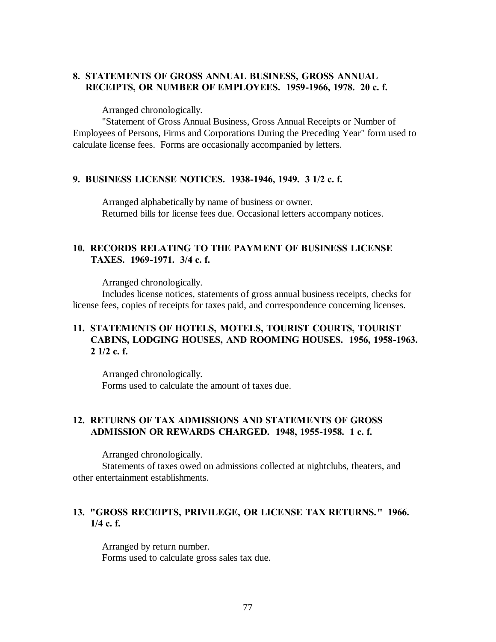# **8. STATEMENTS OF GROSS ANNUAL BUSINESS, GROSS ANNUAL RECEIPTS, OR NUMBER OF EMPLOYEES. 1959-1966, 1978. 20 c. f.**

Arranged chronologically.

"Statement of Gross Annual Business, Gross Annual Receipts or Number of Employees of Persons, Firms and Corporations During the Preceding Year" form used to calculate license fees. Forms are occasionally accompanied by letters.

#### **9. BUSINESS LICENSE NOTICES. 1938-1946, 1949. 3 1/2 c. f.**

Arranged alphabetically by name of business or owner. Returned bills for license fees due. Occasional letters accompany notices.

# **10. RECORDS RELATING TO THE PAYMENT OF BUSINESS LICENSE TAXES. 1969-1971. 3/4 c. f.**

Arranged chronologically.

Includes license notices, statements of gross annual business receipts, checks for license fees, copies of receipts for taxes paid, and correspondence concerning licenses.

### **11. STATEMENTS OF HOTELS, MOTELS, TOURIST COURTS, TOURIST CABINS, LODGING HOUSES, AND ROOMING HOUSES. 1956, 1958-1963. 2 1/2 c. f.**

Arranged chronologically. Forms used to calculate the amount of taxes due.

# **12. RETURNS OF TAX ADMISSIONS AND STATEMENTS OF GROSS ADMISSION OR REWARDS CHARGED. 1948, 1955-1958. 1 c. f.**

Arranged chronologically.

Statements of taxes owed on admissions collected at nightclubs, theaters, and other entertainment establishments.

# **13. "GROSS RECEIPTS, PRIVILEGE, OR LICENSE TAX RETURNS." 1966. 1/4 c. f.**

Arranged by return number. Forms used to calculate gross sales tax due.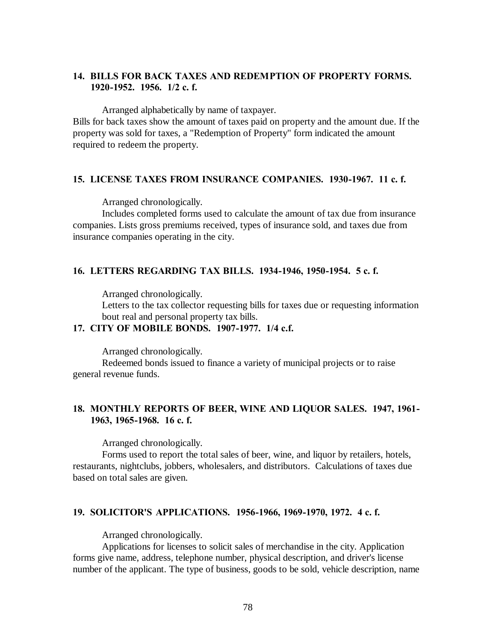# **14. BILLS FOR BACK TAXES AND REDEMPTION OF PROPERTY FORMS. 1920-1952. 1956. 1/2 c. f.**

Arranged alphabetically by name of taxpayer.

Bills for back taxes show the amount of taxes paid on property and the amount due. If the property was sold for taxes, a "Redemption of Property" form indicated the amount required to redeem the property.

### **15. LICENSE TAXES FROM INSURANCE COMPANIES. 1930-1967. 11 c. f.**

Arranged chronologically.

Includes completed forms used to calculate the amount of tax due from insurance companies. Lists gross premiums received, types of insurance sold, and taxes due from insurance companies operating in the city.

#### **16. LETTERS REGARDING TAX BILLS. 1934-1946, 1950-1954. 5 c. f.**

Arranged chronologically.

Letters to the tax collector requesting bills for taxes due or requesting information bout real and personal property tax bills.

### **17. CITY OF MOBILE BONDS. 1907-1977. 1/4 c.f.**

Arranged chronologically.

Redeemed bonds issued to finance a variety of municipal projects or to raise general revenue funds.

### **18. MONTHLY REPORTS OF BEER, WINE AND LIQUOR SALES. 1947, 1961- 1963, 1965-1968. 16 c. f.**

Arranged chronologically.

Forms used to report the total sales of beer, wine, and liquor by retailers, hotels, restaurants, nightclubs, jobbers, wholesalers, and distributors. Calculations of taxes due based on total sales are given.

#### **19. SOLICITOR'S APPLICATIONS. 1956-1966, 1969-1970, 1972. 4 c. f.**

Arranged chronologically.

Applications for licenses to solicit sales of merchandise in the city. Application forms give name, address, telephone number, physical description, and driver's license number of the applicant. The type of business, goods to be sold, vehicle description, name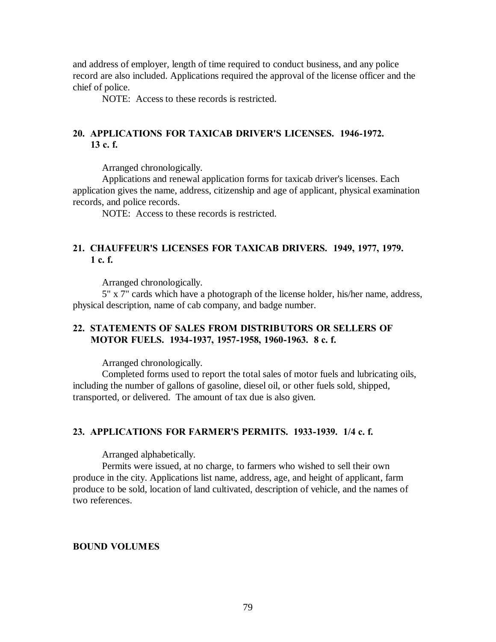and address of employer, length of time required to conduct business, and any police record are also included. Applications required the approval of the license officer and the chief of police.

NOTE: Access to these records is restricted.

# **20. APPLICATIONS FOR TAXICAB DRIVER'S LICENSES. 1946-1972. 13 c. f.**

Arranged chronologically.

Applications and renewal application forms for taxicab driver's licenses. Each application gives the name, address, citizenship and age of applicant, physical examination records, and police records.

NOTE: Access to these records is restricted.

# **21. CHAUFFEUR'S LICENSES FOR TAXICAB DRIVERS. 1949, 1977, 1979. 1 c. f.**

Arranged chronologically.

5" x 7" cards which have a photograph of the license holder, his/her name, address, physical description, name of cab company, and badge number.

### **22. STATEMENTS OF SALES FROM DISTRIBUTORS OR SELLERS OF MOTOR FUELS. 1934-1937, 1957-1958, 1960-1963. 8 c. f.**

Arranged chronologically.

Completed forms used to report the total sales of motor fuels and lubricating oils, including the number of gallons of gasoline, diesel oil, or other fuels sold, shipped, transported, or delivered. The amount of tax due is also given.

#### **23. APPLICATIONS FOR FARMER'S PERMITS. 1933-1939. 1/4 c. f.**

Arranged alphabetically.

Permits were issued, at no charge, to farmers who wished to sell their own produce in the city. Applications list name, address, age, and height of applicant, farm produce to be sold, location of land cultivated, description of vehicle, and the names of two references.

#### **BOUND VOLUMES**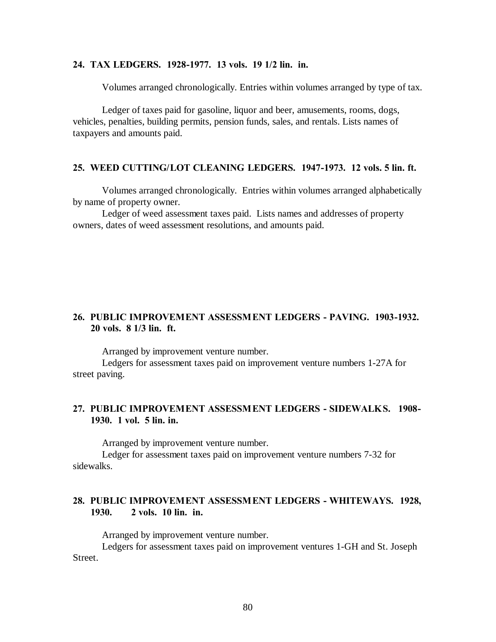### **24. TAX LEDGERS. 1928-1977. 13 vols. 19 1/2 lin. in.**

Volumes arranged chronologically. Entries within volumes arranged by type of tax.

Ledger of taxes paid for gasoline, liquor and beer, amusements, rooms, dogs, vehicles, penalties, building permits, pension funds, sales, and rentals. Lists names of taxpayers and amounts paid.

#### **25. WEED CUTTING/LOT CLEANING LEDGERS. 1947-1973. 12 vols. 5 lin. ft.**

Volumes arranged chronologically. Entries within volumes arranged alphabetically by name of property owner.

Ledger of weed assessment taxes paid. Lists names and addresses of property owners, dates of weed assessment resolutions, and amounts paid.

### **26. PUBLIC IMPROVEMENT ASSESSMENT LEDGERS - PAVING. 1903-1932. 20 vols. 8 1/3 lin. ft.**

Arranged by improvement venture number.

Ledgers for assessment taxes paid on improvement venture numbers 1-27A for street paving.

### **27. PUBLIC IMPROVEMENT ASSESSMENT LEDGERS - SIDEWALKS. 1908- 1930. 1 vol. 5 lin. in.**

Arranged by improvement venture number.

Ledger for assessment taxes paid on improvement venture numbers 7-32 for sidewalks.

# **28. PUBLIC IMPROVEMENT ASSESSMENT LEDGERS - WHITEWAYS. 1928, 1930. 2 vols. 10 lin. in.**

Arranged by improvement venture number.

Ledgers for assessment taxes paid on improvement ventures 1-GH and St. Joseph Street.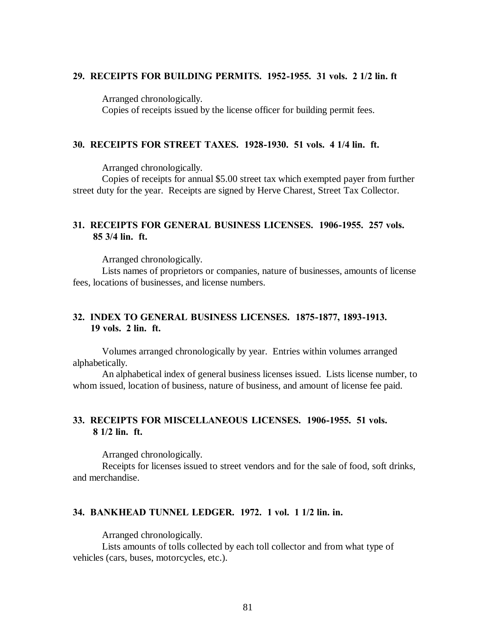#### **29. RECEIPTS FOR BUILDING PERMITS. 1952-1955. 31 vols. 2 1/2 lin. ft**

Arranged chronologically. Copies of receipts issued by the license officer for building permit fees.

### **30. RECEIPTS FOR STREET TAXES. 1928-1930. 51 vols. 4 1/4 lin. ft.**

Arranged chronologically.

Copies of receipts for annual \$5.00 street tax which exempted payer from further street duty for the year. Receipts are signed by Herve Charest, Street Tax Collector.

### **31. RECEIPTS FOR GENERAL BUSINESS LICENSES. 1906-1955. 257 vols. 85 3/4 lin. ft.**

Arranged chronologically.

Lists names of proprietors or companies, nature of businesses, amounts of license fees, locations of businesses, and license numbers.

### **32. INDEX TO GENERAL BUSINESS LICENSES. 1875-1877, 1893-1913. 19 vols. 2 lin. ft.**

Volumes arranged chronologically by year. Entries within volumes arranged alphabetically.

An alphabetical index of general business licenses issued. Lists license number, to whom issued, location of business, nature of business, and amount of license fee paid.

# **33. RECEIPTS FOR MISCELLANEOUS LICENSES. 1906-1955. 51 vols. 8 1/2 lin. ft.**

Arranged chronologically.

Receipts for licenses issued to street vendors and for the sale of food, soft drinks, and merchandise.

#### **34. BANKHEAD TUNNEL LEDGER. 1972. 1 vol. 1 1/2 lin. in.**

Arranged chronologically.

Lists amounts of tolls collected by each toll collector and from what type of vehicles (cars, buses, motorcycles, etc.).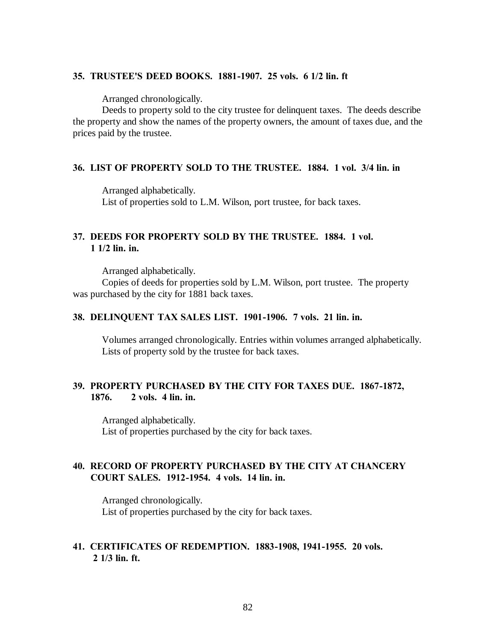### **35. TRUSTEE'S DEED BOOKS. 1881-1907. 25 vols. 6 1/2 lin. ft**

Arranged chronologically.

Deeds to property sold to the city trustee for delinquent taxes. The deeds describe the property and show the names of the property owners, the amount of taxes due, and the prices paid by the trustee.

### **36. LIST OF PROPERTY SOLD TO THE TRUSTEE. 1884. 1 vol. 3/4 lin. in**

Arranged alphabetically. List of properties sold to L.M. Wilson, port trustee, for back taxes.

### **37. DEEDS FOR PROPERTY SOLD BY THE TRUSTEE. 1884. 1 vol. 1 1/2 lin. in.**

Arranged alphabetically.

Copies of deeds for properties sold by L.M. Wilson, port trustee. The property was purchased by the city for 1881 back taxes.

### **38. DELINQUENT TAX SALES LIST. 1901-1906. 7 vols. 21 lin. in.**

Volumes arranged chronologically. Entries within volumes arranged alphabetically. Lists of property sold by the trustee for back taxes.

### **39. PROPERTY PURCHASED BY THE CITY FOR TAXES DUE. 1867-1872, 1876. 2 vols. 4 lin. in.**

Arranged alphabetically. List of properties purchased by the city for back taxes.

### **40. RECORD OF PROPERTY PURCHASED BY THE CITY AT CHANCERY COURT SALES. 1912-1954. 4 vols. 14 lin. in.**

Arranged chronologically. List of properties purchased by the city for back taxes.

### **41. CERTIFICATES OF REDEMPTION. 1883-1908, 1941-1955. 20 vols. 2 1/3 lin. ft.**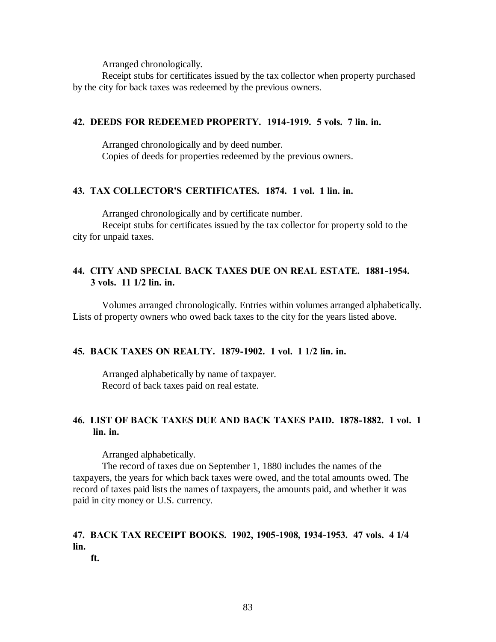Receipt stubs for certificates issued by the tax collector when property purchased by the city for back taxes was redeemed by the previous owners.

### **42. DEEDS FOR REDEEMED PROPERTY. 1914-1919. 5 vols. 7 lin. in.**

Arranged chronologically and by deed number. Copies of deeds for properties redeemed by the previous owners.

### **43. TAX COLLECTOR'S CERTIFICATES. 1874. 1 vol. 1 lin. in.**

Arranged chronologically and by certificate number.

Receipt stubs for certificates issued by the tax collector for property sold to the city for unpaid taxes.

# **44. CITY AND SPECIAL BACK TAXES DUE ON REAL ESTATE. 1881-1954. 3 vols. 11 1/2 lin. in.**

Volumes arranged chronologically. Entries within volumes arranged alphabetically. Lists of property owners who owed back taxes to the city for the years listed above.

### **45. BACK TAXES ON REALTY. 1879-1902. 1 vol. 1 1/2 lin. in.**

Arranged alphabetically by name of taxpayer. Record of back taxes paid on real estate.

# **46. LIST OF BACK TAXES DUE AND BACK TAXES PAID. 1878-1882. 1 vol. 1 lin. in.**

Arranged alphabetically.

The record of taxes due on September 1, 1880 includes the names of the taxpayers, the years for which back taxes were owed, and the total amounts owed. The record of taxes paid lists the names of taxpayers, the amounts paid, and whether it was paid in city money or U.S. currency.

# **47. BACK TAX RECEIPT BOOKS. 1902, 1905-1908, 1934-1953. 47 vols. 4 1/4 lin.**

 **ft.**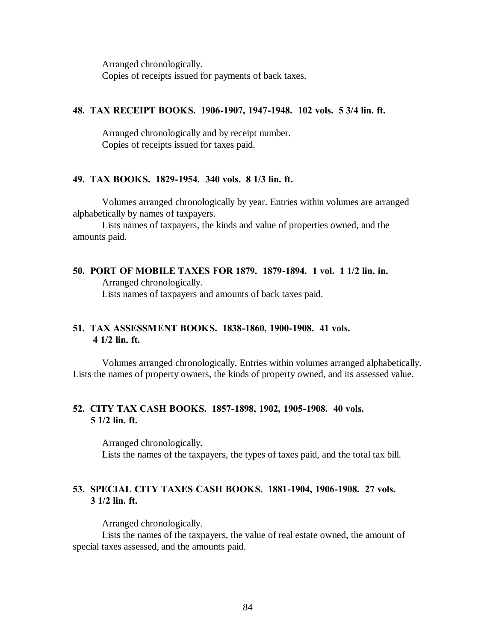Arranged chronologically. Copies of receipts issued for payments of back taxes.

#### **48. TAX RECEIPT BOOKS. 1906-1907, 1947-1948. 102 vols. 5 3/4 lin. ft.**

Arranged chronologically and by receipt number. Copies of receipts issued for taxes paid.

#### **49. TAX BOOKS. 1829-1954. 340 vols. 8 1/3 lin. ft.**

Volumes arranged chronologically by year. Entries within volumes are arranged alphabetically by names of taxpayers.

Lists names of taxpayers, the kinds and value of properties owned, and the amounts paid.

**50. PORT OF MOBILE TAXES FOR 1879. 1879-1894. 1 vol. 1 1/2 lin. in.** Arranged chronologically. Lists names of taxpayers and amounts of back taxes paid.

# **51. TAX ASSESSMENT BOOKS. 1838-1860, 1900-1908. 41 vols. 4 1/2 lin. ft.**

Volumes arranged chronologically. Entries within volumes arranged alphabetically. Lists the names of property owners, the kinds of property owned, and its assessed value.

### **52. CITY TAX CASH BOOKS. 1857-1898, 1902, 1905-1908. 40 vols. 5 1/2 lin. ft.**

Arranged chronologically. Lists the names of the taxpayers, the types of taxes paid, and the total tax bill.

# **53. SPECIAL CITY TAXES CASH BOOKS. 1881-1904, 1906-1908. 27 vols. 3 1/2 lin. ft.**

Arranged chronologically.

Lists the names of the taxpayers, the value of real estate owned, the amount of special taxes assessed, and the amounts paid.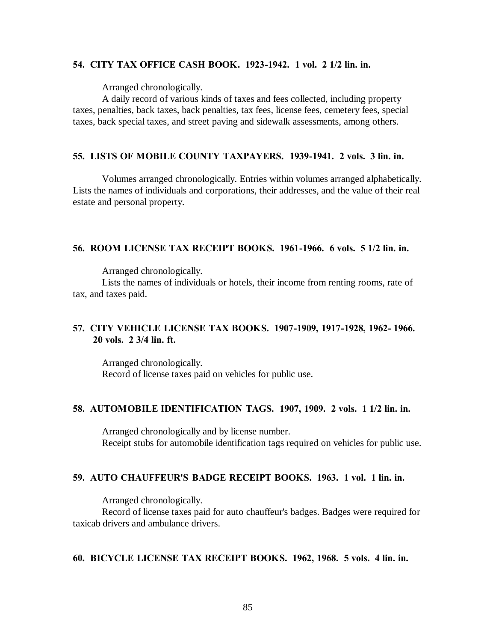### **54. CITY TAX OFFICE CASH BOOK. 1923-1942. 1 vol. 2 1/2 lin. in.**

Arranged chronologically.

A daily record of various kinds of taxes and fees collected, including property taxes, penalties, back taxes, back penalties, tax fees, license fees, cemetery fees, special taxes, back special taxes, and street paving and sidewalk assessments, among others.

### **55. LISTS OF MOBILE COUNTY TAXPAYERS. 1939-1941. 2 vols. 3 lin. in.**

Volumes arranged chronologically. Entries within volumes arranged alphabetically. Lists the names of individuals and corporations, their addresses, and the value of their real estate and personal property.

#### **56. ROOM LICENSE TAX RECEIPT BOOKS. 1961-1966. 6 vols. 5 1/2 lin. in.**

Arranged chronologically.

Lists the names of individuals or hotels, their income from renting rooms, rate of tax, and taxes paid.

### **57. CITY VEHICLE LICENSE TAX BOOKS. 1907-1909, 1917-1928, 1962- 1966. 20 vols. 2 3/4 lin. ft.**

Arranged chronologically. Record of license taxes paid on vehicles for public use.

#### **58. AUTOMOBILE IDENTIFICATION TAGS. 1907, 1909. 2 vols. 1 1/2 lin. in.**

Arranged chronologically and by license number. Receipt stubs for automobile identification tags required on vehicles for public use.

### **59. AUTO CHAUFFEUR'S BADGE RECEIPT BOOKS. 1963. 1 vol. 1 lin. in.**

Arranged chronologically.

Record of license taxes paid for auto chauffeur's badges. Badges were required for taxicab drivers and ambulance drivers.

### **60. BICYCLE LICENSE TAX RECEIPT BOOKS. 1962, 1968. 5 vols. 4 lin. in.**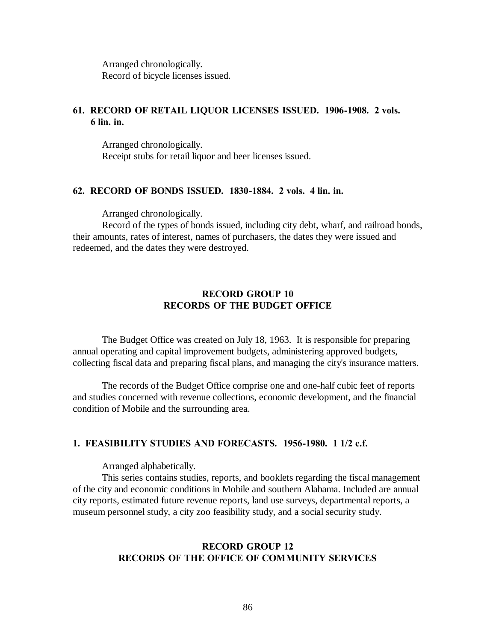Arranged chronologically. Record of bicycle licenses issued.

### **61. RECORD OF RETAIL LIQUOR LICENSES ISSUED. 1906-1908. 2 vols. 6 lin. in.**

Arranged chronologically. Receipt stubs for retail liquor and beer licenses issued.

#### **62. RECORD OF BONDS ISSUED. 1830-1884. 2 vols. 4 lin. in.**

Arranged chronologically.

Record of the types of bonds issued, including city debt, wharf, and railroad bonds, their amounts, rates of interest, names of purchasers, the dates they were issued and redeemed, and the dates they were destroyed.

# **RECORD GROUP 10 RECORDS OF THE BUDGET OFFICE**

The Budget Office was created on July 18, 1963. It is responsible for preparing annual operating and capital improvement budgets, administering approved budgets, collecting fiscal data and preparing fiscal plans, and managing the city's insurance matters.

The records of the Budget Office comprise one and one-half cubic feet of reports and studies concerned with revenue collections, economic development, and the financial condition of Mobile and the surrounding area.

#### **1. FEASIBILITY STUDIES AND FORECASTS. 1956-1980. 1 1/2 c.f.**

Arranged alphabetically.

This series contains studies, reports, and booklets regarding the fiscal management of the city and economic conditions in Mobile and southern Alabama. Included are annual city reports, estimated future revenue reports, land use surveys, departmental reports, a museum personnel study, a city zoo feasibility study, and a social security study.

### **RECORD GROUP 12 RECORDS OF THE OFFICE OF COMMUNITY SERVICES**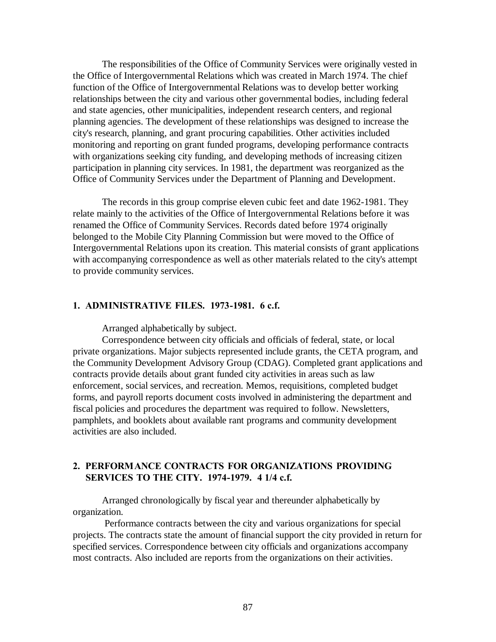The responsibilities of the Office of Community Services were originally vested in the Office of Intergovernmental Relations which was created in March 1974. The chief function of the Office of Intergovernmental Relations was to develop better working relationships between the city and various other governmental bodies, including federal and state agencies, other municipalities, independent research centers, and regional planning agencies. The development of these relationships was designed to increase the city's research, planning, and grant procuring capabilities. Other activities included monitoring and reporting on grant funded programs, developing performance contracts with organizations seeking city funding, and developing methods of increasing citizen participation in planning city services. In 1981, the department was reorganized as the Office of Community Services under the Department of Planning and Development.

The records in this group comprise eleven cubic feet and date 1962-1981. They relate mainly to the activities of the Office of Intergovernmental Relations before it was renamed the Office of Community Services. Records dated before 1974 originally belonged to the Mobile City Planning Commission but were moved to the Office of Intergovernmental Relations upon its creation. This material consists of grant applications with accompanying correspondence as well as other materials related to the city's attempt to provide community services.

#### **1. ADMINISTRATIVE FILES. 1973-1981. 6 c.f.**

Arranged alphabetically by subject.

Correspondence between city officials and officials of federal, state, or local private organizations. Major subjects represented include grants, the CETA program, and the Community Development Advisory Group (CDAG). Completed grant applications and contracts provide details about grant funded city activities in areas such as law enforcement, social services, and recreation. Memos, requisitions, completed budget forms, and payroll reports document costs involved in administering the department and fiscal policies and procedures the department was required to follow. Newsletters, pamphlets, and booklets about available rant programs and community development activities are also included.

### **2. PERFORMANCE CONTRACTS FOR ORGANIZATIONS PROVIDING SERVICES TO THE CITY. 1974-1979. 4 1/4 c.f.**

Arranged chronologically by fiscal year and thereunder alphabetically by organization.

 Performance contracts between the city and various organizations for special projects. The contracts state the amount of financial support the city provided in return for specified services. Correspondence between city officials and organizations accompany most contracts. Also included are reports from the organizations on their activities.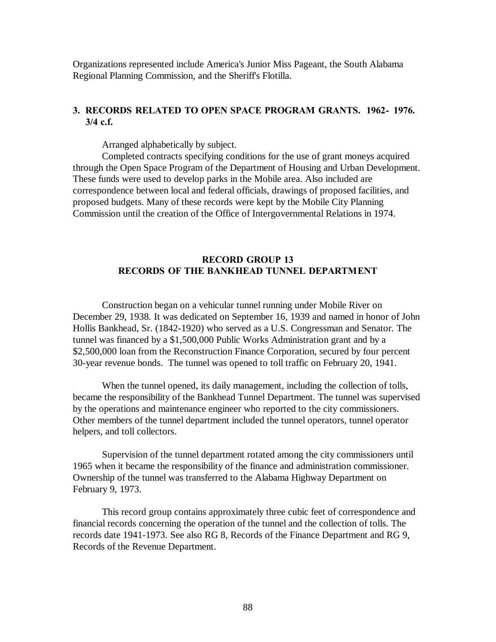Organizations represented include America's Junior Miss Pageant, the South Alabama Regional Planning Commission, and the Sheriff's Flotilla.

# **3. RECORDS RELATED TO OPEN SPACE PROGRAM GRANTS. 1962- 1976. 3/4 c.f.**

Arranged alphabetically by subject.

Completed contracts specifying conditions for the use of grant moneys acquired through the Open Space Program of the Department of Housing and Urban Development. These funds were used to develop parks in the Mobile area. Also included are correspondence between local and federal officials, drawings of proposed facilities, and proposed budgets. Many of these records were kept by the Mobile City Planning Commission until the creation of the Office of Intergovernmental Relations in 1974.

# **RECORD GROUP 13 RECORDS OF THE BANKHEAD TUNNEL DEPARTMENT**

Construction began on a vehicular tunnel running under Mobile River on December 29, 1938. It was dedicated on September 16, 1939 and named in honor of John Hollis Bankhead, Sr. (1842-1920) who served as a U.S. Congressman and Senator. The tunnel was financed by a \$1,500,000 Public Works Administration grant and by a \$2,500,000 loan from the Reconstruction Finance Corporation, secured by four percent 30-year revenue bonds. The tunnel was opened to toll traffic on February 20, 1941.

When the tunnel opened, its daily management, including the collection of tolls, became the responsibility of the Bankhead Tunnel Department. The tunnel was supervised by the operations and maintenance engineer who reported to the city commissioners. Other members of the tunnel department included the tunnel operators, tunnel operator helpers, and toll collectors.

Supervision of the tunnel department rotated among the city commissioners until 1965 when it became the responsibility of the finance and administration commissioner. Ownership of the tunnel was transferred to the Alabama Highway Department on February 9, 1973.

This record group contains approximately three cubic feet of correspondence and financial records concerning the operation of the tunnel and the collection of tolls. The records date 1941-1973. See also RG 8, Records of the Finance Department and RG 9, Records of the Revenue Department.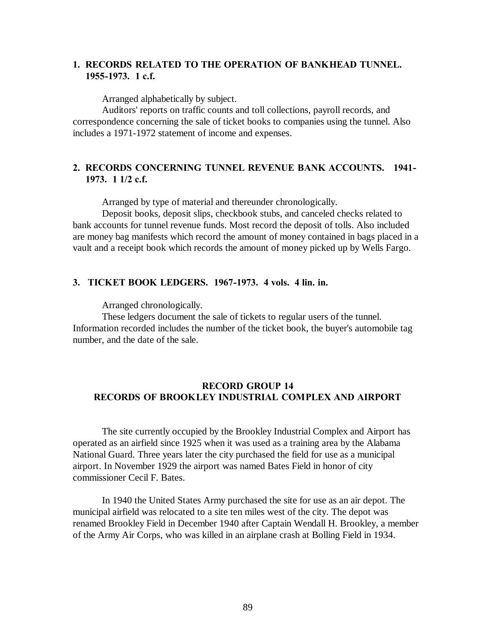# **1. RECORDS RELATED TO THE OPERATION OF BANKHEAD TUNNEL. 1955-1973. 1 c.f.**

Arranged alphabetically by subject.

Auditors' reports on traffic counts and toll collections, payroll records, and correspondence concerning the sale of ticket books to companies using the tunnel. Also includes a 1971-1972 statement of income and expenses.

# **2. RECORDS CONCERNING TUNNEL REVENUE BANK ACCOUNTS. 1941- 1973. 1 1/2 c.f.**

Arranged by type of material and thereunder chronologically.

Deposit books, deposit slips, checkbook stubs, and canceled checks related to bank accounts for tunnel revenue funds. Most record the deposit of tolls. Also included are money bag manifests which record the amount of money contained in bags placed in a vault and a receipt book which records the amount of money picked up by Wells Fargo.

### **3. TICKET BOOK LEDGERS. 1967-1973. 4 vols. 4 lin. in.**

Arranged chronologically.

These ledgers document the sale of tickets to regular users of the tunnel. Information recorded includes the number of the ticket book, the buyer's automobile tag number, and the date of the sale.

### **RECORD GROUP 14 RECORDS OF BROOKLEY INDUSTRIAL COMPLEX AND AIRPORT**

The site currently occupied by the Brookley Industrial Complex and Airport has operated as an airfield since 1925 when it was used as a training area by the Alabama National Guard. Three years later the city purchased the field for use as a municipal airport. In November 1929 the airport was named Bates Field in honor of city commissioner Cecil F. Bates.

In 1940 the United States Army purchased the site for use as an air depot. The municipal airfield was relocated to a site ten miles west of the city. The depot was renamed Brookley Field in December 1940 after Captain Wendall H. Brookley, a member of the Army Air Corps, who was killed in an airplane crash at Bolling Field in 1934.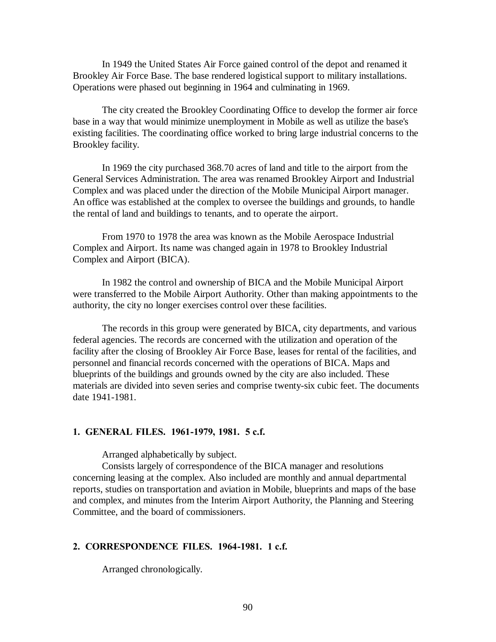In 1949 the United States Air Force gained control of the depot and renamed it Brookley Air Force Base. The base rendered logistical support to military installations. Operations were phased out beginning in 1964 and culminating in 1969.

The city created the Brookley Coordinating Office to develop the former air force base in a way that would minimize unemployment in Mobile as well as utilize the base's existing facilities. The coordinating office worked to bring large industrial concerns to the Brookley facility.

In 1969 the city purchased 368.70 acres of land and title to the airport from the General Services Administration. The area was renamed Brookley Airport and Industrial Complex and was placed under the direction of the Mobile Municipal Airport manager. An office was established at the complex to oversee the buildings and grounds, to handle the rental of land and buildings to tenants, and to operate the airport.

From 1970 to 1978 the area was known as the Mobile Aerospace Industrial Complex and Airport. Its name was changed again in 1978 to Brookley Industrial Complex and Airport (BICA).

In 1982 the control and ownership of BICA and the Mobile Municipal Airport were transferred to the Mobile Airport Authority. Other than making appointments to the authority, the city no longer exercises control over these facilities.

The records in this group were generated by BICA, city departments, and various federal agencies. The records are concerned with the utilization and operation of the facility after the closing of Brookley Air Force Base, leases for rental of the facilities, and personnel and financial records concerned with the operations of BICA. Maps and blueprints of the buildings and grounds owned by the city are also included. These materials are divided into seven series and comprise twenty-six cubic feet. The documents date 1941-1981.

#### **1. GENERAL FILES. 1961-1979, 1981. 5 c.f.**

Arranged alphabetically by subject.

Consists largely of correspondence of the BICA manager and resolutions concerning leasing at the complex. Also included are monthly and annual departmental reports, studies on transportation and aviation in Mobile, blueprints and maps of the base and complex, and minutes from the Interim Airport Authority, the Planning and Steering Committee, and the board of commissioners.

#### **2. CORRESPONDENCE FILES. 1964-1981. 1 c.f.**

Arranged chronologically.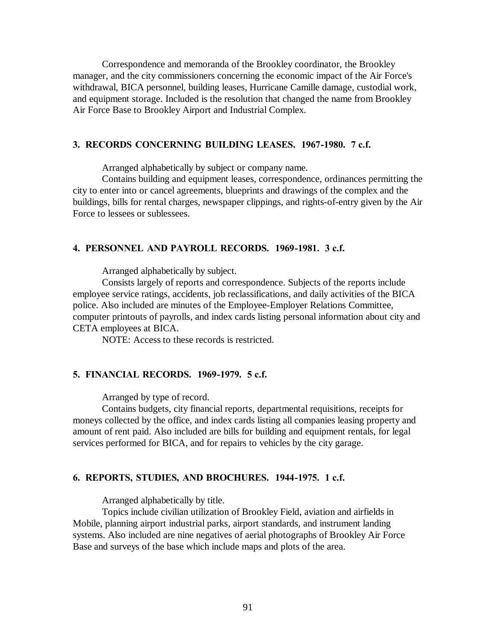Correspondence and memoranda of the Brookley coordinator, the Brookley manager, and the city commissioners concerning the economic impact of the Air Force's withdrawal, BICA personnel, building leases, Hurricane Camille damage, custodial work, and equipment storage. Included is the resolution that changed the name from Brookley Air Force Base to Brookley Airport and Industrial Complex.

#### **3. RECORDS CONCERNING BUILDING LEASES. 1967-1980. 7 c.f.**

Arranged alphabetically by subject or company name.

Contains building and equipment leases, correspondence, ordinances permitting the city to enter into or cancel agreements, blueprints and drawings of the complex and the buildings, bills for rental charges, newspaper clippings, and rights-of-entry given by the Air Force to lessees or sublessees.

#### **4. PERSONNEL AND PAYROLL RECORDS. 1969-1981. 3 c.f.**

Arranged alphabetically by subject.

Consists largely of reports and correspondence. Subjects of the reports include employee service ratings, accidents, job reclassifications, and daily activities of the BICA police. Also included are minutes of the Employee-Employer Relations Committee, computer printouts of payrolls, and index cards listing personal information about city and CETA employees at BICA.

NOTE: Access to these records is restricted.

### **5. FINANCIAL RECORDS. 1969-1979. 5 c.f.**

Arranged by type of record.

Contains budgets, city financial reports, departmental requisitions, receipts for moneys collected by the office, and index cards listing all companies leasing property and amount of rent paid. Also included are bills for building and equipment rentals, for legal services performed for BICA, and for repairs to vehicles by the city garage.

#### **6. REPORTS, STUDIES, AND BROCHURES. 1944-1975. 1 c.f.**

Arranged alphabetically by title.

Topics include civilian utilization of Brookley Field, aviation and airfields in Mobile, planning airport industrial parks, airport standards, and instrument landing systems. Also included are nine negatives of aerial photographs of Brookley Air Force Base and surveys of the base which include maps and plots of the area.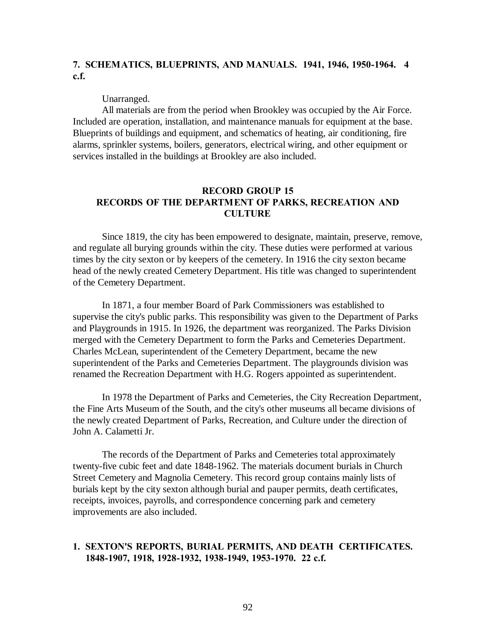# **7. SCHEMATICS, BLUEPRINTS, AND MANUALS. 1941, 1946, 1950-1964. 4 c.f.**

Unarranged.

All materials are from the period when Brookley was occupied by the Air Force. Included are operation, installation, and maintenance manuals for equipment at the base. Blueprints of buildings and equipment, and schematics of heating, air conditioning, fire alarms, sprinkler systems, boilers, generators, electrical wiring, and other equipment or services installed in the buildings at Brookley are also included.

### **RECORD GROUP 15 RECORDS OF THE DEPARTMENT OF PARKS, RECREATION AND CULTURE**

Since 1819, the city has been empowered to designate, maintain, preserve, remove, and regulate all burying grounds within the city. These duties were performed at various times by the city sexton or by keepers of the cemetery. In 1916 the city sexton became head of the newly created Cemetery Department. His title was changed to superintendent of the Cemetery Department.

In 1871, a four member Board of Park Commissioners was established to supervise the city's public parks. This responsibility was given to the Department of Parks and Playgrounds in 1915. In 1926, the department was reorganized. The Parks Division merged with the Cemetery Department to form the Parks and Cemeteries Department. Charles McLean, superintendent of the Cemetery Department, became the new superintendent of the Parks and Cemeteries Department. The playgrounds division was renamed the Recreation Department with H.G. Rogers appointed as superintendent.

In 1978 the Department of Parks and Cemeteries, the City Recreation Department, the Fine Arts Museum of the South, and the city's other museums all became divisions of the newly created Department of Parks, Recreation, and Culture under the direction of John A. Calametti Jr.

The records of the Department of Parks and Cemeteries total approximately twenty-five cubic feet and date 1848-1962. The materials document burials in Church Street Cemetery and Magnolia Cemetery. This record group contains mainly lists of burials kept by the city sexton although burial and pauper permits, death certificates, receipts, invoices, payrolls, and correspondence concerning park and cemetery improvements are also included.

#### **1. SEXTON'S REPORTS, BURIAL PERMITS, AND DEATH CERTIFICATES. 1848-1907, 1918, 1928-1932, 1938-1949, 1953-1970. 22 c.f.**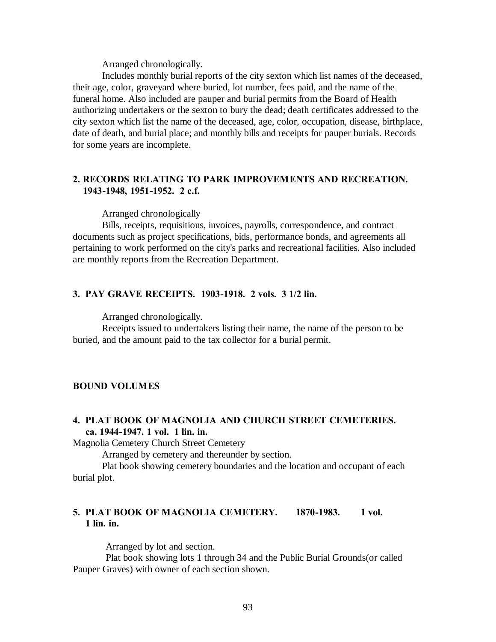Includes monthly burial reports of the city sexton which list names of the deceased, their age, color, graveyard where buried, lot number, fees paid, and the name of the funeral home. Also included are pauper and burial permits from the Board of Health authorizing undertakers or the sexton to bury the dead; death certificates addressed to the city sexton which list the name of the deceased, age, color, occupation, disease, birthplace, date of death, and burial place; and monthly bills and receipts for pauper burials. Records for some years are incomplete.

### **2. RECORDS RELATING TO PARK IMPROVEMENTS AND RECREATION. 1943-1948, 1951-1952. 2 c.f.**

Arranged chronologically

Bills, receipts, requisitions, invoices, payrolls, correspondence, and contract documents such as project specifications, bids, performance bonds, and agreements all pertaining to work performed on the city's parks and recreational facilities. Also included are monthly reports from the Recreation Department.

### **3. PAY GRAVE RECEIPTS. 1903-1918. 2 vols. 3 1/2 lin.**

Arranged chronologically.

Receipts issued to undertakers listing their name, the name of the person to be buried, and the amount paid to the tax collector for a burial permit.

### **BOUND VOLUMES**

# **4. PLAT BOOK OF MAGNOLIA AND CHURCH STREET CEMETERIES. ca. 1944-1947. 1 vol. 1 lin. in.**

Magnolia Cemetery Church Street Cemetery

Arranged by cemetery and thereunder by section.

Plat book showing cemetery boundaries and the location and occupant of each burial plot.

# **5. PLAT BOOK OF MAGNOLIA CEMETERY. 1870-1983. 1 vol. 1 lin. in.**

Arranged by lot and section.

 Plat book showing lots 1 through 34 and the Public Burial Grounds(or called Pauper Graves) with owner of each section shown.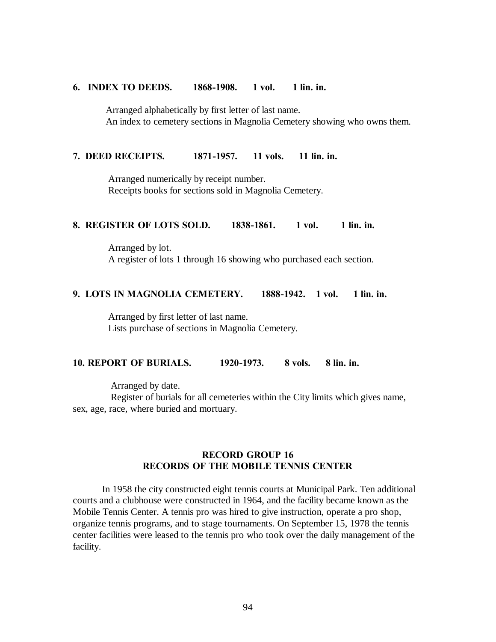#### **6. INDEX TO DEEDS. 1868-1908. 1 vol. 1 lin. in.**

 Arranged alphabetically by first letter of last name. An index to cemetery sections in Magnolia Cemetery showing who owns them.

#### **7. DEED RECEIPTS. 1871-1957. 11 vols. 11 lin. in.**

 Arranged numerically by receipt number. Receipts books for sections sold in Magnolia Cemetery.

#### **8. REGISTER OF LOTS SOLD. 1838-1861. 1 vol. 1 lin. in.**

 Arranged by lot. A register of lots 1 through 16 showing who purchased each section.

### **9. LOTS IN MAGNOLIA CEMETERY. 1888-1942. 1 vol. 1 lin. in.**

 Arranged by first letter of last name. Lists purchase of sections in Magnolia Cemetery.

### **10. REPORT OF BURIALS. 1920-1973. 8 vols. 8 lin. in.**

Arranged by date.

 Register of burials for all cemeteries within the City limits which gives name, sex, age, race, where buried and mortuary.

# **RECORD GROUP 16 RECORDS OF THE MOBILE TENNIS CENTER**

In 1958 the city constructed eight tennis courts at Municipal Park. Ten additional courts and a clubhouse were constructed in 1964, and the facility became known as the Mobile Tennis Center. A tennis pro was hired to give instruction, operate a pro shop, organize tennis programs, and to stage tournaments. On September 15, 1978 the tennis center facilities were leased to the tennis pro who took over the daily management of the facility.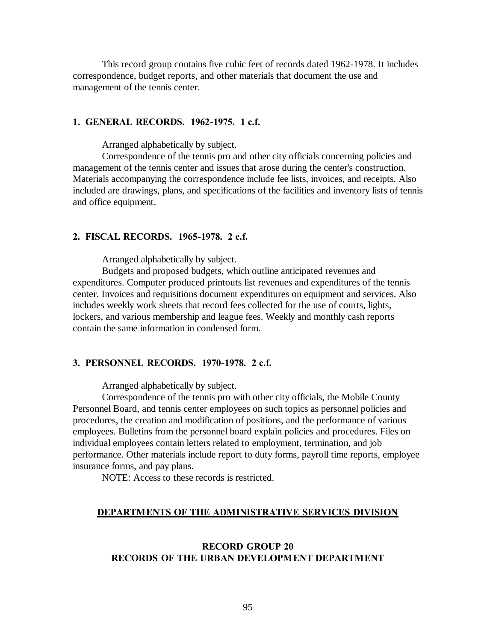This record group contains five cubic feet of records dated 1962-1978. It includes correspondence, budget reports, and other materials that document the use and management of the tennis center.

#### **1. GENERAL RECORDS. 1962-1975. 1 c.f.**

Arranged alphabetically by subject.

Correspondence of the tennis pro and other city officials concerning policies and management of the tennis center and issues that arose during the center's construction. Materials accompanying the correspondence include fee lists, invoices, and receipts. Also included are drawings, plans, and specifications of the facilities and inventory lists of tennis and office equipment.

#### **2. FISCAL RECORDS. 1965-1978. 2 c.f.**

Arranged alphabetically by subject.

Budgets and proposed budgets, which outline anticipated revenues and expenditures. Computer produced printouts list revenues and expenditures of the tennis center. Invoices and requisitions document expenditures on equipment and services. Also includes weekly work sheets that record fees collected for the use of courts, lights, lockers, and various membership and league fees. Weekly and monthly cash reports contain the same information in condensed form.

#### **3. PERSONNEL RECORDS. 1970-1978. 2 c.f.**

Arranged alphabetically by subject.

Correspondence of the tennis pro with other city officials, the Mobile County Personnel Board, and tennis center employees on such topics as personnel policies and procedures, the creation and modification of positions, and the performance of various employees. Bulletins from the personnel board explain policies and procedures. Files on individual employees contain letters related to employment, termination, and job performance. Other materials include report to duty forms, payroll time reports, employee insurance forms, and pay plans.

NOTE: Access to these records is restricted.

#### **DEPARTMENTS OF THE ADMINISTRATIVE SERVICES DIVISION**

### **RECORD GROUP 20 RECORDS OF THE URBAN DEVELOPMENT DEPARTMENT**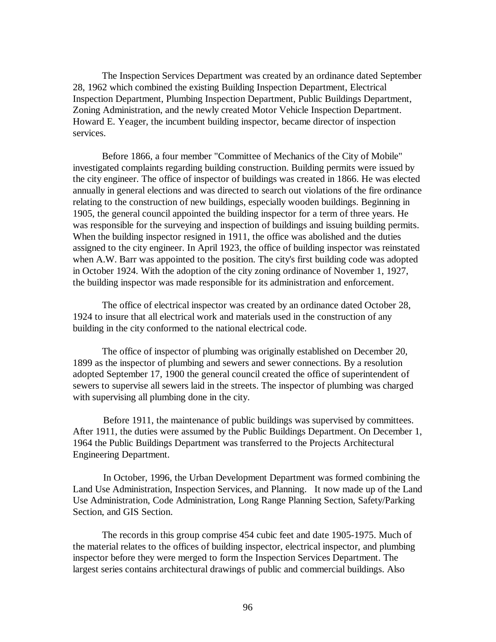The Inspection Services Department was created by an ordinance dated September 28, 1962 which combined the existing Building Inspection Department, Electrical Inspection Department, Plumbing Inspection Department, Public Buildings Department, Zoning Administration, and the newly created Motor Vehicle Inspection Department. Howard E. Yeager, the incumbent building inspector, became director of inspection services.

Before 1866, a four member "Committee of Mechanics of the City of Mobile" investigated complaints regarding building construction. Building permits were issued by the city engineer. The office of inspector of buildings was created in 1866. He was elected annually in general elections and was directed to search out violations of the fire ordinance relating to the construction of new buildings, especially wooden buildings. Beginning in 1905, the general council appointed the building inspector for a term of three years. He was responsible for the surveying and inspection of buildings and issuing building permits. When the building inspector resigned in 1911, the office was abolished and the duties assigned to the city engineer. In April 1923, the office of building inspector was reinstated when A.W. Barr was appointed to the position. The city's first building code was adopted in October 1924. With the adoption of the city zoning ordinance of November 1, 1927, the building inspector was made responsible for its administration and enforcement.

The office of electrical inspector was created by an ordinance dated October 28, 1924 to insure that all electrical work and materials used in the construction of any building in the city conformed to the national electrical code.

The office of inspector of plumbing was originally established on December 20, 1899 as the inspector of plumbing and sewers and sewer connections. By a resolution adopted September 17, 1900 the general council created the office of superintendent of sewers to supervise all sewers laid in the streets. The inspector of plumbing was charged with supervising all plumbing done in the city.

 Before 1911, the maintenance of public buildings was supervised by committees. After 1911, the duties were assumed by the Public Buildings Department. On December 1, 1964 the Public Buildings Department was transferred to the Projects Architectural Engineering Department.

 In October, 1996, the Urban Development Department was formed combining the Land Use Administration, Inspection Services, and Planning. It now made up of the Land Use Administration, Code Administration, Long Range Planning Section, Safety/Parking Section, and GIS Section.

The records in this group comprise 454 cubic feet and date 1905-1975. Much of the material relates to the offices of building inspector, electrical inspector, and plumbing inspector before they were merged to form the Inspection Services Department. The largest series contains architectural drawings of public and commercial buildings. Also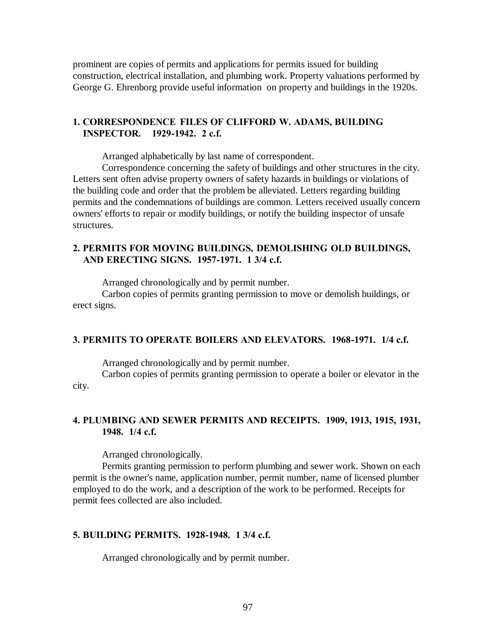prominent are copies of permits and applications for permits issued for building construction, electrical installation, and plumbing work. Property valuations performed by George G. Ehrenborg provide useful information on property and buildings in the 1920s.

### **1. CORRESPONDENCE FILES OF CLIFFORD W. ADAMS, BUILDING INSPECTOR. 1929-1942. 2 c.f.**

Arranged alphabetically by last name of correspondent.

Correspondence concerning the safety of buildings and other structures in the city. Letters sent often advise property owners of safety hazards in buildings or violations of the building code and order that the problem be alleviated. Letters regarding building permits and the condemnations of buildings are common. Letters received usually concern owners' efforts to repair or modify buildings, or notify the building inspector of unsafe structures.

# **2. PERMITS FOR MOVING BUILDINGS, DEMOLISHING OLD BUILDINGS, AND ERECTING SIGNS. 1957-1971. 1 3/4 c.f.**

Arranged chronologically and by permit number.

Carbon copies of permits granting permission to move or demolish buildings, or erect signs.

### **3. PERMITS TO OPERATE BOILERS AND ELEVATORS. 1968-1971. 1/4 c.f.**

Arranged chronologically and by permit number.

Carbon copies of permits granting permission to operate a boiler or elevator in the city.

### **4. PLUMBING AND SEWER PERMITS AND RECEIPTS. 1909, 1913, 1915, 1931, 1948. 1/4 c.f.**

Arranged chronologically.

Permits granting permission to perform plumbing and sewer work. Shown on each permit is the owner's name, application number, permit number, name of licensed plumber employed to do the work, and a description of the work to be performed. Receipts for permit fees collected are also included.

### **5. BUILDING PERMITS. 1928-1948. 1 3/4 c.f.**

Arranged chronologically and by permit number.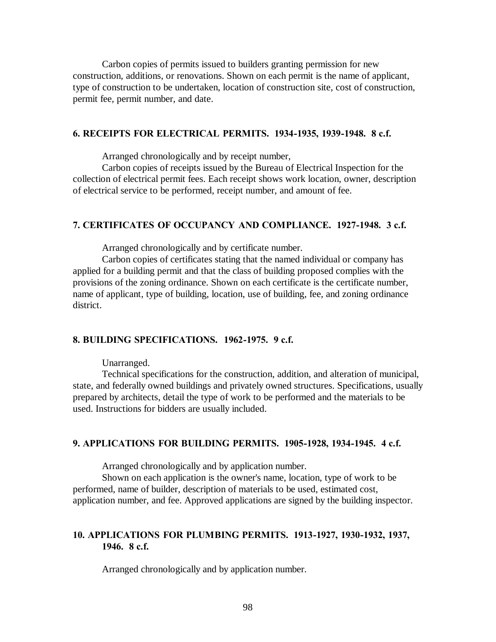Carbon copies of permits issued to builders granting permission for new construction, additions, or renovations. Shown on each permit is the name of applicant, type of construction to be undertaken, location of construction site, cost of construction, permit fee, permit number, and date.

### **6. RECEIPTS FOR ELECTRICAL PERMITS. 1934-1935, 1939-1948. 8 c.f.**

Arranged chronologically and by receipt number,

Carbon copies of receipts issued by the Bureau of Electrical Inspection for the collection of electrical permit fees. Each receipt shows work location, owner, description of electrical service to be performed, receipt number, and amount of fee.

#### **7. CERTIFICATES OF OCCUPANCY AND COMPLIANCE. 1927-1948. 3 c.f.**

Arranged chronologically and by certificate number.

Carbon copies of certificates stating that the named individual or company has applied for a building permit and that the class of building proposed complies with the provisions of the zoning ordinance. Shown on each certificate is the certificate number, name of applicant, type of building, location, use of building, fee, and zoning ordinance district.

#### **8. BUILDING SPECIFICATIONS. 1962-1975. 9 c.f.**

Unarranged.

Technical specifications for the construction, addition, and alteration of municipal, state, and federally owned buildings and privately owned structures. Specifications, usually prepared by architects, detail the type of work to be performed and the materials to be used. Instructions for bidders are usually included.

#### **9. APPLICATIONS FOR BUILDING PERMITS. 1905-1928, 1934-1945. 4 c.f.**

Arranged chronologically and by application number.

Shown on each application is the owner's name, location, type of work to be performed, name of builder, description of materials to be used, estimated cost, application number, and fee. Approved applications are signed by the building inspector.

### **10. APPLICATIONS FOR PLUMBING PERMITS. 1913-1927, 1930-1932, 1937, 1946. 8 c.f.**

Arranged chronologically and by application number.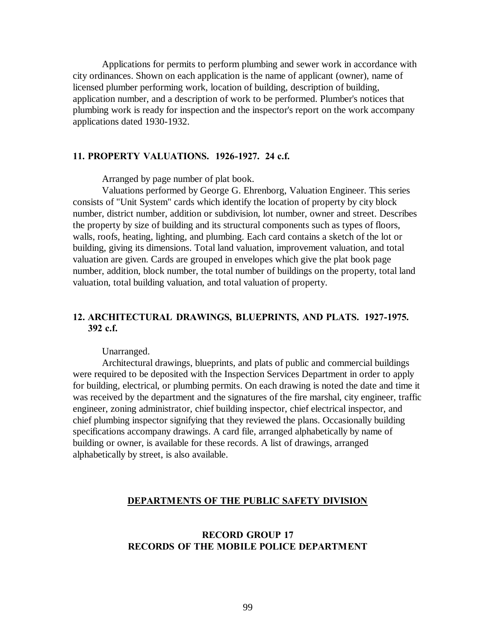Applications for permits to perform plumbing and sewer work in accordance with city ordinances. Shown on each application is the name of applicant (owner), name of licensed plumber performing work, location of building, description of building, application number, and a description of work to be performed. Plumber's notices that plumbing work is ready for inspection and the inspector's report on the work accompany applications dated 1930-1932.

#### **11. PROPERTY VALUATIONS. 1926-1927. 24 c.f.**

Arranged by page number of plat book.

Valuations performed by George G. Ehrenborg, Valuation Engineer. This series consists of "Unit System" cards which identify the location of property by city block number, district number, addition or subdivision, lot number, owner and street. Describes the property by size of building and its structural components such as types of floors, walls, roofs, heating, lighting, and plumbing. Each card contains a sketch of the lot or building, giving its dimensions. Total land valuation, improvement valuation, and total valuation are given. Cards are grouped in envelopes which give the plat book page number, addition, block number, the total number of buildings on the property, total land valuation, total building valuation, and total valuation of property.

# **12. ARCHITECTURAL DRAWINGS, BLUEPRINTS, AND PLATS. 1927-1975. 392 c.f.**

Unarranged.

Architectural drawings, blueprints, and plats of public and commercial buildings were required to be deposited with the Inspection Services Department in order to apply for building, electrical, or plumbing permits. On each drawing is noted the date and time it was received by the department and the signatures of the fire marshal, city engineer, traffic engineer, zoning administrator, chief building inspector, chief electrical inspector, and chief plumbing inspector signifying that they reviewed the plans. Occasionally building specifications accompany drawings. A card file, arranged alphabetically by name of building or owner, is available for these records. A list of drawings, arranged alphabetically by street, is also available.

#### **DEPARTMENTS OF THE PUBLIC SAFETY DIVISION**

# **RECORD GROUP 17 RECORDS OF THE MOBILE POLICE DEPARTMENT**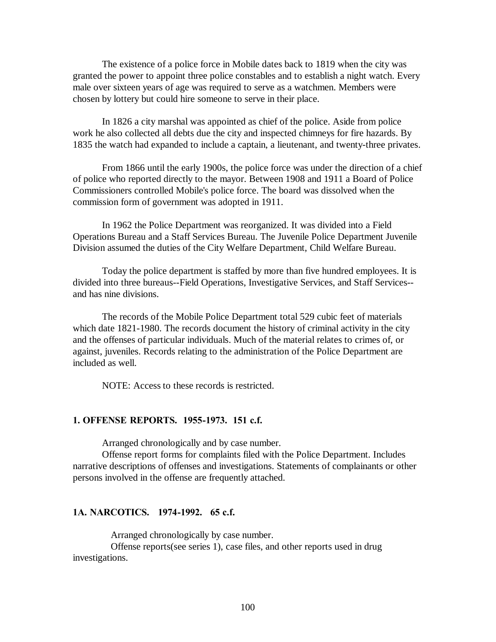The existence of a police force in Mobile dates back to 1819 when the city was granted the power to appoint three police constables and to establish a night watch. Every male over sixteen years of age was required to serve as a watchmen. Members were chosen by lottery but could hire someone to serve in their place.

In 1826 a city marshal was appointed as chief of the police. Aside from police work he also collected all debts due the city and inspected chimneys for fire hazards. By 1835 the watch had expanded to include a captain, a lieutenant, and twenty-three privates.

From 1866 until the early 1900s, the police force was under the direction of a chief of police who reported directly to the mayor. Between 1908 and 1911 a Board of Police Commissioners controlled Mobile's police force. The board was dissolved when the commission form of government was adopted in 1911.

In 1962 the Police Department was reorganized. It was divided into a Field Operations Bureau and a Staff Services Bureau. The Juvenile Police Department Juvenile Division assumed the duties of the City Welfare Department, Child Welfare Bureau.

Today the police department is staffed by more than five hundred employees. It is divided into three bureaus--Field Operations, Investigative Services, and Staff Services- and has nine divisions.

The records of the Mobile Police Department total 529 cubic feet of materials which date 1821-1980. The records document the history of criminal activity in the city and the offenses of particular individuals. Much of the material relates to crimes of, or against, juveniles. Records relating to the administration of the Police Department are included as well.

NOTE: Access to these records is restricted.

#### **1. OFFENSE REPORTS. 1955-1973. 151 c.f.**

Arranged chronologically and by case number.

Offense report forms for complaints filed with the Police Department. Includes narrative descriptions of offenses and investigations. Statements of complainants or other persons involved in the offense are frequently attached.

#### **1A. NARCOTICS. 1974-1992. 65 c.f.**

Arranged chronologically by case number.

 Offense reports(see series 1), case files, and other reports used in drug investigations.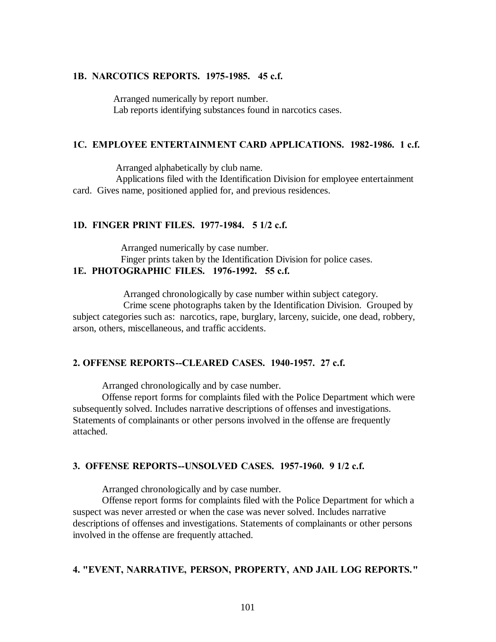### **1B. NARCOTICS REPORTS. 1975-1985. 45 c.f.**

 Arranged numerically by report number. Lab reports identifying substances found in narcotics cases.

### **1C. EMPLOYEE ENTERTAINMENT CARD APPLICATIONS. 1982-1986. 1 c.f.**

Arranged alphabetically by club name.

 Applications filed with the Identification Division for employee entertainment card. Gives name, positioned applied for, and previous residences.

#### **1D. FINGER PRINT FILES. 1977-1984. 5 1/2 c.f.**

Arranged numerically by case number.

Finger prints taken by the Identification Division for police cases.

# **1E. PHOTOGRAPHIC FILES. 1976-1992. 55 c.f.**

Arranged chronologically by case number within subject category.

 Crime scene photographs taken by the Identification Division. Grouped by subject categories such as: narcotics, rape, burglary, larceny, suicide, one dead, robbery, arson, others, miscellaneous, and traffic accidents.

### **2. OFFENSE REPORTS--CLEARED CASES. 1940-1957. 27 c.f.**

Arranged chronologically and by case number.

Offense report forms for complaints filed with the Police Department which were subsequently solved. Includes narrative descriptions of offenses and investigations. Statements of complainants or other persons involved in the offense are frequently attached.

### **3. OFFENSE REPORTS--UNSOLVED CASES. 1957-1960. 9 1/2 c.f.**

Arranged chronologically and by case number.

Offense report forms for complaints filed with the Police Department for which a suspect was never arrested or when the case was never solved. Includes narrative descriptions of offenses and investigations. Statements of complainants or other persons involved in the offense are frequently attached.

#### **4. "EVENT, NARRATIVE, PERSON, PROPERTY, AND JAIL LOG REPORTS."**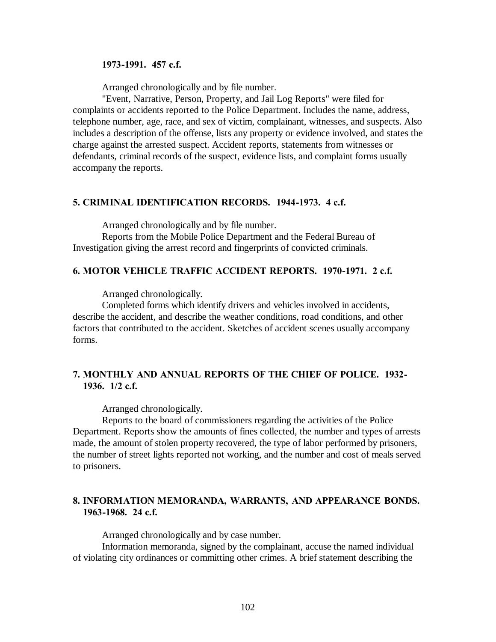#### **1973-1991. 457 c.f.**

Arranged chronologically and by file number.

"Event, Narrative, Person, Property, and Jail Log Reports" were filed for complaints or accidents reported to the Police Department. Includes the name, address, telephone number, age, race, and sex of victim, complainant, witnesses, and suspects. Also includes a description of the offense, lists any property or evidence involved, and states the charge against the arrested suspect. Accident reports, statements from witnesses or defendants, criminal records of the suspect, evidence lists, and complaint forms usually accompany the reports.

### **5. CRIMINAL IDENTIFICATION RECORDS. 1944-1973. 4 c.f.**

Arranged chronologically and by file number.

Reports from the Mobile Police Department and the Federal Bureau of Investigation giving the arrest record and fingerprints of convicted criminals.

### **6. MOTOR VEHICLE TRAFFIC ACCIDENT REPORTS. 1970-1971. 2 c.f.**

Arranged chronologically.

Completed forms which identify drivers and vehicles involved in accidents, describe the accident, and describe the weather conditions, road conditions, and other factors that contributed to the accident. Sketches of accident scenes usually accompany forms.

# **7. MONTHLY AND ANNUAL REPORTS OF THE CHIEF OF POLICE. 1932- 1936. 1/2 c.f.**

Arranged chronologically.

Reports to the board of commissioners regarding the activities of the Police Department. Reports show the amounts of fines collected, the number and types of arrests made, the amount of stolen property recovered, the type of labor performed by prisoners, the number of street lights reported not working, and the number and cost of meals served to prisoners.

### **8. INFORMATION MEMORANDA, WARRANTS, AND APPEARANCE BONDS. 1963-1968. 24 c.f.**

Arranged chronologically and by case number.

Information memoranda, signed by the complainant, accuse the named individual of violating city ordinances or committing other crimes. A brief statement describing the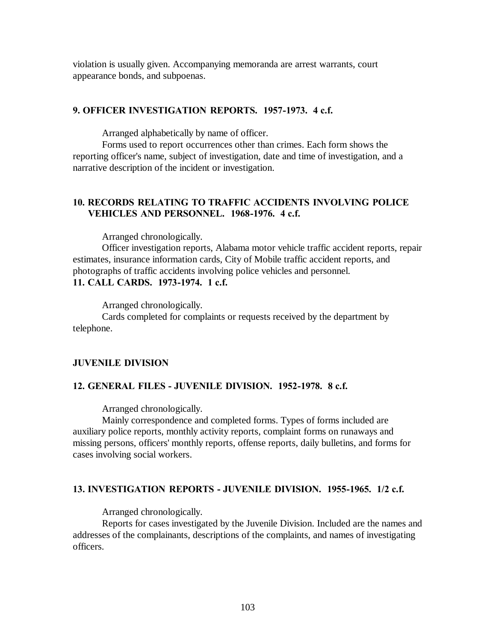violation is usually given. Accompanying memoranda are arrest warrants, court appearance bonds, and subpoenas.

#### **9. OFFICER INVESTIGATION REPORTS. 1957-1973. 4 c.f.**

Arranged alphabetically by name of officer.

Forms used to report occurrences other than crimes. Each form shows the reporting officer's name, subject of investigation, date and time of investigation, and a narrative description of the incident or investigation.

### **10. RECORDS RELATING TO TRAFFIC ACCIDENTS INVOLVING POLICE VEHICLES AND PERSONNEL. 1968-1976. 4 c.f.**

Arranged chronologically.

Officer investigation reports, Alabama motor vehicle traffic accident reports, repair estimates, insurance information cards, City of Mobile traffic accident reports, and photographs of traffic accidents involving police vehicles and personnel. **11. CALL CARDS. 1973-1974. 1 c.f.**

Arranged chronologically.

Cards completed for complaints or requests received by the department by telephone.

#### **JUVENILE DIVISION**

#### **12. GENERAL FILES - JUVENILE DIVISION. 1952-1978. 8 c.f.**

Arranged chronologically.

Mainly correspondence and completed forms. Types of forms included are auxiliary police reports, monthly activity reports, complaint forms on runaways and missing persons, officers' monthly reports, offense reports, daily bulletins, and forms for cases involving social workers.

#### **13. INVESTIGATION REPORTS - JUVENILE DIVISION. 1955-1965. 1/2 c.f.**

Arranged chronologically.

Reports for cases investigated by the Juvenile Division. Included are the names and addresses of the complainants, descriptions of the complaints, and names of investigating officers.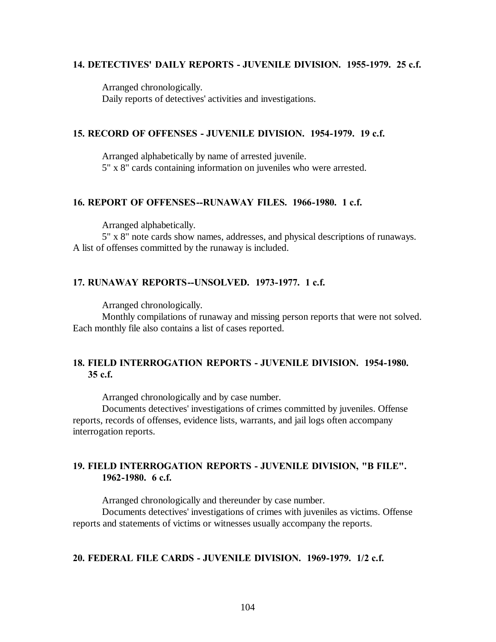### **14. DETECTIVES' DAILY REPORTS - JUVENILE DIVISION. 1955-1979. 25 c.f.**

Arranged chronologically. Daily reports of detectives' activities and investigations.

### **15. RECORD OF OFFENSES - JUVENILE DIVISION. 1954-1979. 19 c.f.**

Arranged alphabetically by name of arrested juvenile. 5" x 8" cards containing information on juveniles who were arrested.

### **16. REPORT OF OFFENSES--RUNAWAY FILES. 1966-1980. 1 c.f.**

Arranged alphabetically.

5" x 8" note cards show names, addresses, and physical descriptions of runaways. A list of offenses committed by the runaway is included.

### **17. RUNAWAY REPORTS--UNSOLVED. 1973-1977. 1 c.f.**

Arranged chronologically.

Monthly compilations of runaway and missing person reports that were not solved. Each monthly file also contains a list of cases reported.

# **18. FIELD INTERROGATION REPORTS - JUVENILE DIVISION. 1954-1980. 35 c.f.**

Arranged chronologically and by case number.

Documents detectives' investigations of crimes committed by juveniles. Offense reports, records of offenses, evidence lists, warrants, and jail logs often accompany interrogation reports.

### **19. FIELD INTERROGATION REPORTS - JUVENILE DIVISION, "B FILE". 1962-1980. 6 c.f.**

Arranged chronologically and thereunder by case number.

Documents detectives' investigations of crimes with juveniles as victims. Offense reports and statements of victims or witnesses usually accompany the reports.

### **20. FEDERAL FILE CARDS - JUVENILE DIVISION. 1969-1979. 1/2 c.f.**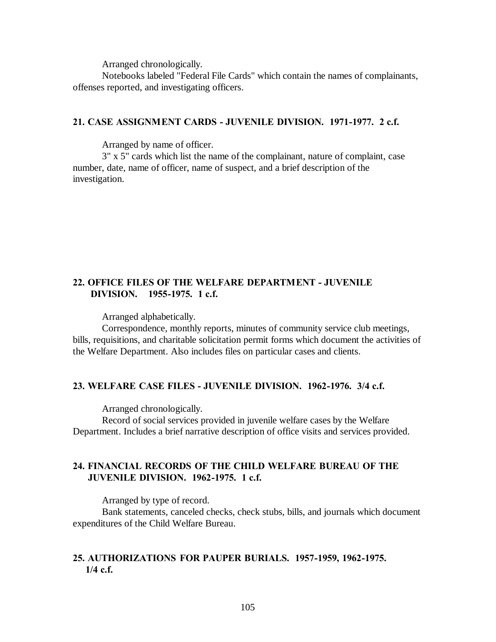Notebooks labeled "Federal File Cards" which contain the names of complainants, offenses reported, and investigating officers.

### **21. CASE ASSIGNMENT CARDS - JUVENILE DIVISION. 1971-1977. 2 c.f.**

Arranged by name of officer.

3" x 5" cards which list the name of the complainant, nature of complaint, case number, date, name of officer, name of suspect, and a brief description of the investigation.

### **22. OFFICE FILES OF THE WELFARE DEPARTMENT - JUVENILE DIVISION. 1955-1975. 1 c.f.**

Arranged alphabetically.

Correspondence, monthly reports, minutes of community service club meetings, bills, requisitions, and charitable solicitation permit forms which document the activities of the Welfare Department. Also includes files on particular cases and clients.

#### **23. WELFARE CASE FILES - JUVENILE DIVISION. 1962-1976. 3/4 c.f.**

Arranged chronologically.

Record of social services provided in juvenile welfare cases by the Welfare Department. Includes a brief narrative description of office visits and services provided.

# **24. FINANCIAL RECORDS OF THE CHILD WELFARE BUREAU OF THE JUVENILE DIVISION. 1962-1975. 1 c.f.**

Arranged by type of record.

Bank statements, canceled checks, check stubs, bills, and journals which document expenditures of the Child Welfare Bureau.

# **25. AUTHORIZATIONS FOR PAUPER BURIALS. 1957-1959, 1962-1975. 1/4 c.f.**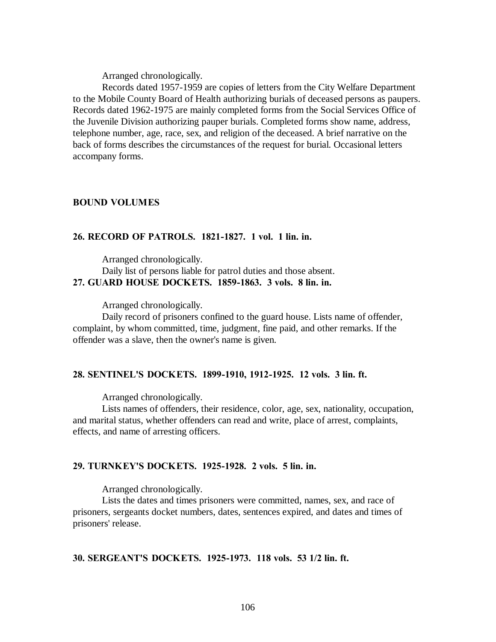Records dated 1957-1959 are copies of letters from the City Welfare Department to the Mobile County Board of Health authorizing burials of deceased persons as paupers. Records dated 1962-1975 are mainly completed forms from the Social Services Office of the Juvenile Division authorizing pauper burials. Completed forms show name, address, telephone number, age, race, sex, and religion of the deceased. A brief narrative on the back of forms describes the circumstances of the request for burial. Occasional letters accompany forms.

#### **BOUND VOLUMES**

### **26. RECORD OF PATROLS. 1821-1827. 1 vol. 1 lin. in.**

Arranged chronologically.

Daily list of persons liable for patrol duties and those absent. **27. GUARD HOUSE DOCKETS. 1859-1863. 3 vols. 8 lin. in.**

Arranged chronologically.

Daily record of prisoners confined to the guard house. Lists name of offender, complaint, by whom committed, time, judgment, fine paid, and other remarks. If the offender was a slave, then the owner's name is given.

#### **28. SENTINEL'S DOCKETS. 1899-1910, 1912-1925. 12 vols. 3 lin. ft.**

Arranged chronologically.

Lists names of offenders, their residence, color, age, sex, nationality, occupation, and marital status, whether offenders can read and write, place of arrest, complaints, effects, and name of arresting officers.

### **29. TURNKEY'S DOCKETS. 1925-1928. 2 vols. 5 lin. in.**

Arranged chronologically.

Lists the dates and times prisoners were committed, names, sex, and race of prisoners, sergeants docket numbers, dates, sentences expired, and dates and times of prisoners' release.

# **30. SERGEANT'S DOCKETS. 1925-1973. 118 vols. 53 1/2 lin. ft.**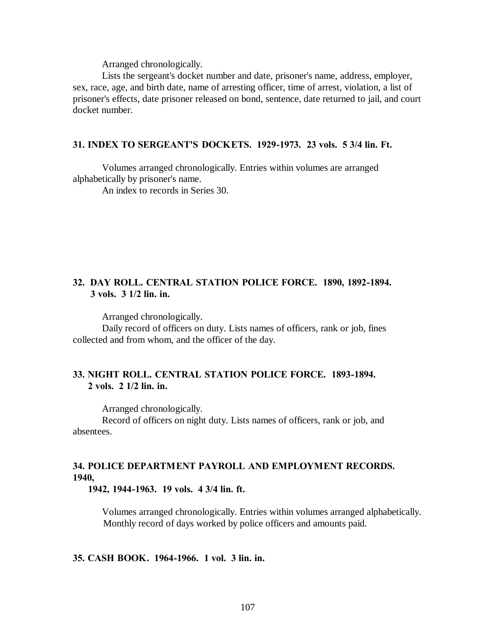Lists the sergeant's docket number and date, prisoner's name, address, employer, sex, race, age, and birth date, name of arresting officer, time of arrest, violation, a list of prisoner's effects, date prisoner released on bond, sentence, date returned to jail, and court docket number.

### **31. INDEX TO SERGEANT'S DOCKETS. 1929-1973. 23 vols. 5 3/4 lin. Ft.**

Volumes arranged chronologically. Entries within volumes are arranged alphabetically by prisoner's name.

An index to records in Series 30.

# **32. DAY ROLL. CENTRAL STATION POLICE FORCE. 1890, 1892-1894. 3 vols. 3 1/2 lin. in.**

Arranged chronologically.

Daily record of officers on duty. Lists names of officers, rank or job, fines collected and from whom, and the officer of the day.

# **33. NIGHT ROLL. CENTRAL STATION POLICE FORCE. 1893-1894. 2 vols. 2 1/2 lin. in.**

Arranged chronologically.

Record of officers on night duty. Lists names of officers, rank or job, and absentees.

# **34. POLICE DEPARTMENT PAYROLL AND EMPLOYMENT RECORDS. 1940,**

 **1942, 1944-1963. 19 vols. 4 3/4 lin. ft.**

Volumes arranged chronologically. Entries within volumes arranged alphabetically. Monthly record of days worked by police officers and amounts paid.

### **35. CASH BOOK. 1964-1966. 1 vol. 3 lin. in.**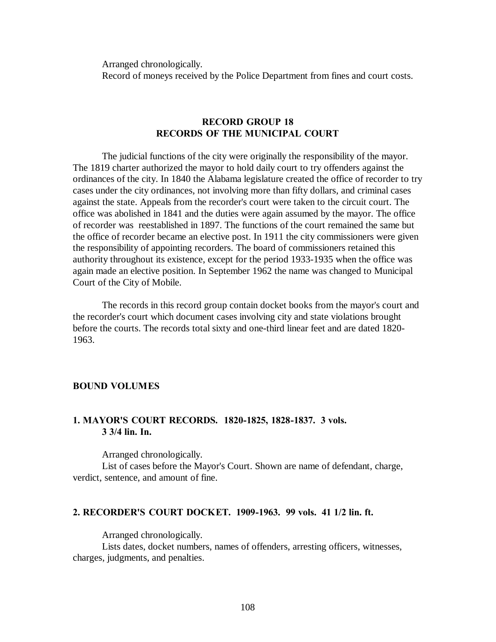Arranged chronologically. Record of moneys received by the Police Department from fines and court costs.

### **RECORD GROUP 18 RECORDS OF THE MUNICIPAL COURT**

The judicial functions of the city were originally the responsibility of the mayor. The 1819 charter authorized the mayor to hold daily court to try offenders against the ordinances of the city. In 1840 the Alabama legislature created the office of recorder to try cases under the city ordinances, not involving more than fifty dollars, and criminal cases against the state. Appeals from the recorder's court were taken to the circuit court. The office was abolished in 1841 and the duties were again assumed by the mayor. The office of recorder was reestablished in 1897. The functions of the court remained the same but the office of recorder became an elective post. In 1911 the city commissioners were given the responsibility of appointing recorders. The board of commissioners retained this authority throughout its existence, except for the period 1933-1935 when the office was again made an elective position. In September 1962 the name was changed to Municipal Court of the City of Mobile.

The records in this record group contain docket books from the mayor's court and the recorder's court which document cases involving city and state violations brought before the courts. The records total sixty and one-third linear feet and are dated 1820- 1963.

#### **BOUND VOLUMES**

### **1. MAYOR'S COURT RECORDS. 1820-1825, 1828-1837. 3 vols. 3 3/4 lin. In.**

Arranged chronologically.

List of cases before the Mayor's Court. Shown are name of defendant, charge, verdict, sentence, and amount of fine.

#### **2. RECORDER'S COURT DOCKET. 1909-1963. 99 vols. 41 1/2 lin. ft.**

Arranged chronologically.

Lists dates, docket numbers, names of offenders, arresting officers, witnesses, charges, judgments, and penalties.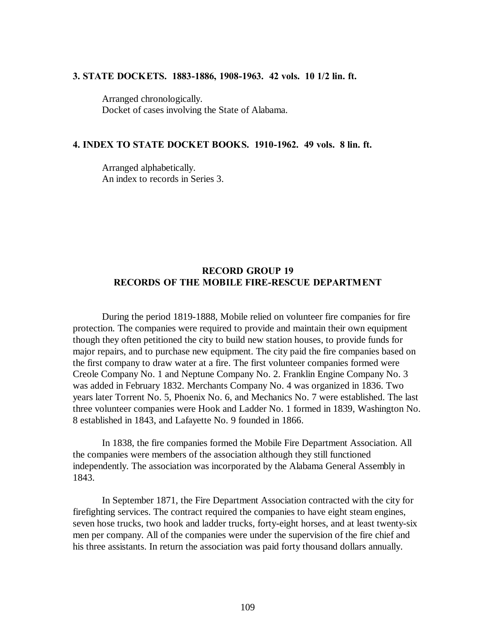#### **3. STATE DOCKETS. 1883-1886, 1908-1963. 42 vols. 10 1/2 lin. ft.**

Arranged chronologically. Docket of cases involving the State of Alabama.

### **4. INDEX TO STATE DOCKET BOOKS. 1910-1962. 49 vols. 8 lin. ft.**

Arranged alphabetically. An index to records in Series 3.

# **RECORD GROUP 19 RECORDS OF THE MOBILE FIRE-RESCUE DEPARTMENT**

During the period 1819-1888, Mobile relied on volunteer fire companies for fire protection. The companies were required to provide and maintain their own equipment though they often petitioned the city to build new station houses, to provide funds for major repairs, and to purchase new equipment. The city paid the fire companies based on the first company to draw water at a fire. The first volunteer companies formed were Creole Company No. 1 and Neptune Company No. 2. Franklin Engine Company No. 3 was added in February 1832. Merchants Company No. 4 was organized in 1836. Two years later Torrent No. 5, Phoenix No. 6, and Mechanics No. 7 were established. The last three volunteer companies were Hook and Ladder No. 1 formed in 1839, Washington No. 8 established in 1843, and Lafayette No. 9 founded in 1866.

In 1838, the fire companies formed the Mobile Fire Department Association. All the companies were members of the association although they still functioned independently. The association was incorporated by the Alabama General Assembly in 1843.

In September 1871, the Fire Department Association contracted with the city for firefighting services. The contract required the companies to have eight steam engines, seven hose trucks, two hook and ladder trucks, forty-eight horses, and at least twenty-six men per company. All of the companies were under the supervision of the fire chief and his three assistants. In return the association was paid forty thousand dollars annually.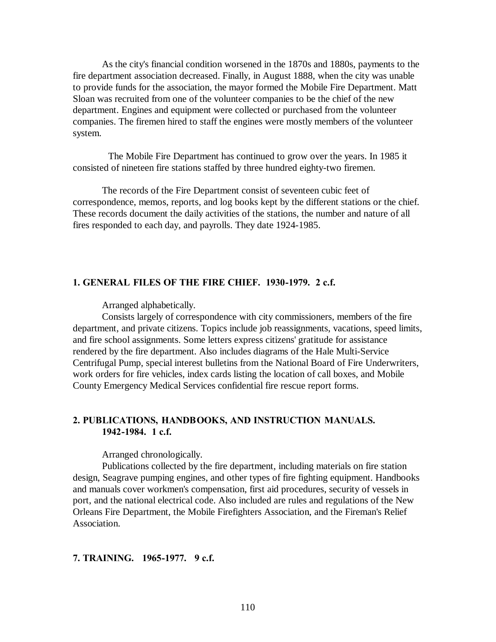As the city's financial condition worsened in the 1870s and 1880s, payments to the fire department association decreased. Finally, in August 1888, when the city was unable to provide funds for the association, the mayor formed the Mobile Fire Department. Matt Sloan was recruited from one of the volunteer companies to be the chief of the new department. Engines and equipment were collected or purchased from the volunteer companies. The firemen hired to staff the engines were mostly members of the volunteer system.

 The Mobile Fire Department has continued to grow over the years. In 1985 it consisted of nineteen fire stations staffed by three hundred eighty-two firemen.

The records of the Fire Department consist of seventeen cubic feet of correspondence, memos, reports, and log books kept by the different stations or the chief. These records document the daily activities of the stations, the number and nature of all fires responded to each day, and payrolls. They date 1924-1985.

### **1. GENERAL FILES OF THE FIRE CHIEF. 1930-1979. 2 c.f.**

Arranged alphabetically.

Consists largely of correspondence with city commissioners, members of the fire department, and private citizens. Topics include job reassignments, vacations, speed limits, and fire school assignments. Some letters express citizens' gratitude for assistance rendered by the fire department. Also includes diagrams of the Hale Multi-Service Centrifugal Pump, special interest bulletins from the National Board of Fire Underwriters, work orders for fire vehicles, index cards listing the location of call boxes, and Mobile County Emergency Medical Services confidential fire rescue report forms.

# **2. PUBLICATIONS, HANDBOOKS, AND INSTRUCTION MANUALS. 1942-1984. 1 c.f.**

Arranged chronologically.

Publications collected by the fire department, including materials on fire station design, Seagrave pumping engines, and other types of fire fighting equipment. Handbooks and manuals cover workmen's compensation, first aid procedures, security of vessels in port, and the national electrical code. Also included are rules and regulations of the New Orleans Fire Department, the Mobile Firefighters Association, and the Fireman's Relief Association.

### **7. TRAINING. 1965-1977. 9 c.f.**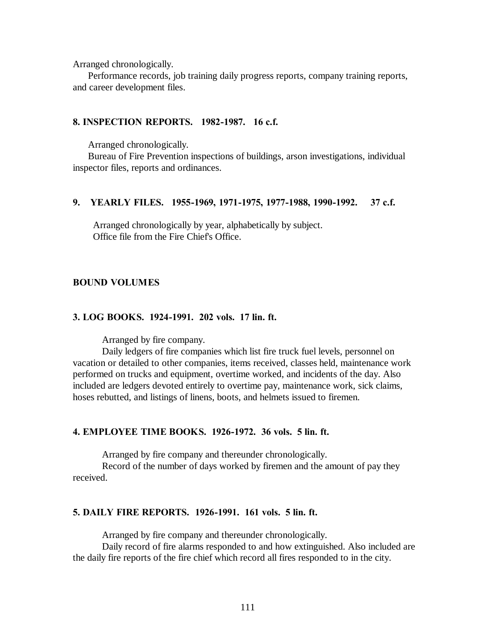Arranged chronologically.

 Performance records, job training daily progress reports, company training reports, and career development files.

## **8. INSPECTION REPORTS. 1982-1987. 16 c.f.**

Arranged chronologically.

 Bureau of Fire Prevention inspections of buildings, arson investigations, individual inspector files, reports and ordinances.

### **9. YEARLY FILES. 1955-1969, 1971-1975, 1977-1988, 1990-1992. 37 c.f.**

 Arranged chronologically by year, alphabetically by subject. Office file from the Fire Chief's Office.

#### **BOUND VOLUMES**

### **3. LOG BOOKS. 1924-1991. 202 vols. 17 lin. ft.**

Arranged by fire company.

Daily ledgers of fire companies which list fire truck fuel levels, personnel on vacation or detailed to other companies, items received, classes held, maintenance work performed on trucks and equipment, overtime worked, and incidents of the day. Also included are ledgers devoted entirely to overtime pay, maintenance work, sick claims, hoses rebutted, and listings of linens, boots, and helmets issued to firemen.

### **4. EMPLOYEE TIME BOOKS. 1926-1972. 36 vols. 5 lin. ft.**

Arranged by fire company and thereunder chronologically.

Record of the number of days worked by firemen and the amount of pay they received.

#### **5. DAILY FIRE REPORTS. 1926-1991. 161 vols. 5 lin. ft.**

Arranged by fire company and thereunder chronologically.

Daily record of fire alarms responded to and how extinguished. Also included are the daily fire reports of the fire chief which record all fires responded to in the city.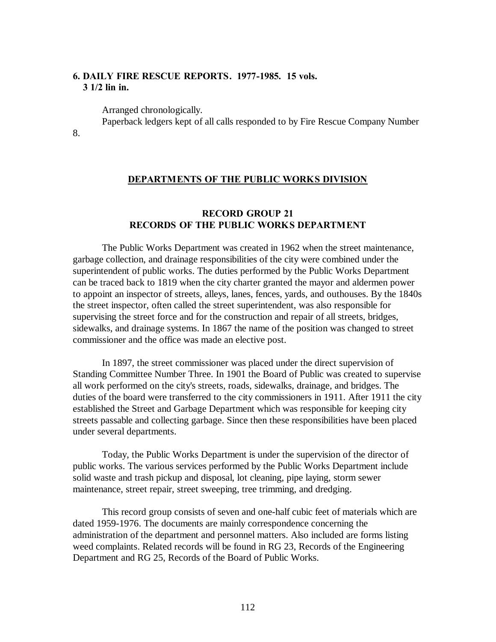# **6. DAILY FIRE RESCUE REPORTS. 1977-1985. 15 vols. 3 1/2 lin in.**

Arranged chronologically.

Paperback ledgers kept of all calls responded to by Fire Rescue Company Number

8.

### **DEPARTMENTS OF THE PUBLIC WORKS DIVISION**

# **RECORD GROUP 21 RECORDS OF THE PUBLIC WORKS DEPARTMENT**

The Public Works Department was created in 1962 when the street maintenance, garbage collection, and drainage responsibilities of the city were combined under the superintendent of public works. The duties performed by the Public Works Department can be traced back to 1819 when the city charter granted the mayor and aldermen power to appoint an inspector of streets, alleys, lanes, fences, yards, and outhouses. By the 1840s the street inspector, often called the street superintendent, was also responsible for supervising the street force and for the construction and repair of all streets, bridges, sidewalks, and drainage systems. In 1867 the name of the position was changed to street commissioner and the office was made an elective post.

In 1897, the street commissioner was placed under the direct supervision of Standing Committee Number Three. In 1901 the Board of Public was created to supervise all work performed on the city's streets, roads, sidewalks, drainage, and bridges. The duties of the board were transferred to the city commissioners in 1911. After 1911 the city established the Street and Garbage Department which was responsible for keeping city streets passable and collecting garbage. Since then these responsibilities have been placed under several departments.

Today, the Public Works Department is under the supervision of the director of public works. The various services performed by the Public Works Department include solid waste and trash pickup and disposal, lot cleaning, pipe laying, storm sewer maintenance, street repair, street sweeping, tree trimming, and dredging.

This record group consists of seven and one-half cubic feet of materials which are dated 1959-1976. The documents are mainly correspondence concerning the administration of the department and personnel matters. Also included are forms listing weed complaints. Related records will be found in RG 23, Records of the Engineering Department and RG 25, Records of the Board of Public Works.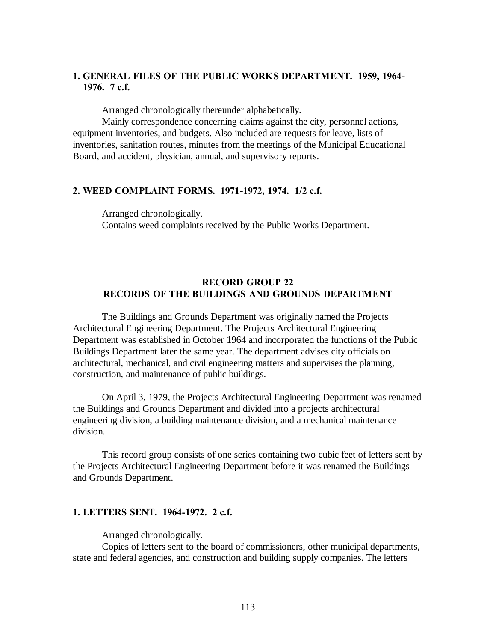# **1. GENERAL FILES OF THE PUBLIC WORKS DEPARTMENT. 1959, 1964- 1976. 7 c.f.**

Arranged chronologically thereunder alphabetically.

Mainly correspondence concerning claims against the city, personnel actions, equipment inventories, and budgets. Also included are requests for leave, lists of inventories, sanitation routes, minutes from the meetings of the Municipal Educational Board, and accident, physician, annual, and supervisory reports.

#### **2. WEED COMPLAINT FORMS. 1971-1972, 1974. 1/2 c.f.**

Arranged chronologically. Contains weed complaints received by the Public Works Department.

## **RECORD GROUP 22 RECORDS OF THE BUILDINGS AND GROUNDS DEPARTMENT**

The Buildings and Grounds Department was originally named the Projects Architectural Engineering Department. The Projects Architectural Engineering Department was established in October 1964 and incorporated the functions of the Public Buildings Department later the same year. The department advises city officials on architectural, mechanical, and civil engineering matters and supervises the planning, construction, and maintenance of public buildings.

On April 3, 1979, the Projects Architectural Engineering Department was renamed the Buildings and Grounds Department and divided into a projects architectural engineering division, a building maintenance division, and a mechanical maintenance division.

This record group consists of one series containing two cubic feet of letters sent by the Projects Architectural Engineering Department before it was renamed the Buildings and Grounds Department.

### **1. LETTERS SENT. 1964-1972. 2 c.f.**

Arranged chronologically.

Copies of letters sent to the board of commissioners, other municipal departments, state and federal agencies, and construction and building supply companies. The letters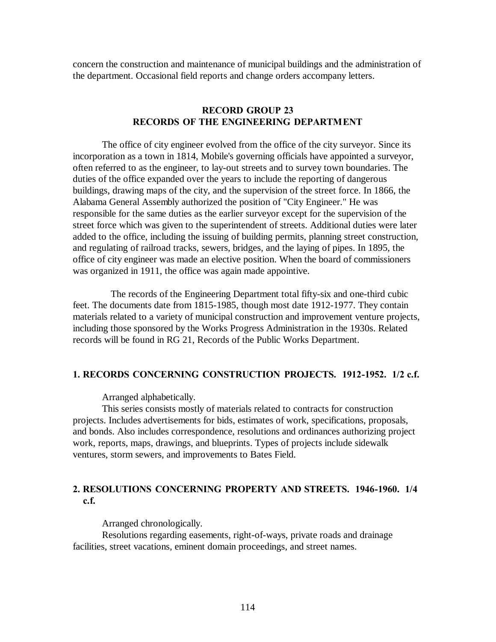concern the construction and maintenance of municipal buildings and the administration of the department. Occasional field reports and change orders accompany letters.

## **RECORD GROUP 23 RECORDS OF THE ENGINEERING DEPARTMENT**

The office of city engineer evolved from the office of the city surveyor. Since its incorporation as a town in 1814, Mobile's governing officials have appointed a surveyor, often referred to as the engineer, to lay-out streets and to survey town boundaries. The duties of the office expanded over the years to include the reporting of dangerous buildings, drawing maps of the city, and the supervision of the street force. In 1866, the Alabama General Assembly authorized the position of "City Engineer." He was responsible for the same duties as the earlier surveyor except for the supervision of the street force which was given to the superintendent of streets. Additional duties were later added to the office, including the issuing of building permits, planning street construction, and regulating of railroad tracks, sewers, bridges, and the laying of pipes. In 1895, the office of city engineer was made an elective position. When the board of commissioners was organized in 1911, the office was again made appointive.

 The records of the Engineering Department total fifty-six and one-third cubic feet. The documents date from 1815-1985, though most date 1912-1977. They contain materials related to a variety of municipal construction and improvement venture projects, including those sponsored by the Works Progress Administration in the 1930s. Related records will be found in RG 21, Records of the Public Works Department.

# **1. RECORDS CONCERNING CONSTRUCTION PROJECTS. 1912-1952. 1/2 c.f.**

Arranged alphabetically.

This series consists mostly of materials related to contracts for construction projects. Includes advertisements for bids, estimates of work, specifications, proposals, and bonds. Also includes correspondence, resolutions and ordinances authorizing project work, reports, maps, drawings, and blueprints. Types of projects include sidewalk ventures, storm sewers, and improvements to Bates Field.

# **2. RESOLUTIONS CONCERNING PROPERTY AND STREETS. 1946-1960. 1/4 c.f.**

Arranged chronologically.

Resolutions regarding easements, right-of-ways, private roads and drainage facilities, street vacations, eminent domain proceedings, and street names.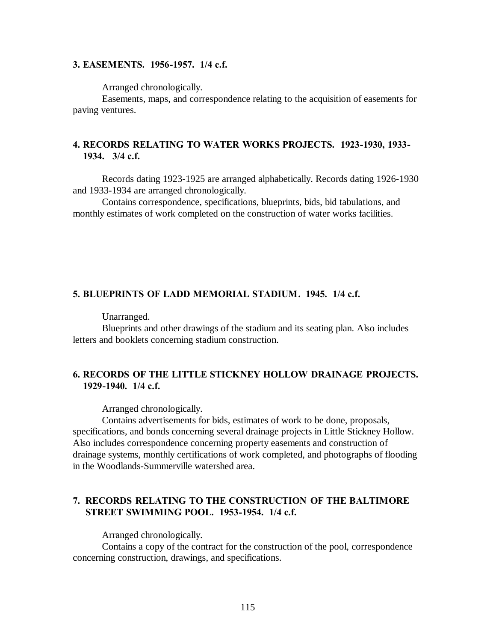## **3. EASEMENTS. 1956-1957. 1/4 c.f.**

Arranged chronologically.

Easements, maps, and correspondence relating to the acquisition of easements for paving ventures.

# **4. RECORDS RELATING TO WATER WORKS PROJECTS. 1923-1930, 1933- 1934. 3/4 c.f.**

Records dating 1923-1925 are arranged alphabetically. Records dating 1926-1930 and 1933-1934 are arranged chronologically.

Contains correspondence, specifications, blueprints, bids, bid tabulations, and monthly estimates of work completed on the construction of water works facilities.

## **5. BLUEPRINTS OF LADD MEMORIAL STADIUM. 1945. 1/4 c.f.**

Unarranged.

Blueprints and other drawings of the stadium and its seating plan. Also includes letters and booklets concerning stadium construction.

# **6. RECORDS OF THE LITTLE STICKNEY HOLLOW DRAINAGE PROJECTS. 1929-1940. 1/4 c.f.**

Arranged chronologically.

Contains advertisements for bids, estimates of work to be done, proposals, specifications, and bonds concerning several drainage projects in Little Stickney Hollow. Also includes correspondence concerning property easements and construction of drainage systems, monthly certifications of work completed, and photographs of flooding in the Woodlands-Summerville watershed area.

# **7. RECORDS RELATING TO THE CONSTRUCTION OF THE BALTIMORE STREET SWIMMING POOL. 1953-1954. 1/4 c.f.**

Arranged chronologically.

Contains a copy of the contract for the construction of the pool, correspondence concerning construction, drawings, and specifications.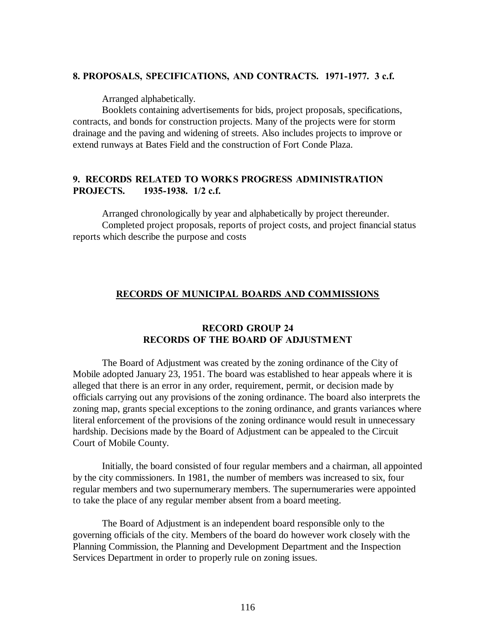## **8. PROPOSALS, SPECIFICATIONS, AND CONTRACTS. 1971-1977. 3 c.f.**

Arranged alphabetically.

Booklets containing advertisements for bids, project proposals, specifications, contracts, and bonds for construction projects. Many of the projects were for storm drainage and the paving and widening of streets. Also includes projects to improve or extend runways at Bates Field and the construction of Fort Conde Plaza.

# **9. RECORDS RELATED TO WORKS PROGRESS ADMINISTRATION PROJECTS. 1935-1938. 1/2 c.f.**

Arranged chronologically by year and alphabetically by project thereunder. Completed project proposals, reports of project costs, and project financial status reports which describe the purpose and costs

# **RECORDS OF MUNICIPAL BOARDS AND COMMISSIONS**

## **RECORD GROUP 24 RECORDS OF THE BOARD OF ADJUSTMENT**

The Board of Adjustment was created by the zoning ordinance of the City of Mobile adopted January 23, 1951. The board was established to hear appeals where it is alleged that there is an error in any order, requirement, permit, or decision made by officials carrying out any provisions of the zoning ordinance. The board also interprets the zoning map, grants special exceptions to the zoning ordinance, and grants variances where literal enforcement of the provisions of the zoning ordinance would result in unnecessary hardship. Decisions made by the Board of Adjustment can be appealed to the Circuit Court of Mobile County.

Initially, the board consisted of four regular members and a chairman, all appointed by the city commissioners. In 1981, the number of members was increased to six, four regular members and two supernumerary members. The supernumeraries were appointed to take the place of any regular member absent from a board meeting.

The Board of Adjustment is an independent board responsible only to the governing officials of the city. Members of the board do however work closely with the Planning Commission, the Planning and Development Department and the Inspection Services Department in order to properly rule on zoning issues.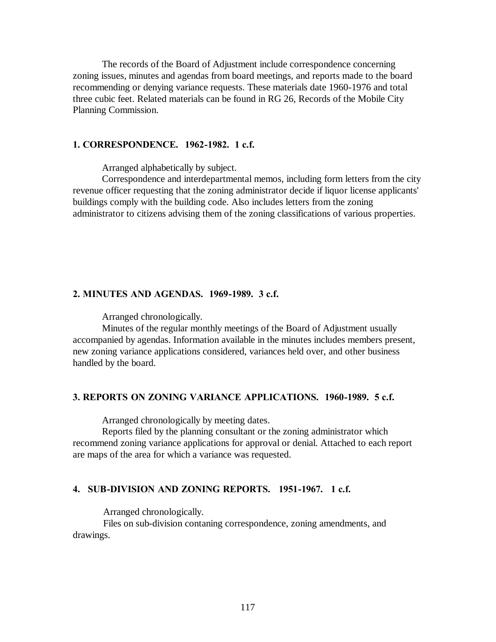The records of the Board of Adjustment include correspondence concerning zoning issues, minutes and agendas from board meetings, and reports made to the board recommending or denying variance requests. These materials date 1960-1976 and total three cubic feet. Related materials can be found in RG 26, Records of the Mobile City Planning Commission.

## **1. CORRESPONDENCE. 1962-1982. 1 c.f.**

Arranged alphabetically by subject.

Correspondence and interdepartmental memos, including form letters from the city revenue officer requesting that the zoning administrator decide if liquor license applicants' buildings comply with the building code. Also includes letters from the zoning administrator to citizens advising them of the zoning classifications of various properties.

### **2. MINUTES AND AGENDAS. 1969-1989. 3 c.f.**

Arranged chronologically.

Minutes of the regular monthly meetings of the Board of Adjustment usually accompanied by agendas. Information available in the minutes includes members present, new zoning variance applications considered, variances held over, and other business handled by the board.

### **3. REPORTS ON ZONING VARIANCE APPLICATIONS. 1960-1989. 5 c.f.**

Arranged chronologically by meeting dates.

Reports filed by the planning consultant or the zoning administrator which recommend zoning variance applications for approval or denial. Attached to each report are maps of the area for which a variance was requested.

#### **4. SUB-DIVISION AND ZONING REPORTS. 1951-1967. 1 c.f.**

Arranged chronologically.

 Files on sub-division contaning correspondence, zoning amendments, and drawings.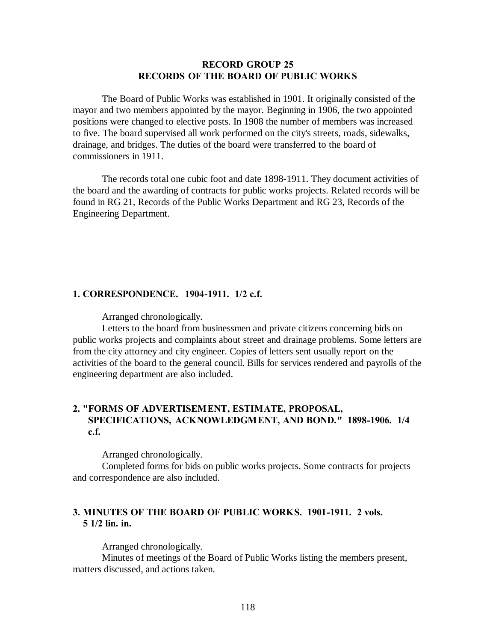## **RECORD GROUP 25 RECORDS OF THE BOARD OF PUBLIC WORKS**

The Board of Public Works was established in 1901. It originally consisted of the mayor and two members appointed by the mayor. Beginning in 1906, the two appointed positions were changed to elective posts. In 1908 the number of members was increased to five. The board supervised all work performed on the city's streets, roads, sidewalks, drainage, and bridges. The duties of the board were transferred to the board of commissioners in 1911.

The records total one cubic foot and date 1898-1911. They document activities of the board and the awarding of contracts for public works projects. Related records will be found in RG 21, Records of the Public Works Department and RG 23, Records of the Engineering Department.

### **1. CORRESPONDENCE. 1904-1911. 1/2 c.f.**

Arranged chronologically.

Letters to the board from businessmen and private citizens concerning bids on public works projects and complaints about street and drainage problems. Some letters are from the city attorney and city engineer. Copies of letters sent usually report on the activities of the board to the general council. Bills for services rendered and payrolls of the engineering department are also included.

# **2. "FORMS OF ADVERTISEM ENT, ESTIMATE, PROPOSAL, SPECIFICATIONS, ACKNOWLEDGM ENT, AND BOND." 1898-1906. 1/4 c.f.**

Arranged chronologically.

Completed forms for bids on public works projects. Some contracts for projects and correspondence are also included.

# **3. MINUTES OF THE BOARD OF PUBLIC WORKS. 1901-1911. 2 vols. 5 1/2 lin. in.**

Arranged chronologically.

Minutes of meetings of the Board of Public Works listing the members present, matters discussed, and actions taken.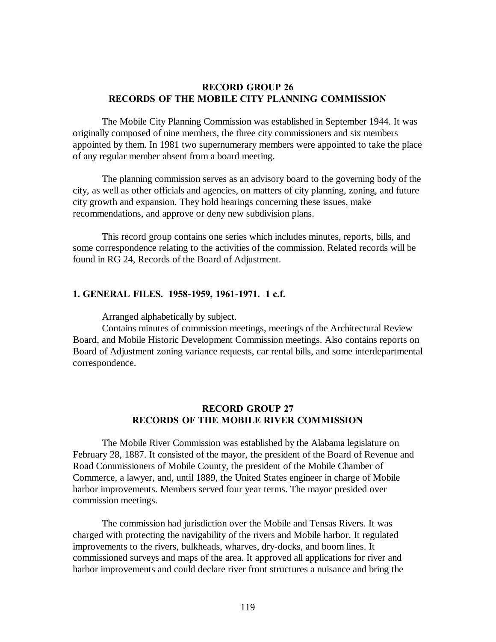## **RECORD GROUP 26 RECORDS OF THE MOBILE CITY PLANNING COMMISSION**

The Mobile City Planning Commission was established in September 1944. It was originally composed of nine members, the three city commissioners and six members appointed by them. In 1981 two supernumerary members were appointed to take the place of any regular member absent from a board meeting.

The planning commission serves as an advisory board to the governing body of the city, as well as other officials and agencies, on matters of city planning, zoning, and future city growth and expansion. They hold hearings concerning these issues, make recommendations, and approve or deny new subdivision plans.

This record group contains one series which includes minutes, reports, bills, and some correspondence relating to the activities of the commission. Related records will be found in RG 24, Records of the Board of Adjustment.

### **1. GENERAL FILES. 1958-1959, 1961-1971. 1 c.f.**

Arranged alphabetically by subject.

Contains minutes of commission meetings, meetings of the Architectural Review Board, and Mobile Historic Development Commission meetings. Also contains reports on Board of Adjustment zoning variance requests, car rental bills, and some interdepartmental correspondence.

### **RECORD GROUP 27 RECORDS OF THE MOBILE RIVER COMMISSION**

The Mobile River Commission was established by the Alabama legislature on February 28, 1887. It consisted of the mayor, the president of the Board of Revenue and Road Commissioners of Mobile County, the president of the Mobile Chamber of Commerce, a lawyer, and, until 1889, the United States engineer in charge of Mobile harbor improvements. Members served four year terms. The mayor presided over commission meetings.

The commission had jurisdiction over the Mobile and Tensas Rivers. It was charged with protecting the navigability of the rivers and Mobile harbor. It regulated improvements to the rivers, bulkheads, wharves, dry-docks, and boom lines. It commissioned surveys and maps of the area. It approved all applications for river and harbor improvements and could declare river front structures a nuisance and bring the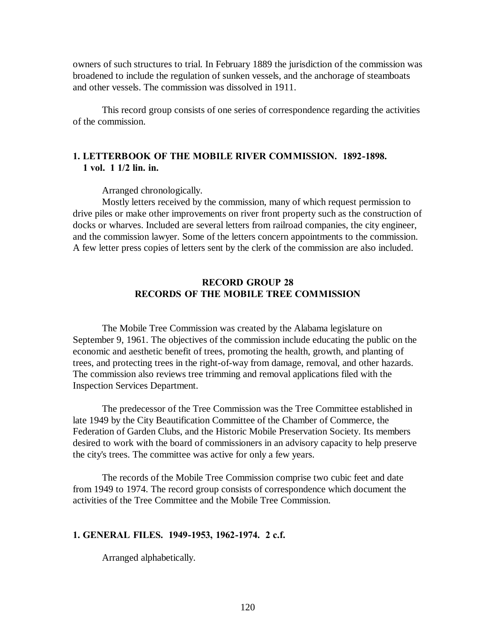owners of such structures to trial. In February 1889 the jurisdiction of the commission was broadened to include the regulation of sunken vessels, and the anchorage of steamboats and other vessels. The commission was dissolved in 1911.

This record group consists of one series of correspondence regarding the activities of the commission.

# **1. LETTERBOOK OF THE MOBILE RIVER COMMISSION. 1892-1898. 1 vol. 1 1/2 lin. in.**

Arranged chronologically.

Mostly letters received by the commission, many of which request permission to drive piles or make other improvements on river front property such as the construction of docks or wharves. Included are several letters from railroad companies, the city engineer, and the commission lawyer. Some of the letters concern appointments to the commission. A few letter press copies of letters sent by the clerk of the commission are also included.

# **RECORD GROUP 28 RECORDS OF THE MOBILE TREE COMMISSION**

The Mobile Tree Commission was created by the Alabama legislature on September 9, 1961. The objectives of the commission include educating the public on the economic and aesthetic benefit of trees, promoting the health, growth, and planting of trees, and protecting trees in the right-of-way from damage, removal, and other hazards. The commission also reviews tree trimming and removal applications filed with the Inspection Services Department.

The predecessor of the Tree Commission was the Tree Committee established in late 1949 by the City Beautification Committee of the Chamber of Commerce, the Federation of Garden Clubs, and the Historic Mobile Preservation Society. Its members desired to work with the board of commissioners in an advisory capacity to help preserve the city's trees. The committee was active for only a few years.

The records of the Mobile Tree Commission comprise two cubic feet and date from 1949 to 1974. The record group consists of correspondence which document the activities of the Tree Committee and the Mobile Tree Commission.

### **1. GENERAL FILES. 1949-1953, 1962-1974. 2 c.f.**

Arranged alphabetically.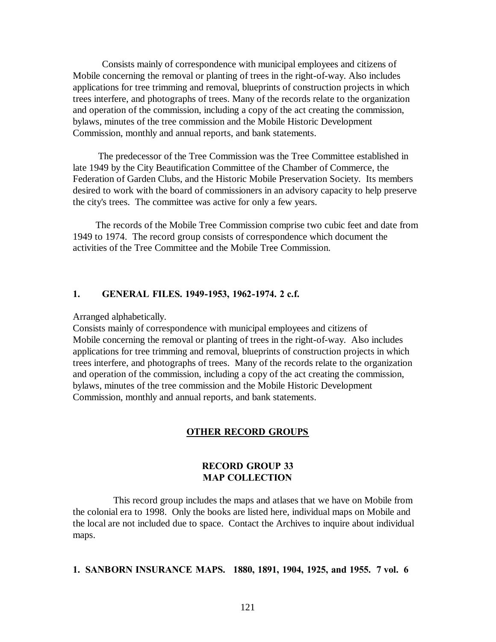Consists mainly of correspondence with municipal employees and citizens of Mobile concerning the removal or planting of trees in the right-of-way. Also includes applications for tree trimming and removal, blueprints of construction projects in which trees interfere, and photographs of trees. Many of the records relate to the organization and operation of the commission, including a copy of the act creating the commission, bylaws, minutes of the tree commission and the Mobile Historic Development Commission, monthly and annual reports, and bank statements.

 The predecessor of the Tree Commission was the Tree Committee established in late 1949 by the City Beautification Committee of the Chamber of Commerce, the Federation of Garden Clubs, and the Historic Mobile Preservation Society. Its members desired to work with the board of commissioners in an advisory capacity to help preserve the city's trees. The committee was active for only a few years.

 The records of the Mobile Tree Commission comprise two cubic feet and date from 1949 to 1974. The record group consists of correspondence which document the activities of the Tree Committee and the Mobile Tree Commission.

## **1. GENERAL FILES. 1949-1953, 1962-1974. 2 c.f.**

#### Arranged alphabetically.

Consists mainly of correspondence with municipal employees and citizens of Mobile concerning the removal or planting of trees in the right-of-way. Also includes applications for tree trimming and removal, blueprints of construction projects in which trees interfere, and photographs of trees. Many of the records relate to the organization and operation of the commission, including a copy of the act creating the commission, bylaws, minutes of the tree commission and the Mobile Historic Development Commission, monthly and annual reports, and bank statements.

### **OTHER RECORD GROUPS**

## **RECORD GROUP 33 MAP COLLECTION**

 This record group includes the maps and atlases that we have on Mobile from the colonial era to 1998. Only the books are listed here, individual maps on Mobile and the local are not included due to space. Contact the Archives to inquire about individual maps.

#### **1. SANBORN INSURANCE MAPS. 1880, 1891, 1904, 1925, and 1955. 7 vol. 6**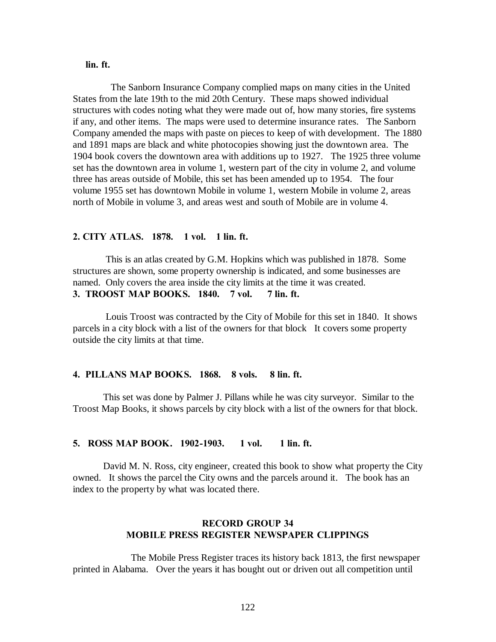## **lin. ft.**

 The Sanborn Insurance Company complied maps on many cities in the United States from the late 19th to the mid 20th Century. These maps showed individual structures with codes noting what they were made out of, how many stories, fire systems if any, and other items. The maps were used to determine insurance rates. The Sanborn Company amended the maps with paste on pieces to keep of with development. The 1880 and 1891 maps are black and white photocopies showing just the downtown area. The 1904 book covers the downtown area with additions up to 1927. The 1925 three volume set has the downtown area in volume 1, western part of the city in volume 2, and volume three has areas outside of Mobile, this set has been amended up to 1954. The four volume 1955 set has downtown Mobile in volume 1, western Mobile in volume 2, areas north of Mobile in volume 3, and areas west and south of Mobile are in volume 4.

### **2. CITY ATLAS. 1878. 1 vol. 1 lin. ft.**

 This is an atlas created by G.M. Hopkins which was published in 1878. Some structures are shown, some property ownership is indicated, and some businesses are named. Only covers the area inside the city limits at the time it was created. **3. TROOST MAP BOOKS. 1840. 7 vol. 7 lin. ft.**

 Louis Troost was contracted by the City of Mobile for this set in 1840. It shows parcels in a city block with a list of the owners for that block It covers some property outside the city limits at that time.

### **4. PILLANS MAP BOOKS. 1868. 8 vols. 8 lin. ft.**

 This set was done by Palmer J. Pillans while he was city surveyor. Similar to the Troost Map Books, it shows parcels by city block with a list of the owners for that block.

#### **5. ROSS MAP BOOK. 1902-1903. 1 vol. 1 lin. ft.**

 David M. N. Ross, city engineer, created this book to show what property the City owned. It shows the parcel the City owns and the parcels around it. The book has an index to the property by what was located there.

## **RECORD GROUP 34 MOBILE PRESS REGISTER NEWSPAPER CLIPPINGS**

 The Mobile Press Register traces its history back 1813, the first newspaper printed in Alabama. Over the years it has bought out or driven out all competition until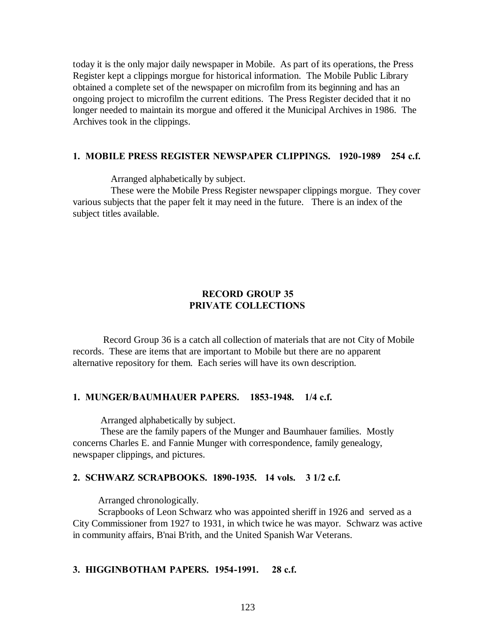today it is the only major daily newspaper in Mobile. As part of its operations, the Press Register kept a clippings morgue for historical information. The Mobile Public Library obtained a complete set of the newspaper on microfilm from its beginning and has an ongoing project to microfilm the current editions. The Press Register decided that it no longer needed to maintain its morgue and offered it the Municipal Archives in 1986. The Archives took in the clippings.

### **1. MOBILE PRESS REGISTER NEWSPAPER CLIPPINGS. 1920-1989 254 c.f.**

Arranged alphabetically by subject.

 These were the Mobile Press Register newspaper clippings morgue. They cover various subjects that the paper felt it may need in the future. There is an index of the subject titles available.

# **RECORD GROUP 35 PRIVATE COLLECTIONS**

 Record Group 36 is a catch all collection of materials that are not City of Mobile records. These are items that are important to Mobile but there are no apparent alternative repository for them. Each series will have its own description.

### **1. MUNGER/BAUMHAUER PAPERS. 1853-1948. 1/4 c.f.**

Arranged alphabetically by subject.

 These are the family papers of the Munger and Baumhauer families. Mostly concerns Charles E. and Fannie Munger with correspondence, family genealogy, newspaper clippings, and pictures.

### **2. SCHWARZ SCRAPBOOKS. 1890-1935. 14 vols. 3 1/2 c.f.**

Arranged chronologically.

 Scrapbooks of Leon Schwarz who was appointed sheriff in 1926 and served as a City Commissioner from 1927 to 1931, in which twice he was mayor. Schwarz was active in community affairs, B'nai B'rith, and the United Spanish War Veterans.

#### **3. HIGGINBOTHAM PAPERS. 1954-1991. 28 c.f.**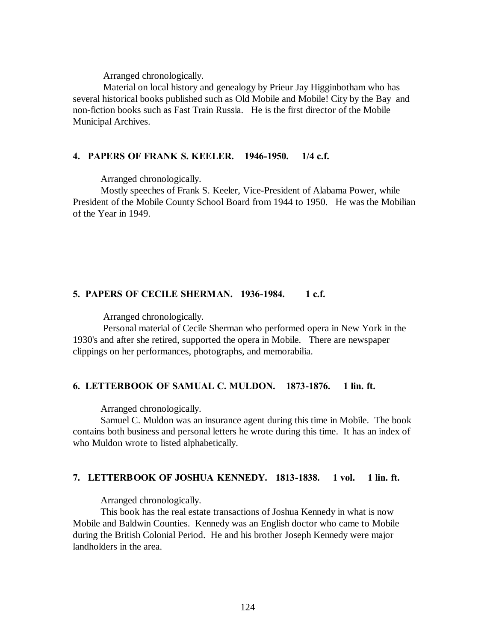Arranged chronologically.

 Material on local history and genealogy by Prieur Jay Higginbotham who has several historical books published such as Old Mobile and Mobile! City by the Bay and non-fiction books such as Fast Train Russia. He is the first director of the Mobile Municipal Archives.

## **4. PAPERS OF FRANK S. KEELER. 1946-1950. 1/4 c.f.**

Arranged chronologically.

 Mostly speeches of Frank S. Keeler, Vice-President of Alabama Power, while President of the Mobile County School Board from 1944 to 1950. He was the Mobilian of the Year in 1949.

## **5. PAPERS OF CECILE SHERMAN. 1936-1984. 1 c.f.**

Arranged chronologically.

 Personal material of Cecile Sherman who performed opera in New York in the 1930's and after she retired, supported the opera in Mobile. There are newspaper clippings on her performances, photographs, and memorabilia.

#### **6. LETTERBOOK OF SAMUAL C. MULDON. 1873-1876. 1 lin. ft.**

Arranged chronologically.

 Samuel C. Muldon was an insurance agent during this time in Mobile. The book contains both business and personal letters he wrote during this time. It has an index of who Muldon wrote to listed alphabetically.

### **7. LETTERBOOK OF JOSHUA KENNEDY. 1813-1838. 1 vol. 1 lin. ft.**

Arranged chronologically.

 This book has the real estate transactions of Joshua Kennedy in what is now Mobile and Baldwin Counties. Kennedy was an English doctor who came to Mobile during the British Colonial Period. He and his brother Joseph Kennedy were major landholders in the area.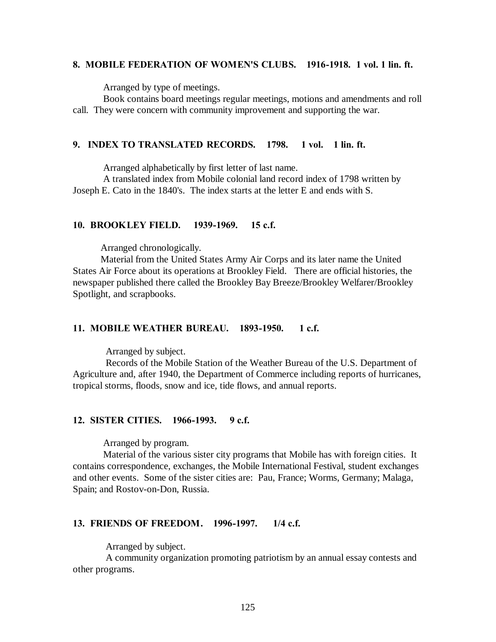#### **8. MOBILE FEDERATION OF WOMEN'S CLUBS. 1916-1918. 1 vol. 1 lin. ft.**

Arranged by type of meetings.

 Book contains board meetings regular meetings, motions and amendments and roll call. They were concern with community improvement and supporting the war.

#### **9. INDEX TO TRANSLATED RECORDS. 1798. 1 vol. 1 lin. ft.**

Arranged alphabetically by first letter of last name.

 A translated index from Mobile colonial land record index of 1798 written by Joseph E. Cato in the 1840's. The index starts at the letter E and ends with S.

#### **10. BROOKLEY FIELD. 1939-1969. 15 c.f.**

Arranged chronologically.

 Material from the United States Army Air Corps and its later name the United States Air Force about its operations at Brookley Field. There are official histories, the newspaper published there called the Brookley Bay Breeze/Brookley Welfarer/Brookley Spotlight, and scrapbooks.

#### **11. MOBILE WEATHER BUREAU. 1893-1950. 1 c.f.**

Arranged by subject.

 Records of the Mobile Station of the Weather Bureau of the U.S. Department of Agriculture and, after 1940, the Department of Commerce including reports of hurricanes, tropical storms, floods, snow and ice, tide flows, and annual reports.

### **12. SISTER CITIES. 1966-1993. 9 c.f.**

Arranged by program.

 Material of the various sister city programs that Mobile has with foreign cities. It contains correspondence, exchanges, the Mobile International Festival, student exchanges and other events. Some of the sister cities are: Pau, France; Worms, Germany; Malaga, Spain; and Rostov-on-Don, Russia.

#### **13. FRIENDS OF FREEDOM. 1996-1997. 1/4 c.f.**

Arranged by subject.

 A community organization promoting patriotism by an annual essay contests and other programs.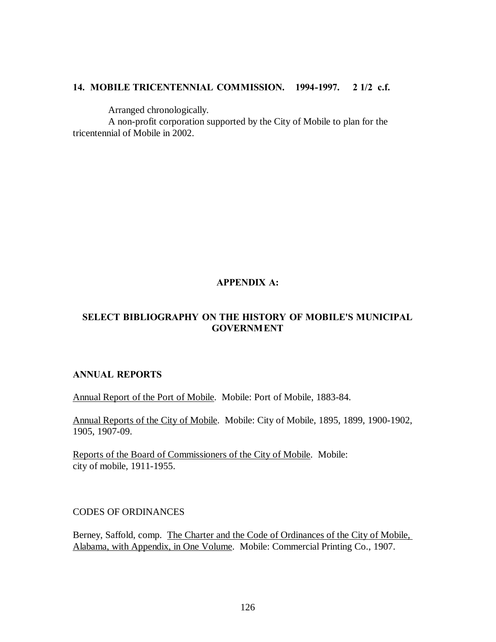# **14. MOBILE TRICENTENNIAL COMMISSION. 1994-1997. 2 1/2 c.f.**

Arranged chronologically.

 A non-profit corporation supported by the City of Mobile to plan for the tricentennial of Mobile in 2002.

# **APPENDIX A:**

# **SELECT BIBLIOGRAPHY ON THE HISTORY OF MOBILE'S MUNICIPAL GOVERNMENT**

# **ANNUAL REPORTS**

Annual Report of the Port of Mobile. Mobile: Port of Mobile, 1883-84.

Annual Reports of the City of Mobile. Mobile: City of Mobile, 1895, 1899, 1900-1902, 1905, 1907-09.

Reports of the Board of Commissioners of the City of Mobile. Mobile: city of mobile, 1911-1955.

CODES OF ORDINANCES

Berney, Saffold, comp. The Charter and the Code of Ordinances of the City of Mobile, Alabama, with Appendix, in One Volume. Mobile: Commercial Printing Co., 1907.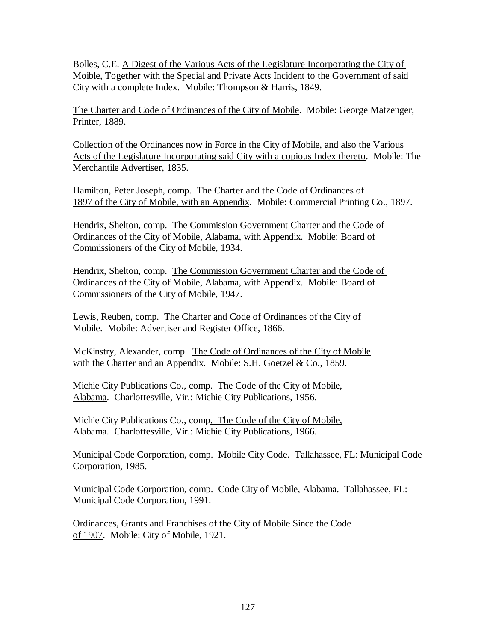Bolles, C.E. A Digest of the Various Acts of the Legislature Incorporating the City of Moible, Together with the Special and Private Acts Incident to the Government of said City with a complete Index. Mobile: Thompson & Harris, 1849.

The Charter and Code of Ordinances of the City of Mobile. Mobile: George Matzenger, Printer, 1889.

Collection of the Ordinances now in Force in the City of Mobile, and also the Various Acts of the Legislature Incorporating said City with a copious Index thereto. Mobile: The Merchantile Advertiser, 1835.

Hamilton, Peter Joseph, comp. The Charter and the Code of Ordinances of 1897 of the City of Mobile, with an Appendix. Mobile: Commercial Printing Co., 1897.

Hendrix, Shelton, comp. The Commission Government Charter and the Code of Ordinances of the City of Mobile, Alabama, with Appendix. Mobile: Board of Commissioners of the City of Mobile, 1934.

Hendrix, Shelton, comp. The Commission Government Charter and the Code of Ordinances of the City of Mobile, Alabama, with Appendix. Mobile: Board of Commissioners of the City of Mobile, 1947.

Lewis, Reuben, comp. The Charter and Code of Ordinances of the City of Mobile. Mobile: Advertiser and Register Office, 1866.

McKinstry, Alexander, comp. The Code of Ordinances of the City of Mobile with the Charter and an Appendix. Mobile: S.H. Goetzel & Co., 1859.

Michie City Publications Co., comp. The Code of the City of Mobile, Alabama. Charlottesville, Vir.: Michie City Publications, 1956.

Michie City Publications Co., comp. The Code of the City of Mobile, Alabama. Charlottesville, Vir.: Michie City Publications, 1966.

Municipal Code Corporation, comp. Mobile City Code. Tallahassee, FL: Municipal Code Corporation, 1985.

Municipal Code Corporation, comp. Code City of Mobile, Alabama. Tallahassee, FL: Municipal Code Corporation, 1991.

Ordinances, Grants and Franchises of the City of Mobile Since the Code of 1907. Mobile: City of Mobile, 1921.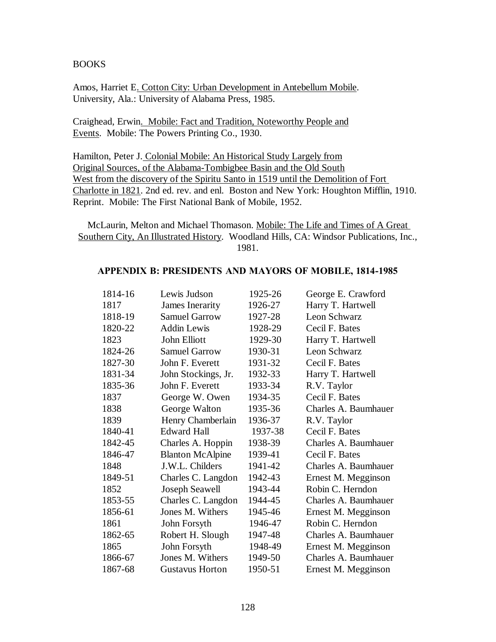## BOOKS

Amos, Harriet E. Cotton City: Urban Development in Antebellum Mobile. University, Ala.: University of Alabama Press, 1985.

Craighead, Erwin. Mobile: Fact and Tradition, Noteworthy People and Events. Mobile: The Powers Printing Co., 1930.

Hamilton, Peter J. Colonial Mobile: An Historical Study Largely from Original Sources, of the Alabama-Tombigbee Basin and the Old South West from the discovery of the Spiritu Santo in 1519 until the Demolition of Fort Charlotte in 1821. 2nd ed. rev. and enl. Boston and New York: Houghton Mifflin, 1910. Reprint. Mobile: The First National Bank of Mobile, 1952.

McLaurin, Melton and Michael Thomason. Mobile: The Life and Times of A Great Southern City, An Illustrated History. Woodland Hills, CA: Windsor Publications, Inc., 1981.

### **APPENDIX B: PRESIDENTS AND MAYORS OF MOBILE, 1814-1985**

| 1814-16 | Lewis Judson            | 1925-26 | George E. Crawford   |
|---------|-------------------------|---------|----------------------|
| 1817    | James Inerarity         | 1926-27 | Harry T. Hartwell    |
| 1818-19 | <b>Samuel Garrow</b>    | 1927-28 | Leon Schwarz         |
| 1820-22 | <b>Addin Lewis</b>      | 1928-29 | Cecil F. Bates       |
| 1823    | John Elliott            | 1929-30 | Harry T. Hartwell    |
| 1824-26 | <b>Samuel Garrow</b>    | 1930-31 | Leon Schwarz         |
| 1827-30 | John F. Everett         | 1931-32 | Cecil F. Bates       |
| 1831-34 | John Stockings, Jr.     | 1932-33 | Harry T. Hartwell    |
| 1835-36 | John F. Everett         | 1933-34 | R.V. Taylor          |
| 1837    | George W. Owen          | 1934-35 | Cecil F. Bates       |
| 1838    | George Walton           | 1935-36 | Charles A. Baumhauer |
| 1839    | Henry Chamberlain       | 1936-37 | R.V. Taylor          |
| 1840-41 | <b>Edward Hall</b>      | 1937-38 | Cecil F. Bates       |
| 1842-45 | Charles A. Hoppin       | 1938-39 | Charles A. Baumhauer |
| 1846-47 | <b>Blanton McAlpine</b> | 1939-41 | Cecil F. Bates       |
| 1848    | J.W.L. Childers         | 1941-42 | Charles A. Baumhauer |
| 1849-51 | Charles C. Langdon      | 1942-43 | Ernest M. Megginson  |
| 1852    | Joseph Seawell          | 1943-44 | Robin C. Herndon     |
| 1853-55 | Charles C. Langdon      | 1944-45 | Charles A. Baumhauer |
| 1856-61 | Jones M. Withers        | 1945-46 | Ernest M. Megginson  |
| 1861    | John Forsyth            | 1946-47 | Robin C. Herndon     |
| 1862-65 | Robert H. Slough        | 1947-48 | Charles A. Baumhauer |
| 1865    | John Forsyth            | 1948-49 | Ernest M. Megginson  |
| 1866-67 | Jones M. Withers        | 1949-50 | Charles A. Baumhauer |
| 1867-68 | <b>Gustavus Horton</b>  | 1950-51 | Ernest M. Megginson  |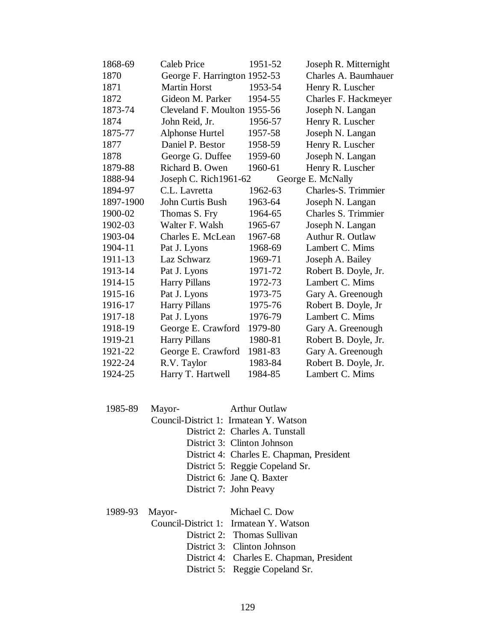| 1868-69   | <b>Caleb Price</b>           | 1951-52 | Joseph R. Mitternight |
|-----------|------------------------------|---------|-----------------------|
| 1870      | George F. Harrington 1952-53 |         | Charles A. Baumhauer  |
| 1871      | <b>Martin Horst</b>          | 1953-54 | Henry R. Luscher      |
| 1872      | Gideon M. Parker             | 1954-55 | Charles F. Hackmeyer  |
| 1873-74   | Cleveland F. Moulton 1955-56 |         | Joseph N. Langan      |
| 1874      | John Reid, Jr.               | 1956-57 | Henry R. Luscher      |
| 1875-77   | Alphonse Hurtel              | 1957-58 | Joseph N. Langan      |
| 1877      | Daniel P. Bestor             | 1958-59 | Henry R. Luscher      |
| 1878      | George G. Duffee             | 1959-60 | Joseph N. Langan      |
| 1879-88   | Richard B. Owen              | 1960-61 | Henry R. Luscher      |
| 1888-94   | Joseph C. Rich1961-62        |         | George E. McNally     |
| 1894-97   | C.L. Lavretta                | 1962-63 | Charles-S. Trimmier   |
| 1897-1900 | <b>John Curtis Bush</b>      | 1963-64 | Joseph N. Langan      |
| 1900-02   | Thomas S. Fry                | 1964-65 | Charles S. Trimmier   |
| 1902-03   | Walter F. Walsh              | 1965-67 | Joseph N. Langan      |
| 1903-04   | Charles E. McLean            | 1967-68 | Authur R. Outlaw      |
| 1904-11   | Pat J. Lyons                 | 1968-69 | Lambert C. Mims       |
| 1911-13   | Laz Schwarz                  | 1969-71 | Joseph A. Bailey      |
| 1913-14   | Pat J. Lyons                 | 1971-72 | Robert B. Doyle, Jr.  |
| 1914-15   | <b>Harry Pillans</b>         | 1972-73 | Lambert C. Mims       |
| 1915-16   | Pat J. Lyons                 | 1973-75 | Gary A. Greenough     |
| 1916-17   | <b>Harry Pillans</b>         | 1975-76 | Robert B. Doyle, Jr   |
| 1917-18   | Pat J. Lyons                 | 1976-79 | Lambert C. Mims       |
| 1918-19   | George E. Crawford           | 1979-80 | Gary A. Greenough     |
| 1919-21   | <b>Harry Pillans</b>         | 1980-81 | Robert B. Doyle, Jr.  |
| 1921-22   | George E. Crawford           | 1981-83 | Gary A. Greenough     |
| 1922-24   | R.V. Taylor                  | 1983-84 | Robert B. Doyle, Jr.  |
| 1924-25   | Harry T. Hartwell            | 1984-85 | Lambert C. Mims       |

 1985-89 Mayor- Arthur Outlaw Council-District 1: Irmatean Y. Watson District 2: Charles A. Tunstall District 3: Clinton Johnson District 4: Charles E. Chapman, President District 5: Reggie Copeland Sr. District 6: Jane Q. Baxter District 7: John Peavy

1989-93 Mayor- Michael C. Dow

Council-District 1: Irmatean Y. Watson

- District 2: Thomas Sullivan
- District 3: Clinton Johnson
- District 4: Charles E. Chapman, President
- District 5: Reggie Copeland Sr.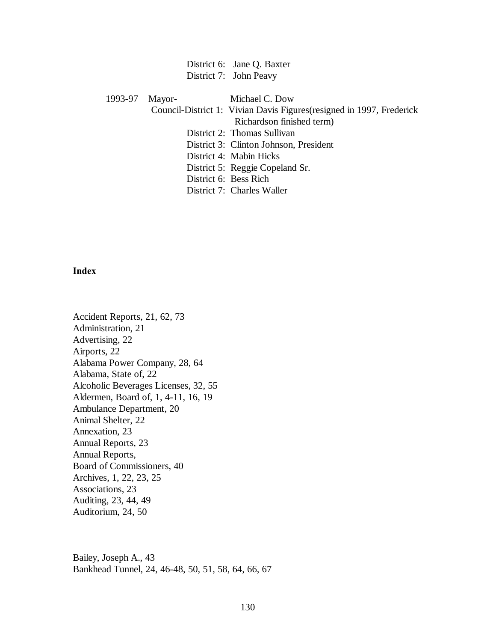District 6: Jane Q. Baxter District 7: John Peavy

1993-97 Mayor- Michael C. Dow

Council-District 1: Vivian Davis Figures(resigned in 1997, Frederick

Richardson finished term)

District 2: Thomas Sullivan

District 3: Clinton Johnson, President

District 4: Mabin Hicks

District 5: Reggie Copeland Sr.

District 6: Bess Rich

District 7: Charles Waller

### **Index**

Accident Reports, 21, 62, 73 Administration, 21 Advertising, 22 Airports, 22 Alabama Power Company, 28, 64 Alabama, State of, 22 Alcoholic Beverages Licenses, 32, 55 Aldermen, Board of, 1, 4-11, 16, 19 Ambulance Department, 20 Animal Shelter, 22 Annexation, 23 Annual Reports, 23 Annual Reports, Board of Commissioners, 40 Archives, 1, 22, 23, 25 Associations, 23 Auditing, 23, 44, 49 Auditorium, 24, 50

Bailey, Joseph A., 43 Bankhead Tunnel, 24, 46-48, 50, 51, 58, 64, 66, 67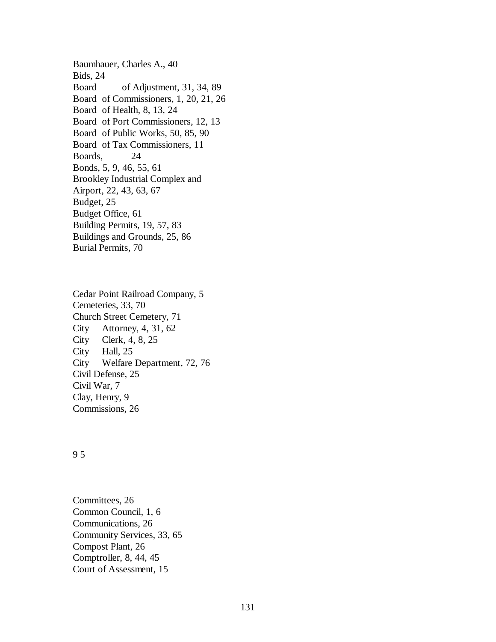Baumhauer, Charles A., 40 Bids, 24 Board of Adjustment, 31, 34, 89 Board of Commissioners, 1, 20, 21, 26 Board of Health, 8, 13, 24 Board of Port Commissioners, 12, 13 Board of Public Works, 50, 85, 90 Board of Tax Commissioners, 11 Boards, 24 Bonds, 5, 9, 46, 55, 61 Brookley Industrial Complex and Airport, 22, 43, 63, 67 Budget, 25 Budget Office, 61 Building Permits, 19, 57, 83 Buildings and Grounds, 25, 86 Burial Permits, 70

Cedar Point Railroad Company, 5 Cemeteries, 33, 70 Church Street Cemetery, 71 City Attorney, 4, 31, 62 City Clerk, 4, 8, 25 City Hall, 25 City Welfare Department, 72, 76 Civil Defense, 25 Civil War, 7 Clay, Henry, 9 Commissions, 26

## 9 5

Committees, 26 Common Council, 1, 6 Communications, 26 Community Services, 33, 65 Compost Plant, 26 Comptroller, 8, 44, 45 Court of Assessment, 15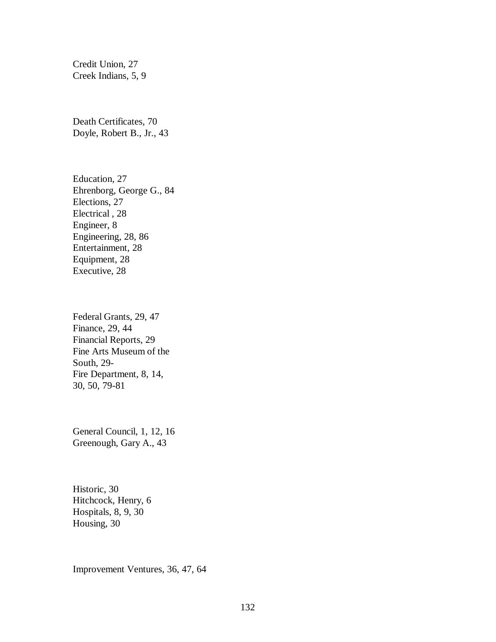Credit Union, 27 Creek Indians, 5, 9

Death Certificates, 70 Doyle, Robert B., Jr., 43

Education, 27 Ehrenborg, George G., 84 Elections, 27 Electrical , 28 Engineer, 8 Engineering, 28, 86 Entertainment, 28 Equipment, 28 Executive, 28

Federal Grants, 29, 47 Finance, 29, 44 Financial Reports, 29 Fine Arts Museum of the South, 29- Fire Department, 8, 14, 30, 50, 79-81

General Council, 1, 12, 16 Greenough, Gary A., 43

Historic, 30 Hitchcock, Henry, 6 Hospitals, 8, 9, 30 Housing, 30

Improvement Ventures, 36, 47, 64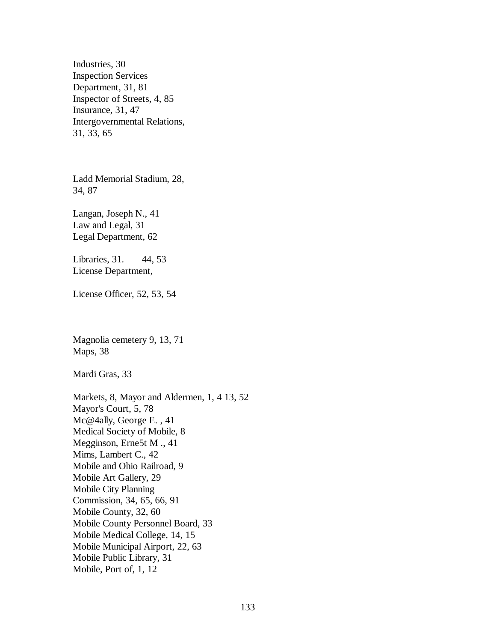Industries, 30 Inspection Services Department, 31, 81 Inspector of Streets, 4, 85 Insurance, 31, 47 Intergovernmental Relations, 31, 33, 65

Ladd Memorial Stadium, 28, 34, 87

Langan, Joseph N., 41 Law and Legal, 31 Legal Department, 62

Libraries, 31. 44, 53 License Department,

License Officer, 52, 53, 54

Magnolia cemetery 9, 13, 71 Maps, 38

Mardi Gras, 33

Markets, 8, Mayor and Aldermen, 1, 4 13, 52 Mayor's Court, 5, 78 Mc@4ally, George E. , 41 Medical Society of Mobile, 8 Megginson, Erne5t M ., 41 Mims, Lambert C., 42 Mobile and Ohio Railroad, 9 Mobile Art Gallery, 29 Mobile City Planning Commission, 34, 65, 66, 91 Mobile County, 32, 60 Mobile County Personnel Board, 33 Mobile Medical College, 14, 15 Mobile Municipal Airport, 22, 63 Mobile Public Library, 31 Mobile, Port of, 1, 12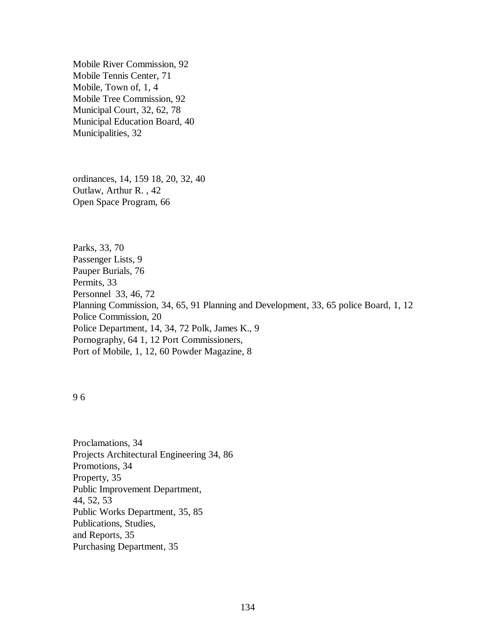Mobile River Commission, 92 Mobile Tennis Center, 71 Mobile, Town of, 1, 4 Mobile Tree Commission, 92 Municipal Court, 32, 62, 78 Municipal Education Board, 40 Municipalities, 32

ordinances, 14, 159 18, 20, 32, 40 Outlaw, Arthur R. , 42 Open Space Program, 66

Parks, 33, 70 Passenger Lists, 9 Pauper Burials, 76 Permits, 33 Personnel 33, 46, 72 Planning Commission, 34, 65, 91 Planning and Development, 33, 65 police Board, 1, 12 Police Commission, 20 Police Department, 14, 34, 72 Polk, James K., 9 Pornography, 64 1, 12 Port Commissioners, Port of Mobile, 1, 12, 60 Powder Magazine, 8

9 6

Proclamations, 34 Projects Architectural Engineering 34, 86 Promotions, 34 Property, 35 Public Improvement Department, 44, 52, 53 Public Works Department, 35, 85 Publications, Studies, and Reports, 35 Purchasing Department, 35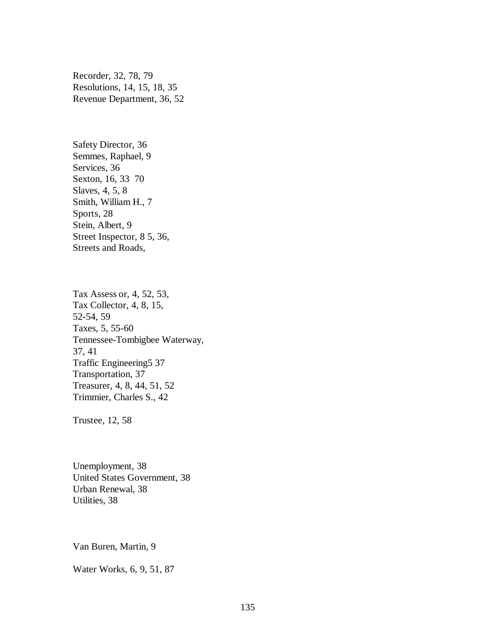Recorder, 32, 78, 79 Resolutions, 14, 15, 18, 35 Revenue Department, 36, 52

Safety Director, 36 Semmes, Raphael, 9 Services, 36 Sexton, 16, 33 70 Slaves, 4, 5, 8 Smith, William H., 7 Sports, 28 Stein, Albert, 9 Street Inspector, 8 5, 36, Streets and Roads,

Tax Assess or, 4, 52, 53, Tax Collector, 4, 8, 15, 52-54, 59 Taxes, 5, 55-60 Tennessee-Tombigbee Waterway, 37, 41 Traffic Engineering5 37 Transportation, 37 Treasurer, 4, 8, 44, 51, 52 Trimmier, Charles S., 42

Trustee, 12, 58

Unemployment, 38 United States Government, 38 Urban Renewal, 38 Utilities, 38

Van Buren, Martin, 9

Water Works, 6, 9, 51, 87